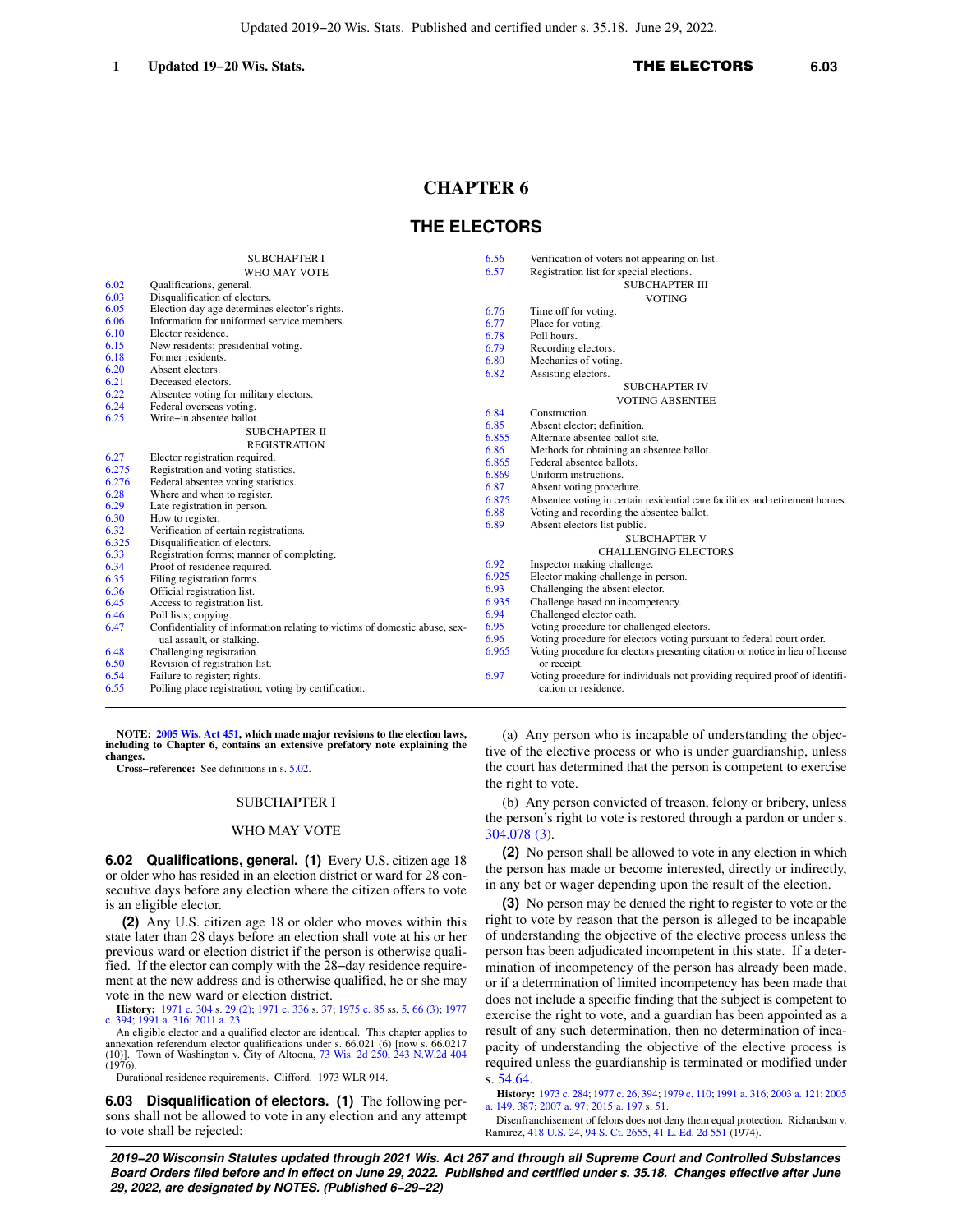# **CHAPTER 6**

## **THE ELECTORS**

|       | <b>SUBCHAPTER I</b>                                                        | 6.56  | Verification of voters not appearing on list.                                  |
|-------|----------------------------------------------------------------------------|-------|--------------------------------------------------------------------------------|
|       | WHO MAY VOTE                                                               | 6.57  | Registration list for special elections.                                       |
| 6.02  | Qualifications, general.                                                   |       | <b>SUBCHAPTER III</b>                                                          |
| 6.03  | Disqualification of electors.                                              |       | <b>VOTING</b>                                                                  |
| 6.05  | Election day age determines elector's rights.                              | 6.76  | Time off for voting.                                                           |
| 6.06  | Information for uniformed service members.                                 | 6.77  | Place for voting.                                                              |
| 6.10  | Elector residence.                                                         | 6.78  | Poll hours.                                                                    |
| 6.15  | New residents; presidential voting.                                        | 6.79  | Recording electors.                                                            |
| 6.18  | Former residents.                                                          | 6.80  | Mechanics of voting.                                                           |
| 6.20  | Absent electors.                                                           | 6.82  | Assisting electors.                                                            |
| 6.21  | Deceased electors.                                                         |       | <b>SUBCHAPTER IV</b>                                                           |
| 6.22  | Absentee voting for military electors.                                     |       | <b>VOTING ABSENTEE</b>                                                         |
| 6.24  | Federal overseas voting.                                                   | 6.84  | Construction.                                                                  |
| 6.25  | Write-in absentee ballot.                                                  | 6.85  | Absent elector; definition.                                                    |
|       | <b>SUBCHAPTER II</b>                                                       | 6.855 | Alternate absentee ballot site.                                                |
|       | <b>REGISTRATION</b>                                                        | 6.86  | Methods for obtaining an absentee ballot.                                      |
| 6.27  | Elector registration required.                                             | 6.865 | Federal absentee ballots.                                                      |
| 6.275 | Registration and voting statistics.                                        | 6.869 | Uniform instructions.                                                          |
| 6.276 | Federal absentee voting statistics.                                        | 6.87  | Absent voting procedure.                                                       |
| 6.28  | Where and when to register.                                                | 6.875 | Absentee voting in certain residential care facilities and retirement homes.   |
| 6.29  | Late registration in person.                                               | 6.88  | Voting and recording the absentee ballot.                                      |
| 6.30  | How to register.                                                           | 6.89  | Absent electors list public.                                                   |
| 6.32  | Verification of certain registrations.                                     |       | <b>SUBCHAPTER V</b>                                                            |
| 6.325 | Disqualification of electors.                                              |       |                                                                                |
| 6.33  | Registration forms; manner of completing.                                  |       | <b>CHALLENGING ELECTORS</b>                                                    |
| 6.34  | Proof of residence required.                                               | 6.92  | Inspector making challenge.                                                    |
| 6.35  | Filing registration forms.                                                 | 6.925 | Elector making challenge in person.                                            |
| 6.36  | Official registration list.                                                | 6.93  | Challenging the absent elector.                                                |
| 6.45  | Access to registration list.                                               | 6.935 | Challenge based on incompetency.                                               |
| 6.46  | Poll lists; copying.                                                       | 6.94  | Challenged elector oath.                                                       |
| 6.47  | Confidentiality of information relating to victims of domestic abuse, sex- | 6.95  | Voting procedure for challenged electors.                                      |
|       | ual assault, or stalking.                                                  | 6.96  | Voting procedure for electors voting pursuant to federal court order.          |
| 6.48  | Challenging registration.                                                  | 6.965 | Voting procedure for electors presenting citation or notice in lieu of license |
| 6.50  | Revision of registration list.                                             |       | or receipt.                                                                    |
| 6.54  | Failure to register; rights.                                               | 6.97  | Voting procedure for individuals not providing required proof of identifi-     |
| 6.55  | Polling place registration; voting by certification.                       |       | cation or residence.                                                           |

**NOTE: [2005 Wis. Act 451,](https://docs.legis.wisconsin.gov/document/acts/2005/451) which made major revisions to the election laws, including to Chapter 6, contains an extensive prefatory note explaining the changes.**

**Cross−reference:** See definitions in s. [5.02](https://docs.legis.wisconsin.gov/document/statutes/5.02).

### SUBCHAPTER I

### WHO MAY VOTE

**6.02 Qualifications, general. (1)** Every U.S. citizen age 18 or older who has resided in an election district or ward for 28 consecutive days before any election where the citizen offers to vote is an eligible elector.

**(2)** Any U.S. citizen age 18 or older who moves within this state later than 28 days before an election shall vote at his or her previous ward or election district if the person is otherwise qualified. If the elector can comply with the 28−day residence requirement at the new address and is otherwise qualified, he or she may vote in the new ward or election district.

**History:** [1971 c. 304](https://docs.legis.wisconsin.gov/document/acts/1971/304) s. [29 \(2\);](https://docs.legis.wisconsin.gov/document/acts/1971/304,%20s.%2029) [1971 c. 336](https://docs.legis.wisconsin.gov/document/acts/1971/336) s. [37;](https://docs.legis.wisconsin.gov/document/acts/1971/336,%20s.%2037) [1975 c. 85](https://docs.legis.wisconsin.gov/document/acts/1975/85) ss. [5,](https://docs.legis.wisconsin.gov/document/acts/1975/85,%20s.%205) [66 \(3\)](https://docs.legis.wisconsin.gov/document/acts/1975/85,%20s.%2066); [1977](https://docs.legis.wisconsin.gov/document/acts/1977/394) [c. 394;](https://docs.legis.wisconsin.gov/document/acts/1977/394) [1991 a. 316;](https://docs.legis.wisconsin.gov/document/acts/1991/316) [2011 a. 23](https://docs.legis.wisconsin.gov/document/acts/2011/23).

An eligible elector and a qualified elector are identical. This chapter applies to annexation referendum elector qualifications under s. 66.021 (6) [now s. 66.0217<br>(10)]. Town of Washington v. City of Altoona, [73 Wis. 2d 250](https://docs.legis.wisconsin.gov/document/courts/73%20Wis.%202d%20250), [243 N.W.2d 404](https://docs.legis.wisconsin.gov/document/courts/243%20N.W.2d%20404)  $(1976)$ .

Durational residence requirements. Clifford. 1973 WLR 914.

**6.03 Disqualification of electors. (1)** The following persons shall not be allowed to vote in any election and any attempt to vote shall be rejected:

(a) Any person who is incapable of understanding the objective of the elective process or who is under guardianship, unless the court has determined that the person is competent to exercise the right to vote.

(b) Any person convicted of treason, felony or bribery, unless the person's right to vote is restored through a pardon or under s. [304.078 \(3\)](https://docs.legis.wisconsin.gov/document/statutes/304.078(3)).

**(2)** No person shall be allowed to vote in any election in which the person has made or become interested, directly or indirectly, in any bet or wager depending upon the result of the election.

**(3)** No person may be denied the right to register to vote or the right to vote by reason that the person is alleged to be incapable of understanding the objective of the elective process unless the person has been adjudicated incompetent in this state. If a determination of incompetency of the person has already been made, or if a determination of limited incompetency has been made that does not include a specific finding that the subject is competent to exercise the right to vote, and a guardian has been appointed as a result of any such determination, then no determination of incapacity of understanding the objective of the elective process is required unless the guardianship is terminated or modified under s. [54.64](https://docs.legis.wisconsin.gov/document/statutes/54.64).

**History:** [1973 c. 284](https://docs.legis.wisconsin.gov/document/acts/1973/284); [1977 c. 26](https://docs.legis.wisconsin.gov/document/acts/1977/26), [394;](https://docs.legis.wisconsin.gov/document/acts/1977/394) [1979 c. 110](https://docs.legis.wisconsin.gov/document/acts/1979/110); [1991 a. 316](https://docs.legis.wisconsin.gov/document/acts/1991/316); [2003 a. 121](https://docs.legis.wisconsin.gov/document/acts/2003/121); [2005](https://docs.legis.wisconsin.gov/document/acts/2005/149) [a. 149](https://docs.legis.wisconsin.gov/document/acts/2005/149), [387](https://docs.legis.wisconsin.gov/document/acts/2005/387); [2007 a. 97](https://docs.legis.wisconsin.gov/document/acts/2007/97); [2015 a. 197](https://docs.legis.wisconsin.gov/document/acts/2015/197) s. [51](https://docs.legis.wisconsin.gov/document/acts/2015/197,%20s.%2051).

Disenfranchisement of felons does not deny them equal protection. Richardson v. Ramirez, [418 U.S. 24,](https://docs.legis.wisconsin.gov/document/courts/418%20U.S.%2024) [94 S. Ct. 2655,](https://docs.legis.wisconsin.gov/document/courts/94%20S.%20Ct.%202655) [41 L. Ed. 2d 551](https://docs.legis.wisconsin.gov/document/courts/41%20L.%20Ed.%202d%20551) (1974).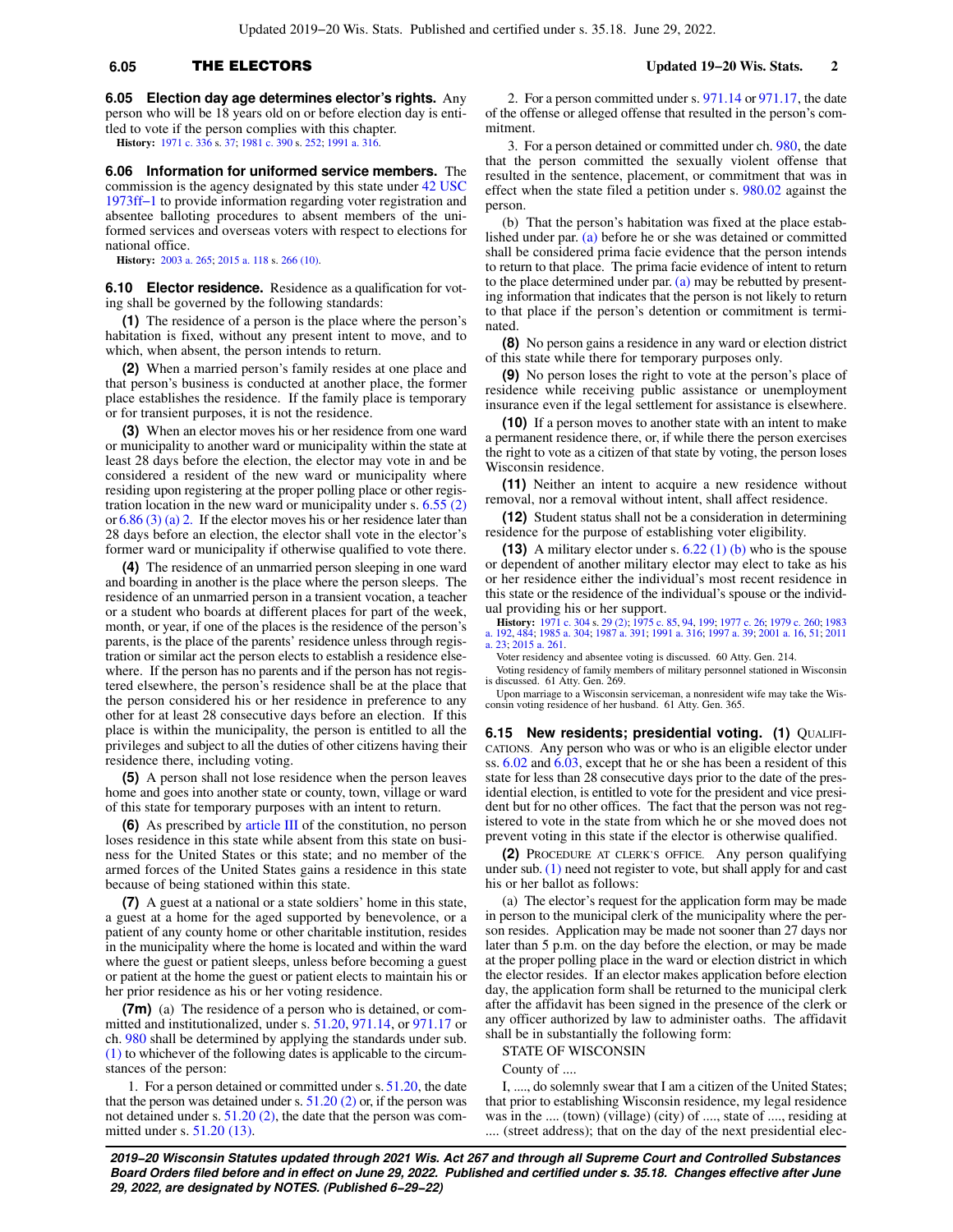## **6.05** THE ELECTORS **Updated 19−20 Wis. Stats. 2**

**6.05 Election day age determines elector's rights.** Any person who will be 18 years old on or before election day is entitled to vote if the person complies with this chapter. **History:** [1971 c. 336](https://docs.legis.wisconsin.gov/document/acts/1971/336) s. [37](https://docs.legis.wisconsin.gov/document/acts/1971/336,%20s.%2037); [1981 c. 390](https://docs.legis.wisconsin.gov/document/acts/1981/390) s. [252;](https://docs.legis.wisconsin.gov/document/acts/1981/390,%20s.%20252) [1991 a. 316](https://docs.legis.wisconsin.gov/document/acts/1991/316).

**6.06 Information for uniformed service members.** The commission is the agency designated by this state under [42 USC](https://docs.legis.wisconsin.gov/document/usc/42%20USC%201973ff-1) [1973ff−1](https://docs.legis.wisconsin.gov/document/usc/42%20USC%201973ff-1) to provide information regarding voter registration and absentee balloting procedures to absent members of the uniformed services and overseas voters with respect to elections for national office.

**History:** [2003 a. 265](https://docs.legis.wisconsin.gov/document/acts/2003/265); [2015 a. 118](https://docs.legis.wisconsin.gov/document/acts/2015/118) s. [266 \(10\).](https://docs.legis.wisconsin.gov/document/acts/2015/118,%20s.%20266)

**6.10 Elector residence.** Residence as a qualification for voting shall be governed by the following standards:

**(1)** The residence of a person is the place where the person's habitation is fixed, without any present intent to move, and to which, when absent, the person intends to return.

**(2)** When a married person's family resides at one place and that person's business is conducted at another place, the former place establishes the residence. If the family place is temporary or for transient purposes, it is not the residence.

**(3)** When an elector moves his or her residence from one ward or municipality to another ward or municipality within the state at least 28 days before the election, the elector may vote in and be considered a resident of the new ward or municipality where residing upon registering at the proper polling place or other registration location in the new ward or municipality under s. [6.55 \(2\)](https://docs.legis.wisconsin.gov/document/statutes/6.55(2)) or [6.86 \(3\) \(a\) 2.](https://docs.legis.wisconsin.gov/document/statutes/6.86(3)(a)2.) If the elector moves his or her residence later than 28 days before an election, the elector shall vote in the elector's former ward or municipality if otherwise qualified to vote there.

**(4)** The residence of an unmarried person sleeping in one ward and boarding in another is the place where the person sleeps. The residence of an unmarried person in a transient vocation, a teacher or a student who boards at different places for part of the week, month, or year, if one of the places is the residence of the person's parents, is the place of the parents' residence unless through registration or similar act the person elects to establish a residence elsewhere. If the person has no parents and if the person has not registered elsewhere, the person's residence shall be at the place that the person considered his or her residence in preference to any other for at least 28 consecutive days before an election. If this place is within the municipality, the person is entitled to all the privileges and subject to all the duties of other citizens having their residence there, including voting.

**(5)** A person shall not lose residence when the person leaves home and goes into another state or county, town, village or ward of this state for temporary purposes with an intent to return.

**(6)** As prescribed by [article III](https://docs.legis.wisconsin.gov/document/wisconsinconstitution/III) of the constitution, no person loses residence in this state while absent from this state on business for the United States or this state; and no member of the armed forces of the United States gains a residence in this state because of being stationed within this state.

**(7)** A guest at a national or a state soldiers' home in this state, a guest at a home for the aged supported by benevolence, or a patient of any county home or other charitable institution, resides in the municipality where the home is located and within the ward where the guest or patient sleeps, unless before becoming a guest or patient at the home the guest or patient elects to maintain his or her prior residence as his or her voting residence.

**(7m)** (a) The residence of a person who is detained, or committed and institutionalized, under s. [51.20](https://docs.legis.wisconsin.gov/document/statutes/51.20), [971.14](https://docs.legis.wisconsin.gov/document/statutes/971.14), or [971.17](https://docs.legis.wisconsin.gov/document/statutes/971.17) or ch. [980](https://docs.legis.wisconsin.gov/document/statutes/ch.%20980) shall be determined by applying the standards under sub. [\(1\)](https://docs.legis.wisconsin.gov/document/statutes/6.10(1)) to whichever of the following dates is applicable to the circumstances of the person:

1. For a person detained or committed under s. [51.20,](https://docs.legis.wisconsin.gov/document/statutes/51.20) the date that the person was detained under s.  $51.20$  (2) or, if the person was not detained under s. [51.20 \(2\),](https://docs.legis.wisconsin.gov/document/statutes/51.20(2)) the date that the person was committed under s. [51.20 \(13\).](https://docs.legis.wisconsin.gov/document/statutes/51.20(13))

2. For a person committed under s. [971.14](https://docs.legis.wisconsin.gov/document/statutes/971.14) or [971.17,](https://docs.legis.wisconsin.gov/document/statutes/971.17) the date of the offense or alleged offense that resulted in the person's commitment.

3. For a person detained or committed under ch. [980,](https://docs.legis.wisconsin.gov/document/statutes/ch.%20980) the date that the person committed the sexually violent offense that resulted in the sentence, placement, or commitment that was in effect when the state filed a petition under s. [980.02](https://docs.legis.wisconsin.gov/document/statutes/980.02) against the person.

(b) That the person's habitation was fixed at the place established under par. [\(a\)](https://docs.legis.wisconsin.gov/document/statutes/6.10(7m)(a)) before he or she was detained or committed shall be considered prima facie evidence that the person intends to return to that place. The prima facie evidence of intent to return to the place determined under par. [\(a\)](https://docs.legis.wisconsin.gov/document/statutes/6.10(7m)(a)) may be rebutted by presenting information that indicates that the person is not likely to return to that place if the person's detention or commitment is terminated.

**(8)** No person gains a residence in any ward or election district of this state while there for temporary purposes only.

**(9)** No person loses the right to vote at the person's place of residence while receiving public assistance or unemployment insurance even if the legal settlement for assistance is elsewhere.

**(10)** If a person moves to another state with an intent to make a permanent residence there, or, if while there the person exercises the right to vote as a citizen of that state by voting, the person loses Wisconsin residence.

**(11)** Neither an intent to acquire a new residence without removal, nor a removal without intent, shall affect residence.

**(12)** Student status shall not be a consideration in determining residence for the purpose of establishing voter eligibility.

**(13)** A military elector under s. [6.22 \(1\) \(b\)](https://docs.legis.wisconsin.gov/document/statutes/6.22(1)(b)) who is the spouse or dependent of another military elector may elect to take as his or her residence either the individual's most recent residence in this state or the residence of the individual's spouse or the individual providing his or her support.

**History:** [1971 c. 304](https://docs.legis.wisconsin.gov/document/acts/1971/304) s. [29 \(2\)](https://docs.legis.wisconsin.gov/document/acts/1971/304,%20s.%2029); [1975 c. 85](https://docs.legis.wisconsin.gov/document/acts/1975/85), [94](https://docs.legis.wisconsin.gov/document/acts/1975/94), [199](https://docs.legis.wisconsin.gov/document/acts/1975/199); [1977 c. 26](https://docs.legis.wisconsin.gov/document/acts/1977/26); [1979 c. 260;](https://docs.legis.wisconsin.gov/document/acts/1979/260) [1983](https://docs.legis.wisconsin.gov/document/acts/1983/192) [a. 192,](https://docs.legis.wisconsin.gov/document/acts/1983/192) [484;](https://docs.legis.wisconsin.gov/document/acts/1983/484) [1985 a. 304](https://docs.legis.wisconsin.gov/document/acts/1985/304); [1987 a. 391](https://docs.legis.wisconsin.gov/document/acts/1987/391); [1991 a. 316](https://docs.legis.wisconsin.gov/document/acts/1991/316); [1997 a. 39](https://docs.legis.wisconsin.gov/document/acts/1997/39); [2001 a. 16,](https://docs.legis.wisconsin.gov/document/acts/2001/16) [51](https://docs.legis.wisconsin.gov/document/acts/2001/51); [2011](https://docs.legis.wisconsin.gov/document/acts/2011/23) [a. 23;](https://docs.legis.wisconsin.gov/document/acts/2011/23) [2015 a. 261](https://docs.legis.wisconsin.gov/document/acts/2015/261).

Voter residency and absentee voting is discussed. 60 Atty. Gen. 214.

Voting residency of family members of military personnel stationed in Wisconsin is discussed. 61 Atty. Gen. 269.

Upon marriage to a Wisconsin serviceman, a nonresident wife may take the Wisconsin voting residence of her husband. 61 Atty. Gen. 365.

**6.15 New residents; presidential voting. (1)** QUALIFI-CATIONS. Any person who was or who is an eligible elector under ss. [6.02](https://docs.legis.wisconsin.gov/document/statutes/6.02) and [6.03](https://docs.legis.wisconsin.gov/document/statutes/6.03), except that he or she has been a resident of this state for less than 28 consecutive days prior to the date of the presidential election, is entitled to vote for the president and vice president but for no other offices. The fact that the person was not registered to vote in the state from which he or she moved does not prevent voting in this state if the elector is otherwise qualified.

**(2)** PROCEDURE AT CLERK'S OFFICE. Any person qualifying under sub. [\(1\)](https://docs.legis.wisconsin.gov/document/statutes/6.15(1)) need not register to vote, but shall apply for and cast his or her ballot as follows:

(a) The elector's request for the application form may be made in person to the municipal clerk of the municipality where the person resides. Application may be made not sooner than 27 days nor later than 5 p.m. on the day before the election, or may be made at the proper polling place in the ward or election district in which the elector resides. If an elector makes application before election day, the application form shall be returned to the municipal clerk after the affidavit has been signed in the presence of the clerk or any officer authorized by law to administer oaths. The affidavit shall be in substantially the following form:

STATE OF WISCONSIN

County of ....

I, ...., do solemnly swear that I am a citizen of the United States; that prior to establishing Wisconsin residence, my legal residence was in the .... (town) (village) (city) of ...., state of ...., residing at .... (street address); that on the day of the next presidential elec-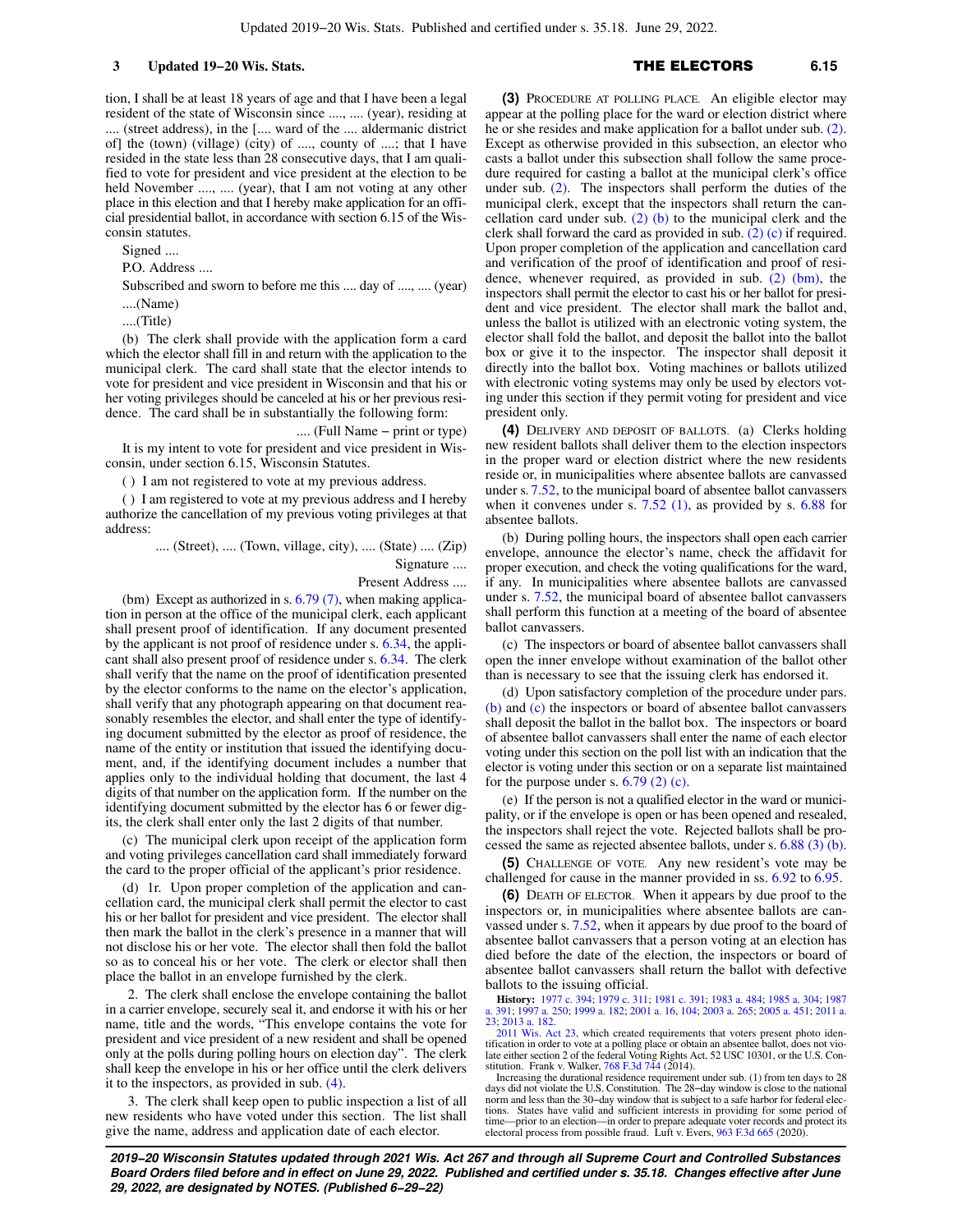tion, I shall be at least 18 years of age and that I have been a legal resident of the state of Wisconsin since ...., .... (year), residing at .... (street address), in the [.... ward of the .... aldermanic district of] the (town) (village) (city) of ...., county of ....; that I have resided in the state less than 28 consecutive days, that I am qualified to vote for president and vice president at the election to be held November ...., .... (year), that I am not voting at any other place in this election and that I hereby make application for an official presidential ballot, in accordance with section 6.15 of the Wisconsin statutes.

Signed ....

P.O. Address ....

Subscribed and sworn to before me this .... day of ...., .... (year) ....(Name)

....(Title)

(b) The clerk shall provide with the application form a card which the elector shall fill in and return with the application to the municipal clerk. The card shall state that the elector intends to vote for president and vice president in Wisconsin and that his or her voting privileges should be canceled at his or her previous residence. The card shall be in substantially the following form:

.... (Full Name − print or type) It is my intent to vote for president and vice president in Wisconsin, under section 6.15, Wisconsin Statutes.

( ) I am not registered to vote at my previous address.

( ) I am registered to vote at my previous address and I hereby authorize the cancellation of my previous voting privileges at that address:

.... (Street), .... (Town, village, city), .... (State) .... (Zip)

Signature ....

Present Address ....

(bm) Except as authorized in s.  $6.79(7)$ , when making application in person at the office of the municipal clerk, each applicant shall present proof of identification. If any document presented by the applicant is not proof of residence under s. [6.34,](https://docs.legis.wisconsin.gov/document/statutes/6.34) the applicant shall also present proof of residence under s. [6.34](https://docs.legis.wisconsin.gov/document/statutes/6.34). The clerk shall verify that the name on the proof of identification presented by the elector conforms to the name on the elector's application, shall verify that any photograph appearing on that document reasonably resembles the elector, and shall enter the type of identifying document submitted by the elector as proof of residence, the name of the entity or institution that issued the identifying document, and, if the identifying document includes a number that applies only to the individual holding that document, the last 4 digits of that number on the application form. If the number on the identifying document submitted by the elector has 6 or fewer digits, the clerk shall enter only the last 2 digits of that number.

(c) The municipal clerk upon receipt of the application form and voting privileges cancellation card shall immediately forward the card to the proper official of the applicant's prior residence.

(d) 1r. Upon proper completion of the application and cancellation card, the municipal clerk shall permit the elector to cast his or her ballot for president and vice president. The elector shall then mark the ballot in the clerk's presence in a manner that will not disclose his or her vote. The elector shall then fold the ballot so as to conceal his or her vote. The clerk or elector shall then place the ballot in an envelope furnished by the clerk.

2. The clerk shall enclose the envelope containing the ballot in a carrier envelope, securely seal it, and endorse it with his or her name, title and the words, "This envelope contains the vote for president and vice president of a new resident and shall be opened only at the polls during polling hours on election day". The clerk shall keep the envelope in his or her office until the clerk delivers it to the inspectors, as provided in sub. [\(4\)](https://docs.legis.wisconsin.gov/document/statutes/6.15(4)).

3. The clerk shall keep open to public inspection a list of all new residents who have voted under this section. The list shall give the name, address and application date of each elector.

## **3 Updated 19−20 Wis. Stats.** THE ELECTORS **6.15**

**(3)** PROCEDURE AT POLLING PLACE. An eligible elector may appear at the polling place for the ward or election district where he or she resides and make application for a ballot under sub. [\(2\).](https://docs.legis.wisconsin.gov/document/statutes/6.15(2)) Except as otherwise provided in this subsection, an elector who casts a ballot under this subsection shall follow the same procedure required for casting a ballot at the municipal clerk's office under sub. [\(2\)](https://docs.legis.wisconsin.gov/document/statutes/6.15(2)). The inspectors shall perform the duties of the municipal clerk, except that the inspectors shall return the cancellation card under sub.  $(2)$  (b) to the municipal clerk and the clerk shall forward the card as provided in sub. [\(2\) \(c\)](https://docs.legis.wisconsin.gov/document/statutes/6.15(2)(c)) if required. Upon proper completion of the application and cancellation card and verification of the proof of identification and proof of residence, whenever required, as provided in sub.  $(2)$  (bm), the inspectors shall permit the elector to cast his or her ballot for president and vice president. The elector shall mark the ballot and, unless the ballot is utilized with an electronic voting system, the elector shall fold the ballot, and deposit the ballot into the ballot box or give it to the inspector. The inspector shall deposit it directly into the ballot box. Voting machines or ballots utilized with electronic voting systems may only be used by electors voting under this section if they permit voting for president and vice president only.

**(4)** DELIVERY AND DEPOSIT OF BALLOTS. (a) Clerks holding new resident ballots shall deliver them to the election inspectors in the proper ward or election district where the new residents reside or, in municipalities where absentee ballots are canvassed under s. [7.52](https://docs.legis.wisconsin.gov/document/statutes/7.52), to the municipal board of absentee ballot canvassers when it convenes under s.  $7.52$  (1), as provided by s.  $6.88$  for absentee ballots.

(b) During polling hours, the inspectors shall open each carrier envelope, announce the elector's name, check the affidavit for proper execution, and check the voting qualifications for the ward, if any. In municipalities where absentee ballots are canvassed under s. [7.52](https://docs.legis.wisconsin.gov/document/statutes/7.52), the municipal board of absentee ballot canvassers shall perform this function at a meeting of the board of absentee ballot canvassers.

(c) The inspectors or board of absentee ballot canvassers shall open the inner envelope without examination of the ballot other than is necessary to see that the issuing clerk has endorsed it.

(d) Upon satisfactory completion of the procedure under pars. [\(b\)](https://docs.legis.wisconsin.gov/document/statutes/6.15(4)(b)) and [\(c\)](https://docs.legis.wisconsin.gov/document/statutes/6.15(4)(c)) the inspectors or board of absentee ballot canvassers shall deposit the ballot in the ballot box. The inspectors or board of absentee ballot canvassers shall enter the name of each elector voting under this section on the poll list with an indication that the elector is voting under this section or on a separate list maintained for the purpose under s.  $6.79$  (2) (c).

(e) If the person is not a qualified elector in the ward or municipality, or if the envelope is open or has been opened and resealed, the inspectors shall reject the vote. Rejected ballots shall be processed the same as rejected absentee ballots, under s. [6.88 \(3\) \(b\).](https://docs.legis.wisconsin.gov/document/statutes/6.88(3)(b))

**(5)** CHALLENGE OF VOTE. Any new resident's vote may be challenged for cause in the manner provided in ss. [6.92](https://docs.legis.wisconsin.gov/document/statutes/6.92) to [6.95](https://docs.legis.wisconsin.gov/document/statutes/6.95).

**(6)** DEATH OF ELECTOR. When it appears by due proof to the inspectors or, in municipalities where absentee ballots are canvassed under s. [7.52,](https://docs.legis.wisconsin.gov/document/statutes/7.52) when it appears by due proof to the board of absentee ballot canvassers that a person voting at an election has died before the date of the election, the inspectors or board of absentee ballot canvassers shall return the ballot with defective ballots to the issuing official.

**History:** [1977 c. 394](https://docs.legis.wisconsin.gov/document/acts/1977/394); [1979 c. 311;](https://docs.legis.wisconsin.gov/document/acts/1979/311) [1981 c. 391](https://docs.legis.wisconsin.gov/document/acts/1981/391); [1983 a. 484;](https://docs.legis.wisconsin.gov/document/acts/1983/484) [1985 a. 304;](https://docs.legis.wisconsin.gov/document/acts/1985/304) [1987](https://docs.legis.wisconsin.gov/document/acts/1987/391) [a. 391;](https://docs.legis.wisconsin.gov/document/acts/1987/391) [1997 a. 250](https://docs.legis.wisconsin.gov/document/acts/1997/250); [1999 a. 182](https://docs.legis.wisconsin.gov/document/acts/1999/182); [2001 a. 16](https://docs.legis.wisconsin.gov/document/acts/2001/16), [104;](https://docs.legis.wisconsin.gov/document/acts/2001/104) [2003 a. 265](https://docs.legis.wisconsin.gov/document/acts/2003/265); [2005 a. 451](https://docs.legis.wisconsin.gov/document/acts/2005/451); [2011 a.](https://docs.legis.wisconsin.gov/document/acts/2011/23) [23](https://docs.legis.wisconsin.gov/document/acts/2011/23); [2013 a. 182.](https://docs.legis.wisconsin.gov/document/acts/2013/182)

[2011 Wis. Act 23](https://docs.legis.wisconsin.gov/document/acts/2011/23), which created requirements that voters present photo identification in order to vote at a polling place or obtain an absentee ballot, does not vio-late either section 2 of the federal Voting Rights Act, 52 USC 10301, or the U.S. Con-stitution. Frank v. Walker, [768 F.3d 744](https://docs.legis.wisconsin.gov/document/courts/768%20F.3d%20744) (2014).

Increasing the durational residence requirement under sub. (1) from ten days to 28 days did not violate the U.S. Constitution. The 28−day window is close to the national norm and less than the 30−day window that is subject to a safe harbor for federal elections. States have valid and sufficient interests in providing for some period of time—prior to an election—in order to prepare adequate voter records and protect its electoral process from possible fraud. Luft v. Evers, [963 F.3d 665](https://docs.legis.wisconsin.gov/document/courts/963%20F.3d%20665) (2020).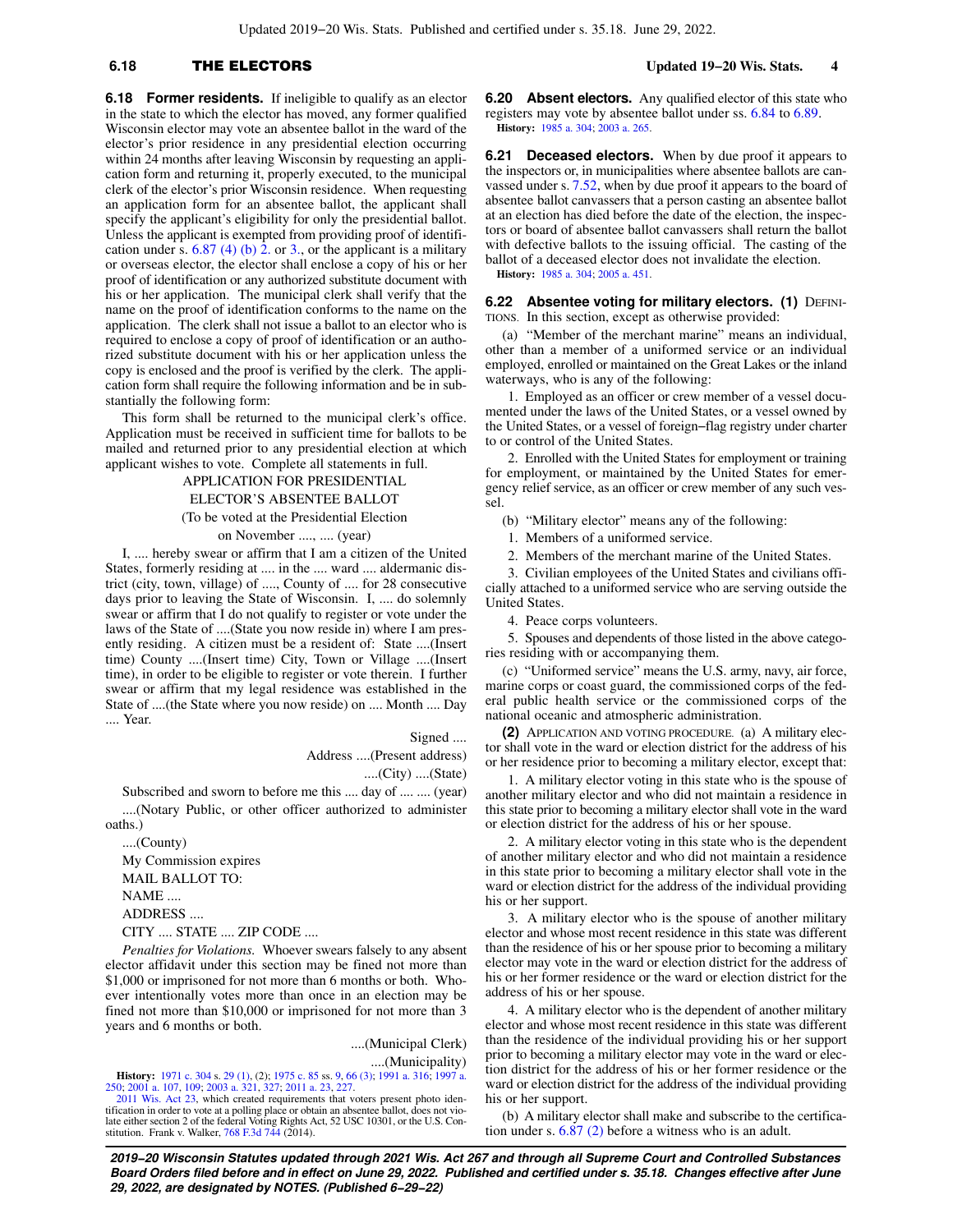## **6.18** THE ELECTORS **Updated 19−20 Wis. Stats. 4**

**6.18 Former residents.** If ineligible to qualify as an elector in the state to which the elector has moved, any former qualified Wisconsin elector may vote an absentee ballot in the ward of the elector's prior residence in any presidential election occurring within 24 months after leaving Wisconsin by requesting an application form and returning it, properly executed, to the municipal clerk of the elector's prior Wisconsin residence. When requesting an application form for an absentee ballot, the applicant shall specify the applicant's eligibility for only the presidential ballot. Unless the applicant is exempted from providing proof of identification under s.  $6.87$  (4) (b) 2. or [3.](https://docs.legis.wisconsin.gov/document/statutes/6.87(4)(b)3.), or the applicant is a military or overseas elector, the elector shall enclose a copy of his or her proof of identification or any authorized substitute document with his or her application. The municipal clerk shall verify that the name on the proof of identification conforms to the name on the application. The clerk shall not issue a ballot to an elector who is required to enclose a copy of proof of identification or an authorized substitute document with his or her application unless the copy is enclosed and the proof is verified by the clerk. The application form shall require the following information and be in substantially the following form:

This form shall be returned to the municipal clerk's office. Application must be received in sufficient time for ballots to be mailed and returned prior to any presidential election at which applicant wishes to vote. Complete all statements in full.

> APPLICATION FOR PRESIDENTIAL ELECTOR'S ABSENTEE BALLOT

(To be voted at the Presidential Election

on November ...., .... (year)

I, .... hereby swear or affirm that I am a citizen of the United States, formerly residing at .... in the .... ward .... aldermanic district (city, town, village) of ...., County of .... for 28 consecutive days prior to leaving the State of Wisconsin. I, .... do solemnly swear or affirm that I do not qualify to register or vote under the laws of the State of ....(State you now reside in) where I am presently residing. A citizen must be a resident of: State ....(Insert time) County ....(Insert time) City, Town or Village ....(Insert time), in order to be eligible to register or vote therein. I further swear or affirm that my legal residence was established in the State of ....(the State where you now reside) on .... Month .... Day .... Year.

Signed ....

Address ....(Present address)

....(City) ....(State)

Subscribed and sworn to before me this .... day of .... .... (year) ....(Notary Public, or other officer authorized to administer oaths.)

....(County) My Commission expires MAIL BALLOT TO: NAME .... ADDRESS .... CITY .... STATE .... ZIP CODE ....

*Penalties for Violations.* Whoever swears falsely to any absent elector affidavit under this section may be fined not more than \$1,000 or imprisoned for not more than 6 months or both. Whoever intentionally votes more than once in an election may be fined not more than \$10,000 or imprisoned for not more than 3 years and 6 months or both.

> ....(Municipal Clerk) ....(Municipality)

**History:** [1971 c. 304](https://docs.legis.wisconsin.gov/document/acts/1971/304) s. [29 \(1\),](https://docs.legis.wisconsin.gov/document/acts/1971/304,%20s.%2029) (2); [1975 c. 85](https://docs.legis.wisconsin.gov/document/acts/1975/85) ss. [9](https://docs.legis.wisconsin.gov/document/acts/1975/85,%20s.%209), [66 \(3\)](https://docs.legis.wisconsin.gov/document/acts/1975/85,%20s.%2066); [1991 a. 316;](https://docs.legis.wisconsin.gov/document/acts/1991/316) [1997 a.](https://docs.legis.wisconsin.gov/document/acts/1997/250) [250](https://docs.legis.wisconsin.gov/document/acts/1997/250); [2001 a. 107,](https://docs.legis.wisconsin.gov/document/acts/2001/107) [109](https://docs.legis.wisconsin.gov/document/acts/2001/109); [2003 a. 321,](https://docs.legis.wisconsin.gov/document/acts/2003/321) [327;](https://docs.legis.wisconsin.gov/document/acts/2003/327) [2011 a. 23,](https://docs.legis.wisconsin.gov/document/acts/2011/23) [227.](https://docs.legis.wisconsin.gov/document/acts/2011/227)

[2011 Wis. Act 23,](https://docs.legis.wisconsin.gov/document/acts/2011/23) which created requirements that voters present photo identification in order to vote at a polling place or obtain an absentee ballot, does not vio-late either section 2 of the federal Voting Rights Act, 52 USC 10301, or the U.S. Constitution. Frank v. Walker,  $768$  F.3d  $744$  (2014).

**6.20 Absent electors.** Any qualified elector of this state who registers may vote by absentee ballot under ss. [6.84](https://docs.legis.wisconsin.gov/document/statutes/6.84) to [6.89.](https://docs.legis.wisconsin.gov/document/statutes/6.89) **History:** [1985 a. 304;](https://docs.legis.wisconsin.gov/document/acts/1985/304) [2003 a. 265](https://docs.legis.wisconsin.gov/document/acts/2003/265).

**6.21 Deceased electors.** When by due proof it appears to the inspectors or, in municipalities where absentee ballots are canvassed under s. [7.52,](https://docs.legis.wisconsin.gov/document/statutes/7.52) when by due proof it appears to the board of absentee ballot canvassers that a person casting an absentee ballot at an election has died before the date of the election, the inspectors or board of absentee ballot canvassers shall return the ballot with defective ballots to the issuing official. The casting of the ballot of a deceased elector does not invalidate the election. **History:** [1985 a. 304;](https://docs.legis.wisconsin.gov/document/acts/1985/304) [2005 a. 451](https://docs.legis.wisconsin.gov/document/acts/2005/451).

**6.22 Absentee voting for military electors. (1) DEFINI-**TIONS. In this section, except as otherwise provided:

(a) "Member of the merchant marine" means an individual, other than a member of a uniformed service or an individual employed, enrolled or maintained on the Great Lakes or the inland waterways, who is any of the following:

1. Employed as an officer or crew member of a vessel documented under the laws of the United States, or a vessel owned by the United States, or a vessel of foreign−flag registry under charter to or control of the United States.

2. Enrolled with the United States for employment or training for employment, or maintained by the United States for emergency relief service, as an officer or crew member of any such vessel.

(b) "Military elector" means any of the following:

- 1. Members of a uniformed service.
- 2. Members of the merchant marine of the United States.

3. Civilian employees of the United States and civilians officially attached to a uniformed service who are serving outside the United States.

4. Peace corps volunteers.

5. Spouses and dependents of those listed in the above categories residing with or accompanying them.

(c) "Uniformed service" means the U.S. army, navy, air force, marine corps or coast guard, the commissioned corps of the federal public health service or the commissioned corps of the national oceanic and atmospheric administration.

**(2)** APPLICATION AND VOTING PROCEDURE. (a) A military elector shall vote in the ward or election district for the address of his or her residence prior to becoming a military elector, except that:

1. A military elector voting in this state who is the spouse of another military elector and who did not maintain a residence in this state prior to becoming a military elector shall vote in the ward or election district for the address of his or her spouse.

2. A military elector voting in this state who is the dependent of another military elector and who did not maintain a residence in this state prior to becoming a military elector shall vote in the ward or election district for the address of the individual providing his or her support.

3. A military elector who is the spouse of another military elector and whose most recent residence in this state was different than the residence of his or her spouse prior to becoming a military elector may vote in the ward or election district for the address of his or her former residence or the ward or election district for the address of his or her spouse.

4. A military elector who is the dependent of another military elector and whose most recent residence in this state was different than the residence of the individual providing his or her support prior to becoming a military elector may vote in the ward or election district for the address of his or her former residence or the ward or election district for the address of the individual providing his or her support.

(b) A military elector shall make and subscribe to the certification under s. [6.87 \(2\)](https://docs.legis.wisconsin.gov/document/statutes/6.87(2)) before a witness who is an adult.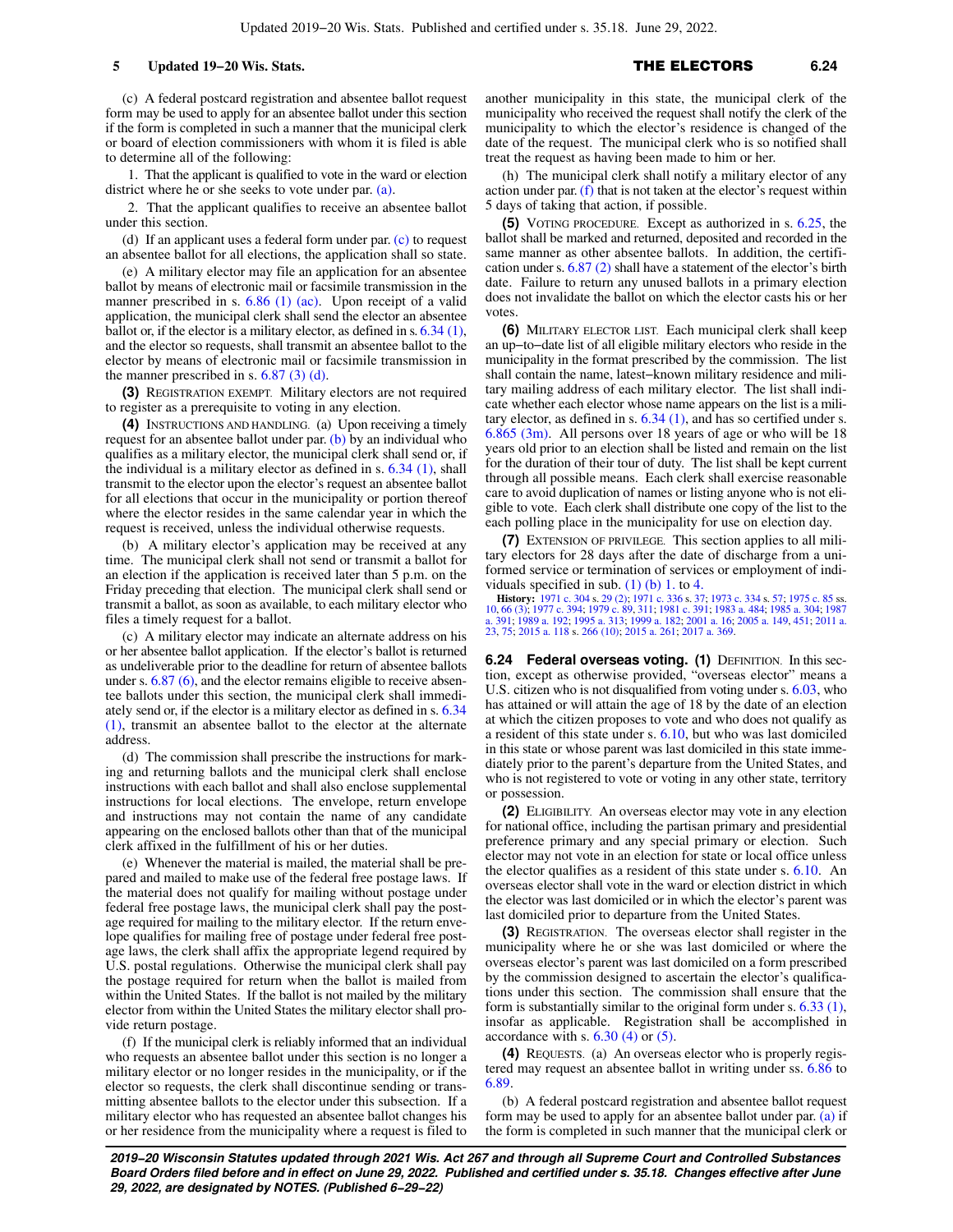(c) A federal postcard registration and absentee ballot request form may be used to apply for an absentee ballot under this section if the form is completed in such a manner that the municipal clerk or board of election commissioners with whom it is filed is able to determine all of the following:

1. That the applicant is qualified to vote in the ward or election district where he or she seeks to vote under par. [\(a\)](https://docs.legis.wisconsin.gov/document/statutes/6.22(2)(a)).

2. That the applicant qualifies to receive an absentee ballot under this section.

(d) If an applicant uses a federal form under par. [\(c\)](https://docs.legis.wisconsin.gov/document/statutes/6.22(2)(c)) to request an absentee ballot for all elections, the application shall so state.

(e) A military elector may file an application for an absentee ballot by means of electronic mail or facsimile transmission in the manner prescribed in s. [6.86 \(1\) \(ac\).](https://docs.legis.wisconsin.gov/document/statutes/6.86(1)(ac)) Upon receipt of a valid application, the municipal clerk shall send the elector an absentee ballot or, if the elector is a military elector, as defined in s. [6.34 \(1\),](https://docs.legis.wisconsin.gov/document/statutes/6.34(1)) and the elector so requests, shall transmit an absentee ballot to the elector by means of electronic mail or facsimile transmission in the manner prescribed in s.  $6.87$  (3) (d).

**(3)** REGISTRATION EXEMPT. Military electors are not required to register as a prerequisite to voting in any election.

**(4)** INSTRUCTIONS AND HANDLING. (a) Upon receiving a timely request for an absentee ballot under par. [\(b\)](https://docs.legis.wisconsin.gov/document/statutes/6.22(4)(b)) by an individual who qualifies as a military elector, the municipal clerk shall send or, if the individual is a military elector as defined in s.  $6.34$  (1), shall transmit to the elector upon the elector's request an absentee ballot for all elections that occur in the municipality or portion thereof where the elector resides in the same calendar year in which the request is received, unless the individual otherwise requests.

(b) A military elector's application may be received at any time. The municipal clerk shall not send or transmit a ballot for an election if the application is received later than 5 p.m. on the Friday preceding that election. The municipal clerk shall send or transmit a ballot, as soon as available, to each military elector who files a timely request for a ballot.

(c) A military elector may indicate an alternate address on his or her absentee ballot application. If the elector's ballot is returned as undeliverable prior to the deadline for return of absentee ballots under s. [6.87 \(6\),](https://docs.legis.wisconsin.gov/document/statutes/6.87(6)) and the elector remains eligible to receive absentee ballots under this section, the municipal clerk shall immediately send or, if the elector is a military elector as defined in s. [6.34](https://docs.legis.wisconsin.gov/document/statutes/6.34(1)) [\(1\)](https://docs.legis.wisconsin.gov/document/statutes/6.34(1)), transmit an absentee ballot to the elector at the alternate address.

(d) The commission shall prescribe the instructions for marking and returning ballots and the municipal clerk shall enclose instructions with each ballot and shall also enclose supplemental instructions for local elections. The envelope, return envelope and instructions may not contain the name of any candidate appearing on the enclosed ballots other than that of the municipal clerk affixed in the fulfillment of his or her duties.

(e) Whenever the material is mailed, the material shall be prepared and mailed to make use of the federal free postage laws. If the material does not qualify for mailing without postage under federal free postage laws, the municipal clerk shall pay the postage required for mailing to the military elector. If the return envelope qualifies for mailing free of postage under federal free postage laws, the clerk shall affix the appropriate legend required by U.S. postal regulations. Otherwise the municipal clerk shall pay the postage required for return when the ballot is mailed from within the United States. If the ballot is not mailed by the military elector from within the United States the military elector shall provide return postage.

(f) If the municipal clerk is reliably informed that an individual who requests an absentee ballot under this section is no longer a military elector or no longer resides in the municipality, or if the elector so requests, the clerk shall discontinue sending or transmitting absentee ballots to the elector under this subsection. If a military elector who has requested an absentee ballot changes his or her residence from the municipality where a request is filed to

another municipality in this state, the municipal clerk of the municipality who received the request shall notify the clerk of the municipality to which the elector's residence is changed of the date of the request. The municipal clerk who is so notified shall treat the request as having been made to him or her.

(h) The municipal clerk shall notify a military elector of any action under par.  $(f)$  that is not taken at the elector's request within 5 days of taking that action, if possible.

**(5)** VOTING PROCEDURE. Except as authorized in s. [6.25](https://docs.legis.wisconsin.gov/document/statutes/6.25), the ballot shall be marked and returned, deposited and recorded in the same manner as other absentee ballots. In addition, the certification under s. [6.87 \(2\)](https://docs.legis.wisconsin.gov/document/statutes/6.87(2)) shall have a statement of the elector's birth date. Failure to return any unused ballots in a primary election does not invalidate the ballot on which the elector casts his or her votes.

**(6)** MILITARY ELECTOR LIST. Each municipal clerk shall keep an up−to−date list of all eligible military electors who reside in the municipality in the format prescribed by the commission. The list shall contain the name, latest−known military residence and military mailing address of each military elector. The list shall indicate whether each elector whose name appears on the list is a military elector, as defined in s.  $6.34$  (1), and has so certified under s. [6.865 \(3m\)](https://docs.legis.wisconsin.gov/document/statutes/6.865(3m)). All persons over 18 years of age or who will be 18 years old prior to an election shall be listed and remain on the list for the duration of their tour of duty. The list shall be kept current through all possible means. Each clerk shall exercise reasonable care to avoid duplication of names or listing anyone who is not eligible to vote. Each clerk shall distribute one copy of the list to the each polling place in the municipality for use on election day.

**(7)** EXTENSION OF PRIVILEGE. This section applies to all military electors for 28 days after the date of discharge from a uniformed service or termination of services or employment of individuals specified in sub.  $(1)$  (b) 1. to [4.](https://docs.legis.wisconsin.gov/document/statutes/6.22(1)(b)4.)

**History:** [1971 c. 304](https://docs.legis.wisconsin.gov/document/acts/1971/304) s. [29 \(2\)](https://docs.legis.wisconsin.gov/document/acts/1971/304,%20s.%2029); [1971 c. 336](https://docs.legis.wisconsin.gov/document/acts/1971/336) s. [37](https://docs.legis.wisconsin.gov/document/acts/1971/336,%20s.%2037); [1973 c. 334](https://docs.legis.wisconsin.gov/document/acts/1973/334) s. [57](https://docs.legis.wisconsin.gov/document/acts/1973/334,%20s.%2057); [1975 c. 85](https://docs.legis.wisconsin.gov/document/acts/1975/85) ss. [10](https://docs.legis.wisconsin.gov/document/acts/1975/85,%20s.%2010), [66 \(3\);](https://docs.legis.wisconsin.gov/document/acts/1975/85,%20s.%2066) [1977 c. 394](https://docs.legis.wisconsin.gov/document/acts/1977/394); [1979 c. 89,](https://docs.legis.wisconsin.gov/document/acts/1979/89) [311](https://docs.legis.wisconsin.gov/document/acts/1979/311); [1981 c. 391;](https://docs.legis.wisconsin.gov/document/acts/1981/391) [1983 a. 484](https://docs.legis.wisconsin.gov/document/acts/1983/484); [1985 a. 304;](https://docs.legis.wisconsin.gov/document/acts/1985/304) [1987](https://docs.legis.wisconsin.gov/document/acts/1987/391) [a. 391;](https://docs.legis.wisconsin.gov/document/acts/1987/391) [1989 a. 192](https://docs.legis.wisconsin.gov/document/acts/1989/192); [1995 a. 313](https://docs.legis.wisconsin.gov/document/acts/1995/313); [1999 a. 182;](https://docs.legis.wisconsin.gov/document/acts/1999/182) [2001 a. 16](https://docs.legis.wisconsin.gov/document/acts/2001/16); [2005 a. 149,](https://docs.legis.wisconsin.gov/document/acts/2005/149) [451](https://docs.legis.wisconsin.gov/document/acts/2005/451); [2011 a.](https://docs.legis.wisconsin.gov/document/acts/2011/23) [23](https://docs.legis.wisconsin.gov/document/acts/2011/23), [75;](https://docs.legis.wisconsin.gov/document/acts/2011/75) [2015 a. 118](https://docs.legis.wisconsin.gov/document/acts/2015/118) s. [266 \(10\);](https://docs.legis.wisconsin.gov/document/acts/2015/118,%20s.%20266) [2015 a. 261;](https://docs.legis.wisconsin.gov/document/acts/2015/261) [2017 a. 369](https://docs.legis.wisconsin.gov/document/acts/2017/369).

**6.24 Federal overseas voting. (1)** DEFINITION. In this section, except as otherwise provided, "overseas elector" means a U.S. citizen who is not disqualified from voting under s. [6.03](https://docs.legis.wisconsin.gov/document/statutes/6.03), who has attained or will attain the age of 18 by the date of an election at which the citizen proposes to vote and who does not qualify as a resident of this state under s. [6.10](https://docs.legis.wisconsin.gov/document/statutes/6.10), but who was last domiciled in this state or whose parent was last domiciled in this state immediately prior to the parent's departure from the United States, and who is not registered to vote or voting in any other state, territory or possession.

**(2)** ELIGIBILITY. An overseas elector may vote in any election for national office, including the partisan primary and presidential preference primary and any special primary or election. Such elector may not vote in an election for state or local office unless the elector qualifies as a resident of this state under s. [6.10.](https://docs.legis.wisconsin.gov/document/statutes/6.10) An overseas elector shall vote in the ward or election district in which the elector was last domiciled or in which the elector's parent was last domiciled prior to departure from the United States.

**(3)** REGISTRATION. The overseas elector shall register in the municipality where he or she was last domiciled or where the overseas elector's parent was last domiciled on a form prescribed by the commission designed to ascertain the elector's qualifications under this section. The commission shall ensure that the form is substantially similar to the original form under s. [6.33 \(1\),](https://docs.legis.wisconsin.gov/document/statutes/6.33(1)) insofar as applicable. Registration shall be accomplished in accordance with s.  $6.30$  (4) or  $(5)$ .

**(4)** REQUESTS. (a) An overseas elector who is properly registered may request an absentee ballot in writing under ss. [6.86](https://docs.legis.wisconsin.gov/document/statutes/6.86) to [6.89.](https://docs.legis.wisconsin.gov/document/statutes/6.89)

(b) A federal postcard registration and absentee ballot request form may be used to apply for an absentee ballot under par. [\(a\)](https://docs.legis.wisconsin.gov/document/statutes/6.24(4)(a)) if the form is completed in such manner that the municipal clerk or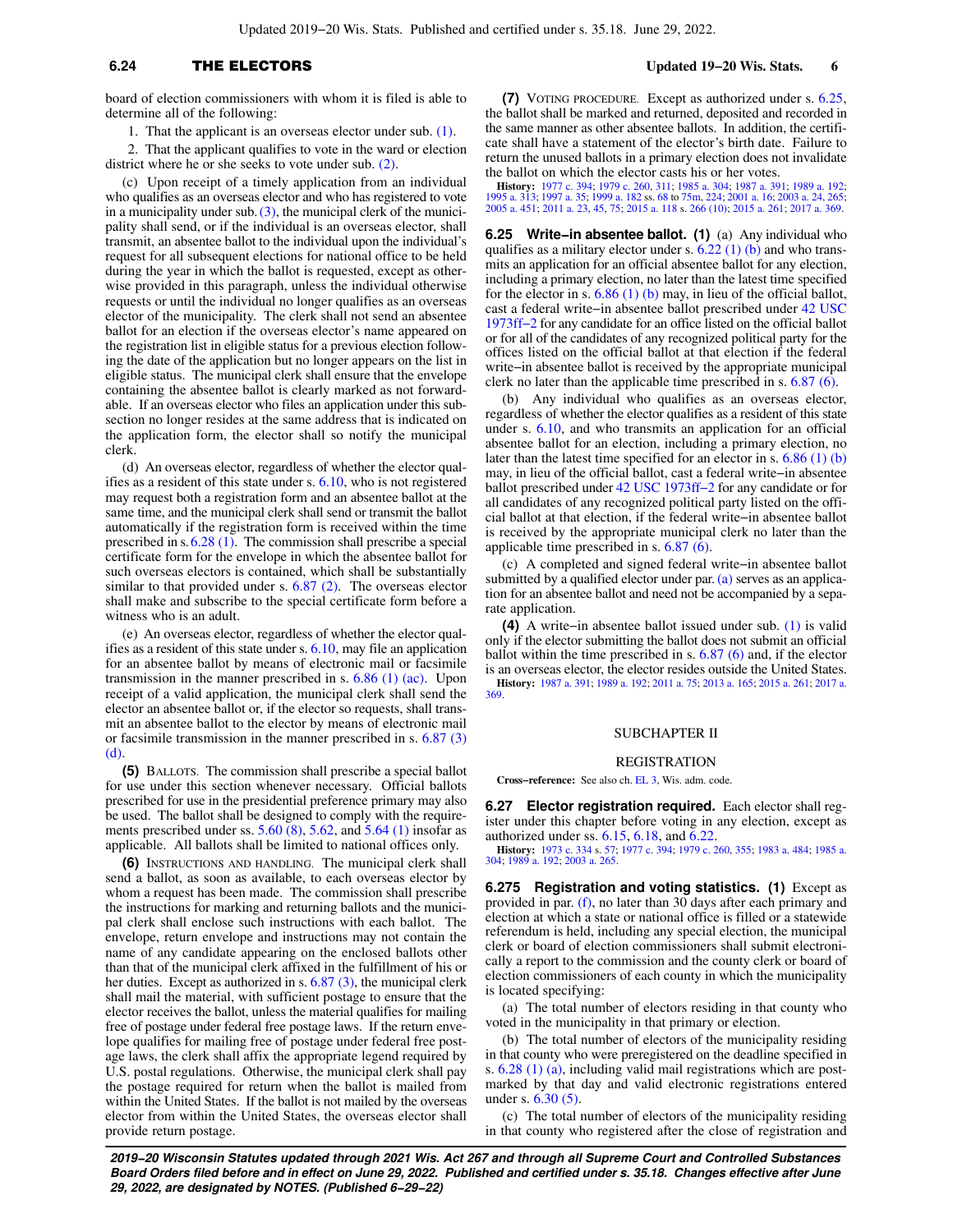## **6.24** THE ELECTORS **Updated 19−20 Wis. Stats. 6**

board of election commissioners with whom it is filed is able to determine all of the following:

1. That the applicant is an overseas elector under sub. [\(1\)](https://docs.legis.wisconsin.gov/document/statutes/6.24(1)).

2. That the applicant qualifies to vote in the ward or election district where he or she seeks to vote under sub. [\(2\)](https://docs.legis.wisconsin.gov/document/statutes/6.24(2)).

(c) Upon receipt of a timely application from an individual who qualifies as an overseas elector and who has registered to vote in a municipality under sub.  $(3)$ , the municipal clerk of the municipality shall send, or if the individual is an overseas elector, shall transmit, an absentee ballot to the individual upon the individual's request for all subsequent elections for national office to be held during the year in which the ballot is requested, except as otherwise provided in this paragraph, unless the individual otherwise requests or until the individual no longer qualifies as an overseas elector of the municipality. The clerk shall not send an absentee ballot for an election if the overseas elector's name appeared on the registration list in eligible status for a previous election following the date of the application but no longer appears on the list in eligible status. The municipal clerk shall ensure that the envelope containing the absentee ballot is clearly marked as not forwardable. If an overseas elector who files an application under this subsection no longer resides at the same address that is indicated on the application form, the elector shall so notify the municipal clerk.

(d) An overseas elector, regardless of whether the elector qualifies as a resident of this state under s. [6.10,](https://docs.legis.wisconsin.gov/document/statutes/6.10) who is not registered may request both a registration form and an absentee ballot at the same time, and the municipal clerk shall send or transmit the ballot automatically if the registration form is received within the time prescribed in s. [6.28 \(1\).](https://docs.legis.wisconsin.gov/document/statutes/6.28(1)) The commission shall prescribe a special certificate form for the envelope in which the absentee ballot for such overseas electors is contained, which shall be substantially similar to that provided under s. [6.87 \(2\)](https://docs.legis.wisconsin.gov/document/statutes/6.87(2)). The overseas elector shall make and subscribe to the special certificate form before a witness who is an adult.

(e) An overseas elector, regardless of whether the elector qualifies as a resident of this state under s. [6.10,](https://docs.legis.wisconsin.gov/document/statutes/6.10) may file an application for an absentee ballot by means of electronic mail or facsimile transmission in the manner prescribed in s.  $6.86$  (1) (ac). Upon receipt of a valid application, the municipal clerk shall send the elector an absentee ballot or, if the elector so requests, shall transmit an absentee ballot to the elector by means of electronic mail or facsimile transmission in the manner prescribed in s. [6.87 \(3\)](https://docs.legis.wisconsin.gov/document/statutes/6.87(3)(d)) [\(d\)](https://docs.legis.wisconsin.gov/document/statutes/6.87(3)(d)).

**(5)** BALLOTS. The commission shall prescribe a special ballot for use under this section whenever necessary. Official ballots prescribed for use in the presidential preference primary may also be used. The ballot shall be designed to comply with the requirements prescribed under ss. [5.60 \(8\)](https://docs.legis.wisconsin.gov/document/statutes/5.60(8)), [5.62,](https://docs.legis.wisconsin.gov/document/statutes/5.62) and [5.64 \(1\)](https://docs.legis.wisconsin.gov/document/statutes/5.64(1)) insofar as applicable. All ballots shall be limited to national offices only.

**(6)** INSTRUCTIONS AND HANDLING. The municipal clerk shall send a ballot, as soon as available, to each overseas elector by whom a request has been made. The commission shall prescribe the instructions for marking and returning ballots and the municipal clerk shall enclose such instructions with each ballot. The envelope, return envelope and instructions may not contain the name of any candidate appearing on the enclosed ballots other than that of the municipal clerk affixed in the fulfillment of his or her duties. Except as authorized in s. [6.87 \(3\),](https://docs.legis.wisconsin.gov/document/statutes/6.87(3)) the municipal clerk shall mail the material, with sufficient postage to ensure that the elector receives the ballot, unless the material qualifies for mailing free of postage under federal free postage laws. If the return envelope qualifies for mailing free of postage under federal free postage laws, the clerk shall affix the appropriate legend required by U.S. postal regulations. Otherwise, the municipal clerk shall pay the postage required for return when the ballot is mailed from within the United States. If the ballot is not mailed by the overseas elector from within the United States, the overseas elector shall provide return postage.

**(7)** VOTING PROCEDURE. Except as authorized under s. [6.25,](https://docs.legis.wisconsin.gov/document/statutes/6.25) the ballot shall be marked and returned, deposited and recorded in the same manner as other absentee ballots. In addition, the certificate shall have a statement of the elector's birth date. Failure to return the unused ballots in a primary election does not invalidate the ballot on which the elector casts his or her votes.

**History:** [1977 c. 394;](https://docs.legis.wisconsin.gov/document/acts/1977/394) [1979 c. 260,](https://docs.legis.wisconsin.gov/document/acts/1979/260) [311;](https://docs.legis.wisconsin.gov/document/acts/1979/311) [1985 a. 304](https://docs.legis.wisconsin.gov/document/acts/1985/304); [1987 a. 391](https://docs.legis.wisconsin.gov/document/acts/1987/391); [1989 a. 192](https://docs.legis.wisconsin.gov/document/acts/1989/192); [1995 a. 313](https://docs.legis.wisconsin.gov/document/acts/1995/313); [1997 a. 35;](https://docs.legis.wisconsin.gov/document/acts/1997/35) [1999 a. 182](https://docs.legis.wisconsin.gov/document/acts/1999/182) ss. [68](https://docs.legis.wisconsin.gov/document/acts/1999/182,%20s.%2068) to [75m](https://docs.legis.wisconsin.gov/document/acts/1999/182,%20s.%2075m), [224](https://docs.legis.wisconsin.gov/document/acts/1999/182,%20s.%20224); [2001 a. 16](https://docs.legis.wisconsin.gov/document/acts/2001/16); [2003 a. 24,](https://docs.legis.wisconsin.gov/document/acts/2003/24) [265](https://docs.legis.wisconsin.gov/document/acts/2003/265); [2005 a. 451;](https://docs.legis.wisconsin.gov/document/acts/2005/451) [2011 a. 23,](https://docs.legis.wisconsin.gov/document/acts/2011/23) [45](https://docs.legis.wisconsin.gov/document/acts/2011/45), [75;](https://docs.legis.wisconsin.gov/document/acts/2011/75) [2015 a. 118](https://docs.legis.wisconsin.gov/document/acts/2015/118) s. [266 \(10\)](https://docs.legis.wisconsin.gov/document/acts/2015/118,%20s.%20266); [2015 a. 261](https://docs.legis.wisconsin.gov/document/acts/2015/261); [2017 a. 369.](https://docs.legis.wisconsin.gov/document/acts/2017/369)

**6.25 Write−in absentee ballot. (1)** (a) Any individual who qualifies as a military elector under s.  $6.22$  (1) (b) and who transmits an application for an official absentee ballot for any election, including a primary election, no later than the latest time specified for the elector in s.  $6.86$  (1) (b) may, in lieu of the official ballot, cast a federal write−in absentee ballot prescribed under [42 USC](https://docs.legis.wisconsin.gov/document/usc/42%20USC%201973ff-2) [1973ff−2](https://docs.legis.wisconsin.gov/document/usc/42%20USC%201973ff-2) for any candidate for an office listed on the official ballot or for all of the candidates of any recognized political party for the offices listed on the official ballot at that election if the federal write−in absentee ballot is received by the appropriate municipal clerk no later than the applicable time prescribed in s.  $6.87(6)$ .

(b) Any individual who qualifies as an overseas elector, regardless of whether the elector qualifies as a resident of this state under s. [6.10,](https://docs.legis.wisconsin.gov/document/statutes/6.10) and who transmits an application for an official absentee ballot for an election, including a primary election, no later than the latest time specified for an elector in s. [6.86 \(1\) \(b\)](https://docs.legis.wisconsin.gov/document/statutes/6.86(1)(b)) may, in lieu of the official ballot, cast a federal write−in absentee ballot prescribed under [42 USC 1973ff−2](https://docs.legis.wisconsin.gov/document/usc/42%20USC%201973ff-2) for any candidate or for all candidates of any recognized political party listed on the official ballot at that election, if the federal write−in absentee ballot is received by the appropriate municipal clerk no later than the applicable time prescribed in s. [6.87 \(6\).](https://docs.legis.wisconsin.gov/document/statutes/6.87(6))

(c) A completed and signed federal write−in absentee ballot submitted by a qualified elector under par.  $(a)$  serves as an application for an absentee ballot and need not be accompanied by a separate application.

**(4)** A write−in absentee ballot issued under sub. [\(1\)](https://docs.legis.wisconsin.gov/document/statutes/6.25(1)) is valid only if the elector submitting the ballot does not submit an official ballot within the time prescribed in s. [6.87 \(6\)](https://docs.legis.wisconsin.gov/document/statutes/6.87(6)) and, if the elector is an overseas elector, the elector resides outside the United States. **History:** [1987 a. 391;](https://docs.legis.wisconsin.gov/document/acts/1987/391) [1989 a. 192;](https://docs.legis.wisconsin.gov/document/acts/1989/192) [2011 a. 75](https://docs.legis.wisconsin.gov/document/acts/2011/75); [2013 a. 165](https://docs.legis.wisconsin.gov/document/acts/2013/165); [2015 a. 261](https://docs.legis.wisconsin.gov/document/acts/2015/261); [2017 a.](https://docs.legis.wisconsin.gov/document/acts/2017/369) [369.](https://docs.legis.wisconsin.gov/document/acts/2017/369)

### SUBCHAPTER II

### REGISTRATION

**Cross−reference:** See also ch. [EL 3](https://docs.legis.wisconsin.gov/document/administrativecode/ch.%20EL%203), Wis. adm. code.

**6.27 Elector registration required.** Each elector shall register under this chapter before voting in any election, except as authorized under ss. [6.15,](https://docs.legis.wisconsin.gov/document/statutes/6.15) [6.18](https://docs.legis.wisconsin.gov/document/statutes/6.18), and [6.22.](https://docs.legis.wisconsin.gov/document/statutes/6.22)

**History:** [1973 c. 334](https://docs.legis.wisconsin.gov/document/acts/1973/334) s. [57;](https://docs.legis.wisconsin.gov/document/acts/1973/334,%20s.%2057) [1977 c. 394](https://docs.legis.wisconsin.gov/document/acts/1977/394); [1979 c. 260,](https://docs.legis.wisconsin.gov/document/acts/1979/260) [355](https://docs.legis.wisconsin.gov/document/acts/1979/355); [1983 a. 484;](https://docs.legis.wisconsin.gov/document/acts/1983/484) [1985 a.](https://docs.legis.wisconsin.gov/document/acts/1985/304) [304;](https://docs.legis.wisconsin.gov/document/acts/1985/304) [1989 a. 192](https://docs.legis.wisconsin.gov/document/acts/1989/192); [2003 a. 265.](https://docs.legis.wisconsin.gov/document/acts/2003/265)

**6.275 Registration and voting statistics. (1)** Except as provided in par. [\(f\)](https://docs.legis.wisconsin.gov/document/statutes/6.275(1)(f)), no later than 30 days after each primary and election at which a state or national office is filled or a statewide referendum is held, including any special election, the municipal clerk or board of election commissioners shall submit electronically a report to the commission and the county clerk or board of election commissioners of each county in which the municipality is located specifying:

(a) The total number of electors residing in that county who voted in the municipality in that primary or election.

(b) The total number of electors of the municipality residing in that county who were preregistered on the deadline specified in s. [6.28 \(1\) \(a\)](https://docs.legis.wisconsin.gov/document/statutes/6.28(1)(a)), including valid mail registrations which are postmarked by that day and valid electronic registrations entered under s. [6.30 \(5\).](https://docs.legis.wisconsin.gov/document/statutes/6.30(5))

(c) The total number of electors of the municipality residing in that county who registered after the close of registration and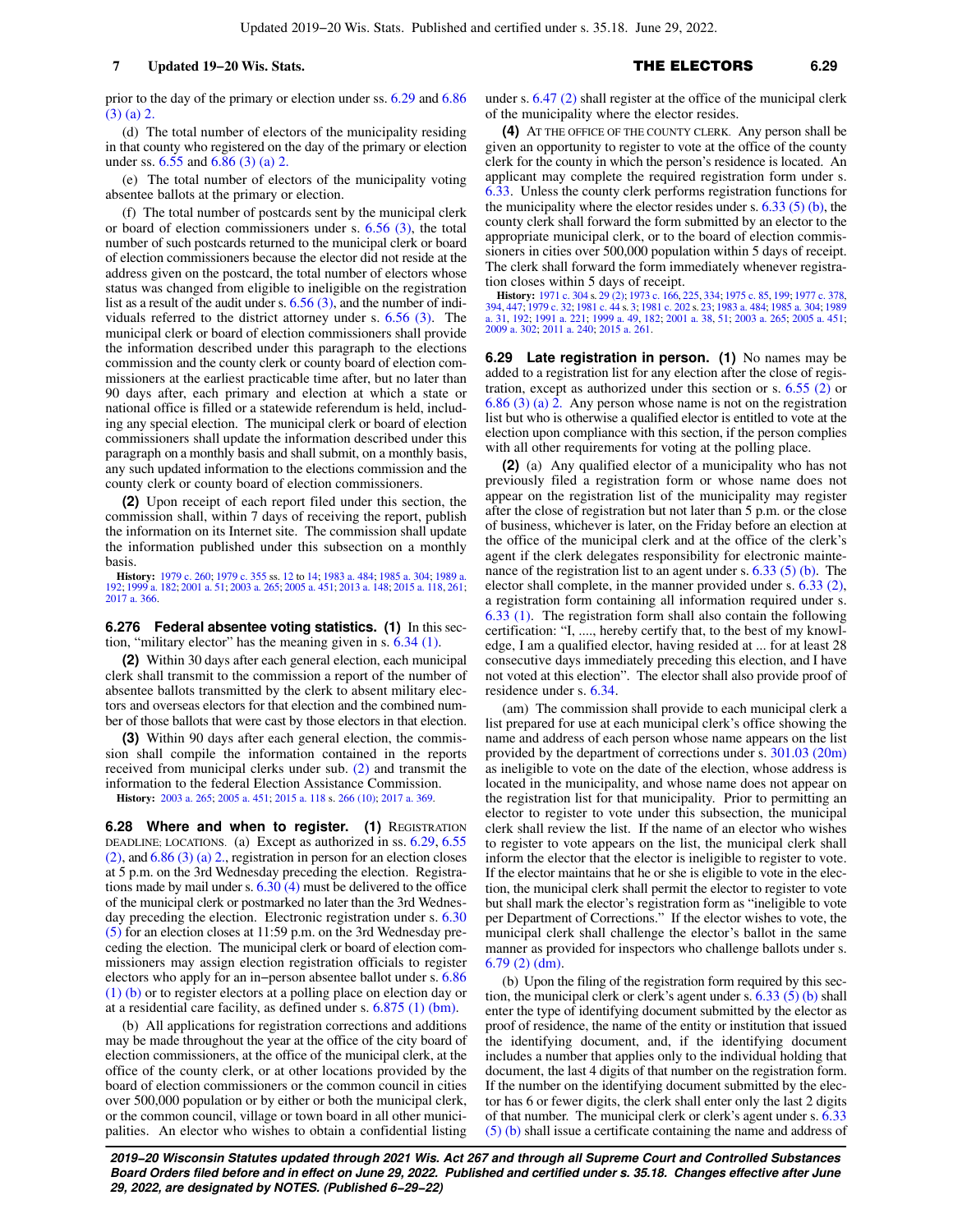prior to the day of the primary or election under ss. [6.29](https://docs.legis.wisconsin.gov/document/statutes/6.29) and [6.86](https://docs.legis.wisconsin.gov/document/statutes/6.86(3)(a)2.) [\(3\) \(a\) 2.](https://docs.legis.wisconsin.gov/document/statutes/6.86(3)(a)2.)

(d) The total number of electors of the municipality residing in that county who registered on the day of the primary or election under ss. [6.55](https://docs.legis.wisconsin.gov/document/statutes/6.55) and [6.86 \(3\) \(a\) 2.](https://docs.legis.wisconsin.gov/document/statutes/6.86(3)(a)2.)

(e) The total number of electors of the municipality voting absentee ballots at the primary or election.

(f) The total number of postcards sent by the municipal clerk or board of election commissioners under s. [6.56 \(3\)](https://docs.legis.wisconsin.gov/document/statutes/6.56(3)), the total number of such postcards returned to the municipal clerk or board of election commissioners because the elector did not reside at the address given on the postcard, the total number of electors whose status was changed from eligible to ineligible on the registration list as a result of the audit under s.  $6.56(3)$ , and the number of individuals referred to the district attorney under s. [6.56 \(3\)](https://docs.legis.wisconsin.gov/document/statutes/6.56(3)). The municipal clerk or board of election commissioners shall provide the information described under this paragraph to the elections commission and the county clerk or county board of election commissioners at the earliest practicable time after, but no later than 90 days after, each primary and election at which a state or national office is filled or a statewide referendum is held, including any special election. The municipal clerk or board of election commissioners shall update the information described under this paragraph on a monthly basis and shall submit, on a monthly basis, any such updated information to the elections commission and the county clerk or county board of election commissioners.

**(2)** Upon receipt of each report filed under this section, the commission shall, within 7 days of receiving the report, publish the information on its Internet site. The commission shall update the information published under this subsection on a monthly basis.

**History:** [1979 c. 260](https://docs.legis.wisconsin.gov/document/acts/1979/260); [1979 c. 355](https://docs.legis.wisconsin.gov/document/acts/1979/355) ss. [12](https://docs.legis.wisconsin.gov/document/acts/1979/355,%20s.%2012) to [14](https://docs.legis.wisconsin.gov/document/acts/1979/355,%20s.%2014); [1983 a. 484](https://docs.legis.wisconsin.gov/document/acts/1983/484); [1985 a. 304](https://docs.legis.wisconsin.gov/document/acts/1985/304); [1989 a.](https://docs.legis.wisconsin.gov/document/acts/1989/192) [192](https://docs.legis.wisconsin.gov/document/acts/1989/192); [1999 a. 182](https://docs.legis.wisconsin.gov/document/acts/1999/182); [2001 a. 51;](https://docs.legis.wisconsin.gov/document/acts/2001/51) [2003 a. 265;](https://docs.legis.wisconsin.gov/document/acts/2003/265) [2005 a. 451;](https://docs.legis.wisconsin.gov/document/acts/2005/451) [2013 a. 148;](https://docs.legis.wisconsin.gov/document/acts/2013/148) [2015 a. 118,](https://docs.legis.wisconsin.gov/document/acts/2015/118) [261](https://docs.legis.wisconsin.gov/document/acts/2015/261); [2017 a. 366.](https://docs.legis.wisconsin.gov/document/acts/2017/366)

**6.276 Federal absentee voting statistics. (1)** In this section, "military elector" has the meaning given in s. [6.34 \(1\).](https://docs.legis.wisconsin.gov/document/statutes/6.34(1))

**(2)** Within 30 days after each general election, each municipal clerk shall transmit to the commission a report of the number of absentee ballots transmitted by the clerk to absent military electors and overseas electors for that election and the combined number of those ballots that were cast by those electors in that election.

**(3)** Within 90 days after each general election, the commission shall compile the information contained in the reports received from municipal clerks under sub. [\(2\)](https://docs.legis.wisconsin.gov/document/statutes/6.276(2)) and transmit the information to the federal Election Assistance Commission.

**History:** [2003 a. 265](https://docs.legis.wisconsin.gov/document/acts/2003/265); [2005 a. 451](https://docs.legis.wisconsin.gov/document/acts/2005/451); [2015 a. 118](https://docs.legis.wisconsin.gov/document/acts/2015/118) s. [266 \(10\)](https://docs.legis.wisconsin.gov/document/acts/2015/118,%20s.%20266); [2017 a. 369](https://docs.legis.wisconsin.gov/document/acts/2017/369).

**6.28 Where and when to register. (1)** REGISTRATION DEADLINE; LOCATIONS. (a) Except as authorized in ss. [6.29,](https://docs.legis.wisconsin.gov/document/statutes/6.29) [6.55](https://docs.legis.wisconsin.gov/document/statutes/6.55(2)) [\(2\)](https://docs.legis.wisconsin.gov/document/statutes/6.55(2)), and [6.86 \(3\) \(a\) 2.,](https://docs.legis.wisconsin.gov/document/statutes/6.86(3)(a)2.) registration in person for an election closes at 5 p.m. on the 3rd Wednesday preceding the election. Registrations made by mail under s. [6.30 \(4\)](https://docs.legis.wisconsin.gov/document/statutes/6.30(4)) must be delivered to the office of the municipal clerk or postmarked no later than the 3rd Wednesday preceding the election. Electronic registration under s. [6.30](https://docs.legis.wisconsin.gov/document/statutes/6.30(5)) [\(5\)](https://docs.legis.wisconsin.gov/document/statutes/6.30(5)) for an election closes at 11:59 p.m. on the 3rd Wednesday preceding the election. The municipal clerk or board of election commissioners may assign election registration officials to register electors who apply for an in−person absentee ballot under s. [6.86](https://docs.legis.wisconsin.gov/document/statutes/6.86(1)(b)) [\(1\) \(b\)](https://docs.legis.wisconsin.gov/document/statutes/6.86(1)(b)) or to register electors at a polling place on election day or at a residential care facility, as defined under s. [6.875 \(1\) \(bm\).](https://docs.legis.wisconsin.gov/document/statutes/6.875(1)(bm))

(b) All applications for registration corrections and additions may be made throughout the year at the office of the city board of election commissioners, at the office of the municipal clerk, at the office of the county clerk, or at other locations provided by the board of election commissioners or the common council in cities over 500,000 population or by either or both the municipal clerk, or the common council, village or town board in all other municipalities. An elector who wishes to obtain a confidential listing

under s. [6.47 \(2\)](https://docs.legis.wisconsin.gov/document/statutes/6.47(2)) shall register at the office of the municipal clerk of the municipality where the elector resides.

**(4)** AT THE OFFICE OF THE COUNTY CLERK. Any person shall be given an opportunity to register to vote at the office of the county clerk for the county in which the person's residence is located. An applicant may complete the required registration form under s. [6.33.](https://docs.legis.wisconsin.gov/document/statutes/6.33) Unless the county clerk performs registration functions for the municipality where the elector resides under s.  $6.33$  (5) (b), the county clerk shall forward the form submitted by an elector to the appropriate municipal clerk, or to the board of election commissioners in cities over 500,000 population within 5 days of receipt. The clerk shall forward the form immediately whenever registration closes within 5 days of receipt.

**History:** [1971 c. 304](https://docs.legis.wisconsin.gov/document/acts/1971/304) s. [29 \(2\)](https://docs.legis.wisconsin.gov/document/acts/1971/304,%20s.%2029); [1973 c. 166,](https://docs.legis.wisconsin.gov/document/acts/1973/166) [225](https://docs.legis.wisconsin.gov/document/acts/1973/225), [334;](https://docs.legis.wisconsin.gov/document/acts/1973/334) [1975 c. 85](https://docs.legis.wisconsin.gov/document/acts/1975/85), [199;](https://docs.legis.wisconsin.gov/document/acts/1975/199) [1977 c. 378](https://docs.legis.wisconsin.gov/document/acts/1977/378), [394,](https://docs.legis.wisconsin.gov/document/acts/1977/394) [447;](https://docs.legis.wisconsin.gov/document/acts/1977/447) [1979 c. 32](https://docs.legis.wisconsin.gov/document/acts/1979/32); [1981 c. 44](https://docs.legis.wisconsin.gov/document/acts/1981/44) s. [3;](https://docs.legis.wisconsin.gov/document/acts/1981/44,%20s.%203) [1981 c. 202](https://docs.legis.wisconsin.gov/document/acts/1981/202) s. [23](https://docs.legis.wisconsin.gov/document/acts/1981/202,%20s.%2023); [1983 a. 484](https://docs.legis.wisconsin.gov/document/acts/1983/484); [1985 a. 304](https://docs.legis.wisconsin.gov/document/acts/1985/304); [1989](https://docs.legis.wisconsin.gov/document/acts/1989/31) [a. 31,](https://docs.legis.wisconsin.gov/document/acts/1989/31) [192;](https://docs.legis.wisconsin.gov/document/acts/1989/192) [1991 a. 221;](https://docs.legis.wisconsin.gov/document/acts/1991/221) [1999 a. 49](https://docs.legis.wisconsin.gov/document/acts/1999/49), [182](https://docs.legis.wisconsin.gov/document/acts/1999/182); [2001 a. 38,](https://docs.legis.wisconsin.gov/document/acts/2001/38) [51](https://docs.legis.wisconsin.gov/document/acts/2001/51); [2003 a. 265](https://docs.legis.wisconsin.gov/document/acts/2003/265); [2005 a. 451](https://docs.legis.wisconsin.gov/document/acts/2005/451); [2009 a. 302;](https://docs.legis.wisconsin.gov/document/acts/2009/302) [2011 a. 240](https://docs.legis.wisconsin.gov/document/acts/2011/240); [2015 a. 261](https://docs.legis.wisconsin.gov/document/acts/2015/261).

**6.29 Late registration in person. (1)** No names may be added to a registration list for any election after the close of registration, except as authorized under this section or s. [6.55 \(2\)](https://docs.legis.wisconsin.gov/document/statutes/6.55(2)) or [6.86 \(3\) \(a\) 2.](https://docs.legis.wisconsin.gov/document/statutes/6.86(3)(a)2.) Any person whose name is not on the registration list but who is otherwise a qualified elector is entitled to vote at the election upon compliance with this section, if the person complies with all other requirements for voting at the polling place.

**(2)** (a) Any qualified elector of a municipality who has not previously filed a registration form or whose name does not appear on the registration list of the municipality may register after the close of registration but not later than 5 p.m. or the close of business, whichever is later, on the Friday before an election at the office of the municipal clerk and at the office of the clerk's agent if the clerk delegates responsibility for electronic maintenance of the registration list to an agent under s. [6.33 \(5\) \(b\)](https://docs.legis.wisconsin.gov/document/statutes/6.33(5)(b)). The elector shall complete, in the manner provided under s. [6.33 \(2\),](https://docs.legis.wisconsin.gov/document/statutes/6.33(2)) a registration form containing all information required under s. [6.33 \(1\)](https://docs.legis.wisconsin.gov/document/statutes/6.33(1)). The registration form shall also contain the following certification: "I, ...., hereby certify that, to the best of my knowledge, I am a qualified elector, having resided at ... for at least 28 consecutive days immediately preceding this election, and I have not voted at this election". The elector shall also provide proof of residence under s. [6.34](https://docs.legis.wisconsin.gov/document/statutes/6.34).

(am) The commission shall provide to each municipal clerk a list prepared for use at each municipal clerk's office showing the name and address of each person whose name appears on the list provided by the department of corrections under s. [301.03 \(20m\)](https://docs.legis.wisconsin.gov/document/statutes/301.03(20m)) as ineligible to vote on the date of the election, whose address is located in the municipality, and whose name does not appear on the registration list for that municipality. Prior to permitting an elector to register to vote under this subsection, the municipal clerk shall review the list. If the name of an elector who wishes to register to vote appears on the list, the municipal clerk shall inform the elector that the elector is ineligible to register to vote. If the elector maintains that he or she is eligible to vote in the election, the municipal clerk shall permit the elector to register to vote but shall mark the elector's registration form as "ineligible to vote per Department of Corrections." If the elector wishes to vote, the municipal clerk shall challenge the elector's ballot in the same manner as provided for inspectors who challenge ballots under s. [6.79 \(2\) \(dm\).](https://docs.legis.wisconsin.gov/document/statutes/6.79(2)(dm))

(b) Upon the filing of the registration form required by this section, the municipal clerk or clerk's agent under s. [6.33 \(5\) \(b\)](https://docs.legis.wisconsin.gov/document/statutes/6.33(5)(b)) shall enter the type of identifying document submitted by the elector as proof of residence, the name of the entity or institution that issued the identifying document, and, if the identifying document includes a number that applies only to the individual holding that document, the last 4 digits of that number on the registration form. If the number on the identifying document submitted by the elector has 6 or fewer digits, the clerk shall enter only the last 2 digits of that number. The municipal clerk or clerk's agent under s. [6.33](https://docs.legis.wisconsin.gov/document/statutes/6.33(5)(b)) [\(5\) \(b\)](https://docs.legis.wisconsin.gov/document/statutes/6.33(5)(b)) shall issue a certificate containing the name and address of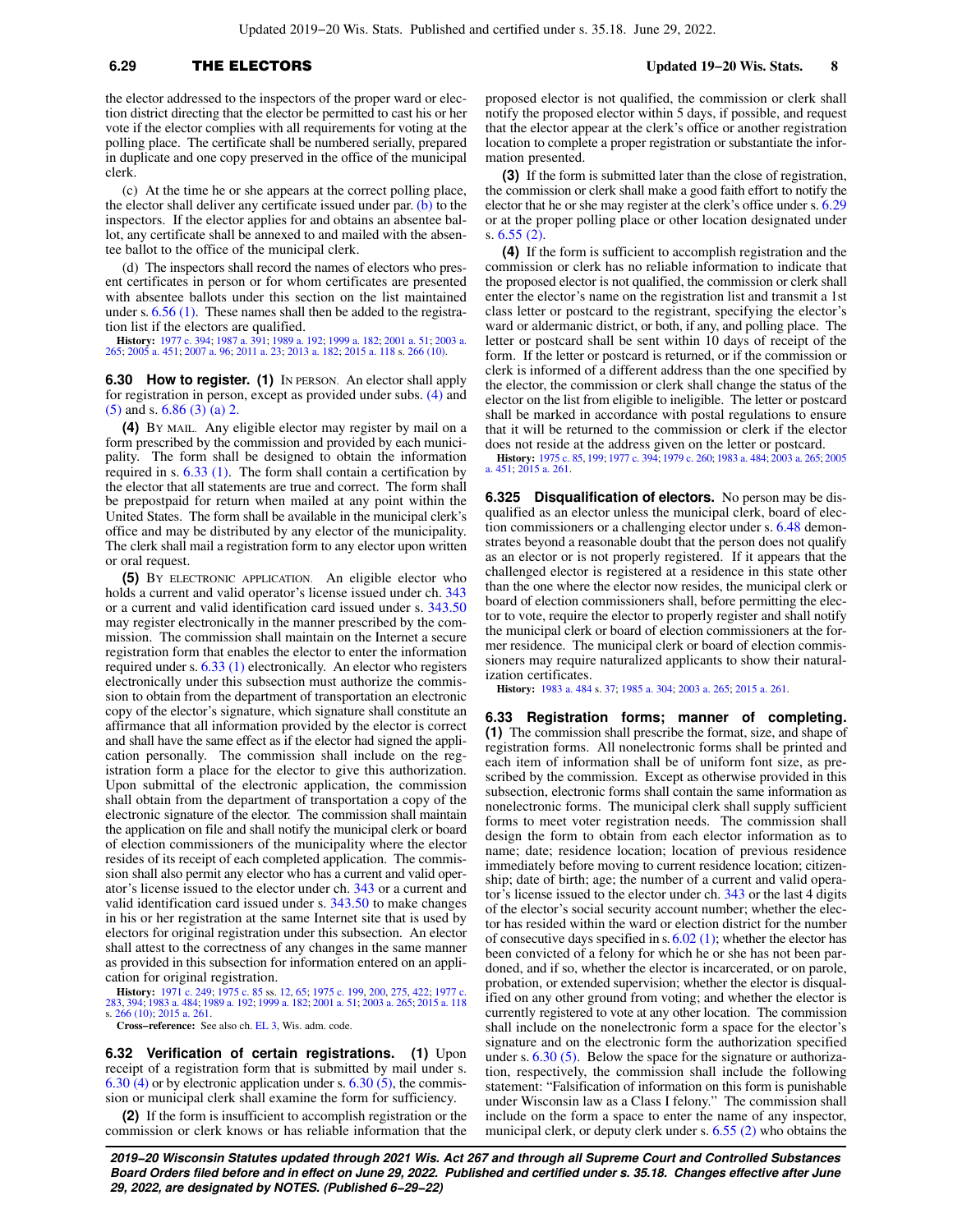## **6.29** THE ELECTORS **Updated 19−20 Wis. Stats. 8**

the elector addressed to the inspectors of the proper ward or election district directing that the elector be permitted to cast his or her vote if the elector complies with all requirements for voting at the polling place. The certificate shall be numbered serially, prepared in duplicate and one copy preserved in the office of the municipal clerk.

(c) At the time he or she appears at the correct polling place, the elector shall deliver any certificate issued under par.  $(b)$  to the inspectors. If the elector applies for and obtains an absentee ballot, any certificate shall be annexed to and mailed with the absentee ballot to the office of the municipal clerk.

(d) The inspectors shall record the names of electors who present certificates in person or for whom certificates are presented with absentee ballots under this section on the list maintained under s. [6.56 \(1\).](https://docs.legis.wisconsin.gov/document/statutes/6.56(1)) These names shall then be added to the registration list if the electors are qualified.

**History:** [1977 c. 394](https://docs.legis.wisconsin.gov/document/acts/1977/394); [1987 a. 391](https://docs.legis.wisconsin.gov/document/acts/1987/391); [1989 a. 192](https://docs.legis.wisconsin.gov/document/acts/1989/192); [1999 a. 182](https://docs.legis.wisconsin.gov/document/acts/1999/182); [2001 a. 51](https://docs.legis.wisconsin.gov/document/acts/2001/51); [2003 a.](https://docs.legis.wisconsin.gov/document/acts/2003/265) [265](https://docs.legis.wisconsin.gov/document/acts/2003/265); [2005 a. 451;](https://docs.legis.wisconsin.gov/document/acts/2005/451) [2007 a. 96](https://docs.legis.wisconsin.gov/document/acts/2007/96); [2011 a. 23](https://docs.legis.wisconsin.gov/document/acts/2011/23); [2013 a. 182;](https://docs.legis.wisconsin.gov/document/acts/2013/182) [2015 a. 118](https://docs.legis.wisconsin.gov/document/acts/2015/118) s. [266 \(10\)](https://docs.legis.wisconsin.gov/document/acts/2015/118,%20s.%20266).

**6.30 How to register. (1)** In PERSON. An elector shall apply for registration in person, except as provided under subs. [\(4\)](https://docs.legis.wisconsin.gov/document/statutes/6.30(4)) and [\(5\)](https://docs.legis.wisconsin.gov/document/statutes/6.30(5)) and s. [6.86 \(3\) \(a\) 2.](https://docs.legis.wisconsin.gov/document/statutes/6.86(3)(a)2.)

**(4)** BY MAIL. Any eligible elector may register by mail on a form prescribed by the commission and provided by each municipality. The form shall be designed to obtain the information required in s. [6.33 \(1\).](https://docs.legis.wisconsin.gov/document/statutes/6.33(1)) The form shall contain a certification by the elector that all statements are true and correct. The form shall be prepostpaid for return when mailed at any point within the United States. The form shall be available in the municipal clerk's office and may be distributed by any elector of the municipality. The clerk shall mail a registration form to any elector upon written or oral request.

**(5)** BY ELECTRONIC APPLICATION. An eligible elector who holds a current and valid operator's license issued under ch. [343](https://docs.legis.wisconsin.gov/document/statutes/ch.%20343) or a current and valid identification card issued under s. [343.50](https://docs.legis.wisconsin.gov/document/statutes/343.50) may register electronically in the manner prescribed by the commission. The commission shall maintain on the Internet a secure registration form that enables the elector to enter the information required under s. [6.33 \(1\)](https://docs.legis.wisconsin.gov/document/statutes/6.33(1)) electronically. An elector who registers electronically under this subsection must authorize the commission to obtain from the department of transportation an electronic copy of the elector's signature, which signature shall constitute an affirmance that all information provided by the elector is correct and shall have the same effect as if the elector had signed the application personally. The commission shall include on the registration form a place for the elector to give this authorization. Upon submittal of the electronic application, the commission shall obtain from the department of transportation a copy of the electronic signature of the elector. The commission shall maintain the application on file and shall notify the municipal clerk or board of election commissioners of the municipality where the elector resides of its receipt of each completed application. The commission shall also permit any elector who has a current and valid operator's license issued to the elector under ch. [343](https://docs.legis.wisconsin.gov/document/statutes/ch.%20343) or a current and valid identification card issued under s. [343.50](https://docs.legis.wisconsin.gov/document/statutes/343.50) to make changes in his or her registration at the same Internet site that is used by electors for original registration under this subsection. An elector shall attest to the correctness of any changes in the same manner as provided in this subsection for information entered on an application for original registration.

**History:** [1971 c. 249](https://docs.legis.wisconsin.gov/document/acts/1971/249); [1975 c. 85](https://docs.legis.wisconsin.gov/document/acts/1975/85) ss. [12,](https://docs.legis.wisconsin.gov/document/acts/1975/85,%20s.%2012) [65](https://docs.legis.wisconsin.gov/document/acts/1975/85,%20s.%2065); [1975 c. 199,](https://docs.legis.wisconsin.gov/document/acts/1975/199) [200,](https://docs.legis.wisconsin.gov/document/acts/1975/200) [275,](https://docs.legis.wisconsin.gov/document/acts/1975/275) [422;](https://docs.legis.wisconsin.gov/document/acts/1975/422) [1977 c.](https://docs.legis.wisconsin.gov/document/acts/1977/283) [283](https://docs.legis.wisconsin.gov/document/acts/1977/283), [394;](https://docs.legis.wisconsin.gov/document/acts/1977/394) [1983 a. 484](https://docs.legis.wisconsin.gov/document/acts/1983/484); [1989 a. 192;](https://docs.legis.wisconsin.gov/document/acts/1989/192) [1999 a. 182;](https://docs.legis.wisconsin.gov/document/acts/1999/182) [2001 a. 51;](https://docs.legis.wisconsin.gov/document/acts/2001/51) [2003 a. 265;](https://docs.legis.wisconsin.gov/document/acts/2003/265) [2015 a. 118](https://docs.legis.wisconsin.gov/document/acts/2015/118) s. [266 \(10\);](https://docs.legis.wisconsin.gov/document/acts/2015/118,%20s.%20266) [2015 a. 261.](https://docs.legis.wisconsin.gov/document/acts/2015/261)

**Cross−reference:** See also ch. [EL 3,](https://docs.legis.wisconsin.gov/document/administrativecode/ch.%20EL%203) Wis. adm. code.

**6.32 Verification of certain registrations. (1)** Upon receipt of a registration form that is submitted by mail under s.  $6.30$  (4) or by electronic application under s.  $6.30$  (5), the commission or municipal clerk shall examine the form for sufficiency.

**(2)** If the form is insufficient to accomplish registration or the commission or clerk knows or has reliable information that the proposed elector is not qualified, the commission or clerk shall notify the proposed elector within 5 days, if possible, and request that the elector appear at the clerk's office or another registration location to complete a proper registration or substantiate the information presented.

**(3)** If the form is submitted later than the close of registration, the commission or clerk shall make a good faith effort to notify the elector that he or she may register at the clerk's office under s. [6.29](https://docs.legis.wisconsin.gov/document/statutes/6.29) or at the proper polling place or other location designated under s. [6.55 \(2\).](https://docs.legis.wisconsin.gov/document/statutes/6.55(2))

**(4)** If the form is sufficient to accomplish registration and the commission or clerk has no reliable information to indicate that the proposed elector is not qualified, the commission or clerk shall enter the elector's name on the registration list and transmit a 1st class letter or postcard to the registrant, specifying the elector's ward or aldermanic district, or both, if any, and polling place. The letter or postcard shall be sent within 10 days of receipt of the form. If the letter or postcard is returned, or if the commission or clerk is informed of a different address than the one specified by the elector, the commission or clerk shall change the status of the elector on the list from eligible to ineligible. The letter or postcard shall be marked in accordance with postal regulations to ensure that it will be returned to the commission or clerk if the elector does not reside at the address given on the letter or postcard.

**History:** [1975 c. 85,](https://docs.legis.wisconsin.gov/document/acts/1975/85) [199](https://docs.legis.wisconsin.gov/document/acts/1975/199); [1977 c. 394;](https://docs.legis.wisconsin.gov/document/acts/1977/394) [1979 c. 260;](https://docs.legis.wisconsin.gov/document/acts/1979/260) [1983 a. 484](https://docs.legis.wisconsin.gov/document/acts/1983/484); [2003 a. 265](https://docs.legis.wisconsin.gov/document/acts/2003/265); [2005](https://docs.legis.wisconsin.gov/document/acts/2005/451) [a. 451](https://docs.legis.wisconsin.gov/document/acts/2005/451); [2015 a. 261.](https://docs.legis.wisconsin.gov/document/acts/2015/261)

**6.325 Disqualification of electors.** No person may be disqualified as an elector unless the municipal clerk, board of election commissioners or a challenging elector under s. [6.48](https://docs.legis.wisconsin.gov/document/statutes/6.48) demonstrates beyond a reasonable doubt that the person does not qualify as an elector or is not properly registered. If it appears that the challenged elector is registered at a residence in this state other than the one where the elector now resides, the municipal clerk or board of election commissioners shall, before permitting the elector to vote, require the elector to properly register and shall notify the municipal clerk or board of election commissioners at the former residence. The municipal clerk or board of election commissioners may require naturalized applicants to show their naturalization certificates.

**History:** [1983 a. 484](https://docs.legis.wisconsin.gov/document/acts/1983/484) s. [37;](https://docs.legis.wisconsin.gov/document/acts/1983/484,%20s.%2037) [1985 a. 304](https://docs.legis.wisconsin.gov/document/acts/1985/304); [2003 a. 265;](https://docs.legis.wisconsin.gov/document/acts/2003/265) [2015 a. 261.](https://docs.legis.wisconsin.gov/document/acts/2015/261)

**6.33 Registration forms; manner of completing. (1)** The commission shall prescribe the format, size, and shape of registration forms. All nonelectronic forms shall be printed and each item of information shall be of uniform font size, as prescribed by the commission. Except as otherwise provided in this subsection, electronic forms shall contain the same information as nonelectronic forms. The municipal clerk shall supply sufficient forms to meet voter registration needs. The commission shall design the form to obtain from each elector information as to name; date; residence location; location of previous residence immediately before moving to current residence location; citizenship; date of birth; age; the number of a current and valid operator's license issued to the elector under ch. [343](https://docs.legis.wisconsin.gov/document/statutes/ch.%20343) or the last 4 digits of the elector's social security account number; whether the elector has resided within the ward or election district for the number of consecutive days specified in s. [6.02 \(1\);](https://docs.legis.wisconsin.gov/document/statutes/6.02(1)) whether the elector has been convicted of a felony for which he or she has not been pardoned, and if so, whether the elector is incarcerated, or on parole, probation, or extended supervision; whether the elector is disqualified on any other ground from voting; and whether the elector is currently registered to vote at any other location. The commission shall include on the nonelectronic form a space for the elector's signature and on the electronic form the authorization specified under s. [6.30 \(5\).](https://docs.legis.wisconsin.gov/document/statutes/6.30(5)) Below the space for the signature or authorization, respectively, the commission shall include the following statement: "Falsification of information on this form is punishable under Wisconsin law as a Class I felony." The commission shall include on the form a space to enter the name of any inspector, municipal clerk, or deputy clerk under s. [6.55 \(2\)](https://docs.legis.wisconsin.gov/document/statutes/6.55(2)) who obtains the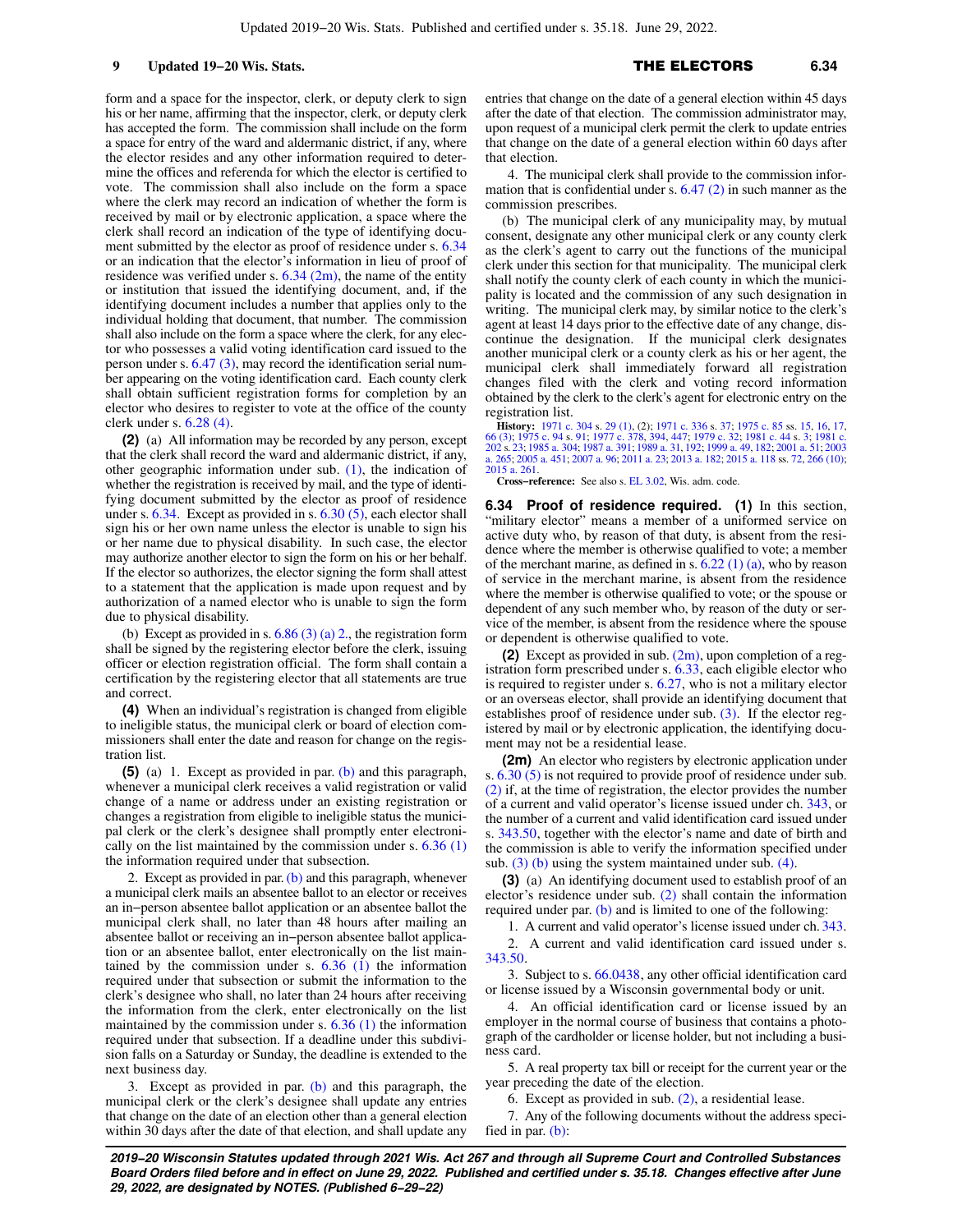9 **Updated 19−20 Wis. Stats.** 6.34

form and a space for the inspector, clerk, or deputy clerk to sign his or her name, affirming that the inspector, clerk, or deputy clerk has accepted the form. The commission shall include on the form a space for entry of the ward and aldermanic district, if any, where the elector resides and any other information required to determine the offices and referenda for which the elector is certified to vote. The commission shall also include on the form a space where the clerk may record an indication of whether the form is received by mail or by electronic application, a space where the clerk shall record an indication of the type of identifying document submitted by the elector as proof of residence under s. [6.34](https://docs.legis.wisconsin.gov/document/statutes/6.34) or an indication that the elector's information in lieu of proof of residence was verified under s.  $6.34$  (2m), the name of the entity or institution that issued the identifying document, and, if the identifying document includes a number that applies only to the individual holding that document, that number. The commission shall also include on the form a space where the clerk, for any elector who possesses a valid voting identification card issued to the person under s. [6.47 \(3\)](https://docs.legis.wisconsin.gov/document/statutes/6.47(3)), may record the identification serial number appearing on the voting identification card. Each county clerk shall obtain sufficient registration forms for completion by an elector who desires to register to vote at the office of the county clerk under s. [6.28 \(4\).](https://docs.legis.wisconsin.gov/document/statutes/6.28(4))

**(2)** (a) All information may be recorded by any person, except that the clerk shall record the ward and aldermanic district, if any, other geographic information under sub.  $(1)$ , the indication of whether the registration is received by mail, and the type of identifying document submitted by the elector as proof of residence under s.  $6.34$ . Except as provided in s.  $6.30(5)$ , each elector shall sign his or her own name unless the elector is unable to sign his or her name due to physical disability. In such case, the elector may authorize another elector to sign the form on his or her behalf. If the elector so authorizes, the elector signing the form shall attest to a statement that the application is made upon request and by authorization of a named elector who is unable to sign the form due to physical disability.

(b) Except as provided in s.  $6.86$  (3) (a) 2., the registration form shall be signed by the registering elector before the clerk, issuing officer or election registration official. The form shall contain a certification by the registering elector that all statements are true and correct.

**(4)** When an individual's registration is changed from eligible to ineligible status, the municipal clerk or board of election commissioners shall enter the date and reason for change on the registration list.

**(5)** (a) 1. Except as provided in par. [\(b\)](https://docs.legis.wisconsin.gov/document/statutes/6.33(5)(b)) and this paragraph, whenever a municipal clerk receives a valid registration or valid change of a name or address under an existing registration or changes a registration from eligible to ineligible status the municipal clerk or the clerk's designee shall promptly enter electronically on the list maintained by the commission under s.  $6.36(1)$ the information required under that subsection.

2. Except as provided in par.  $(b)$  and this paragraph, whenever a municipal clerk mails an absentee ballot to an elector or receives an in−person absentee ballot application or an absentee ballot the municipal clerk shall, no later than 48 hours after mailing an absentee ballot or receiving an in−person absentee ballot application or an absentee ballot, enter electronically on the list maintained by the commission under s.  $6.36$  (1) the information required under that subsection or submit the information to the clerk's designee who shall, no later than 24 hours after receiving the information from the clerk, enter electronically on the list maintained by the commission under s.  $6.36$  (1) the information required under that subsection. If a deadline under this subdivision falls on a Saturday or Sunday, the deadline is extended to the next business day.

3. Except as provided in par. [\(b\)](https://docs.legis.wisconsin.gov/document/statutes/6.33(5)(b)) and this paragraph, the municipal clerk or the clerk's designee shall update any entries that change on the date of an election other than a general election within 30 days after the date of that election, and shall update any entries that change on the date of a general election within 45 days after the date of that election. The commission administrator may, upon request of a municipal clerk permit the clerk to update entries that change on the date of a general election within 60 days after that election.

4. The municipal clerk shall provide to the commission information that is confidential under s.  $6.47(2)$  in such manner as the commission prescribes.

(b) The municipal clerk of any municipality may, by mutual consent, designate any other municipal clerk or any county clerk as the clerk's agent to carry out the functions of the municipal clerk under this section for that municipality. The municipal clerk shall notify the county clerk of each county in which the municipality is located and the commission of any such designation in writing. The municipal clerk may, by similar notice to the clerk's agent at least 14 days prior to the effective date of any change, discontinue the designation. If the municipal clerk designates another municipal clerk or a county clerk as his or her agent, the municipal clerk shall immediately forward all registration changes filed with the clerk and voting record information obtained by the clerk to the clerk's agent for electronic entry on the registration list.

**History:** [1971 c. 304](https://docs.legis.wisconsin.gov/document/acts/1971/304) s. [29 \(1\)](https://docs.legis.wisconsin.gov/document/acts/1971/304,%20s.%2029), (2): [1971 c. 336](https://docs.legis.wisconsin.gov/document/acts/1971/336) s. 37: [1975 c. 85](https://docs.legis.wisconsin.gov/document/acts/1975/85) ss. [15](https://docs.legis.wisconsin.gov/document/acts/1975/85,%20s.%2015), [16,](https://docs.legis.wisconsin.gov/document/acts/1975/85,%20s.%2016) [17](https://docs.legis.wisconsin.gov/document/acts/1975/85,%20s.%2017), 166 (3): [1975 c. 94](https://docs.legis.wisconsin.gov/document/acts/1975/94) s. [91](https://docs.legis.wisconsin.gov/document/acts/1975/94,%20s.%2091); 1977 c. 336 s. 37: 1978 c. 94 s. 91; [1977 c. 378,](https://docs.legis.wisconsin.gov/document/acts/1977/378) [394,](https://docs.legis.wisconsin.gov/document/acts/1977/394) [447;](https://docs.legis.wisconsin.gov/document/acts/1977/447) [1979 c. 32](https://docs.legis.wisconsin.gov/document/acts/1979/32); [1981 c.](https://docs.legis.wisconsin.gov/document/acts/1981/202)<br>[202](https://docs.legis.wisconsin.gov/document/acts/1981/202) s. [23](https://docs.legis.wisconsin.gov/document/acts/1981/202,%20s.%2023): [1985 a. 304](https://docs.legis.wisconsin.gov/document/acts/1985/304); 1987 a [a. 265;](https://docs.legis.wisconsin.gov/document/acts/2003/265) [2005 a. 451](https://docs.legis.wisconsin.gov/document/acts/2005/451); [2007 a. 96](https://docs.legis.wisconsin.gov/document/acts/2007/96); [2011 a. 23;](https://docs.legis.wisconsin.gov/document/acts/2011/23) [2013 a. 182](https://docs.legis.wisconsin.gov/document/acts/2013/182); [2015 a. 118](https://docs.legis.wisconsin.gov/document/acts/2015/118) ss. [72,](https://docs.legis.wisconsin.gov/document/acts/2015/118,%20s.%2072) [266 \(10\)](https://docs.legis.wisconsin.gov/document/acts/2015/118,%20s.%20266); [2015 a. 261.](https://docs.legis.wisconsin.gov/document/acts/2015/261)

**Cross−reference:** See also s. [EL 3.02](https://docs.legis.wisconsin.gov/document/administrativecode/EL%203.02), Wis. adm. code.

**6.34 Proof of residence required. (1)** In this section, "military elector" means a member of a uniformed service on active duty who, by reason of that duty, is absent from the residence where the member is otherwise qualified to vote; a member of the merchant marine, as defined in s.  $6.22$  (1) (a), who by reason of service in the merchant marine, is absent from the residence where the member is otherwise qualified to vote; or the spouse or dependent of any such member who, by reason of the duty or service of the member, is absent from the residence where the spouse or dependent is otherwise qualified to vote.

**(2)** Except as provided in sub. [\(2m\),](https://docs.legis.wisconsin.gov/document/statutes/6.34(2m)) upon completion of a registration form prescribed under s. [6.33,](https://docs.legis.wisconsin.gov/document/statutes/6.33) each eligible elector who is required to register under s. [6.27](https://docs.legis.wisconsin.gov/document/statutes/6.27), who is not a military elector or an overseas elector, shall provide an identifying document that establishes proof of residence under sub. [\(3\)](https://docs.legis.wisconsin.gov/document/statutes/6.34(3)). If the elector registered by mail or by electronic application, the identifying document may not be a residential lease.

**(2m)** An elector who registers by electronic application under s. [6.30 \(5\)](https://docs.legis.wisconsin.gov/document/statutes/6.30(5)) is not required to provide proof of residence under sub. [\(2\)](https://docs.legis.wisconsin.gov/document/statutes/6.34(2)) if, at the time of registration, the elector provides the number of a current and valid operator's license issued under ch. [343](https://docs.legis.wisconsin.gov/document/statutes/ch.%20343), or the number of a current and valid identification card issued under s. [343.50](https://docs.legis.wisconsin.gov/document/statutes/343.50), together with the elector's name and date of birth and the commission is able to verify the information specified under sub.  $(3)$  (b) using the system maintained under sub.  $(4)$ .

**(3)** (a) An identifying document used to establish proof of an elector's residence under sub. [\(2\)](https://docs.legis.wisconsin.gov/document/statutes/6.34(2)) shall contain the information required under par. [\(b\)](https://docs.legis.wisconsin.gov/document/statutes/6.34(3)(b)) and is limited to one of the following:

1. A current and valid operator's license issued under ch. [343.](https://docs.legis.wisconsin.gov/document/statutes/ch.%20343)

2. A current and valid identification card issued under s. [343.50.](https://docs.legis.wisconsin.gov/document/statutes/343.50)

3. Subject to s. [66.0438,](https://docs.legis.wisconsin.gov/document/statutes/66.0438) any other official identification card or license issued by a Wisconsin governmental body or unit.

4. An official identification card or license issued by an employer in the normal course of business that contains a photograph of the cardholder or license holder, but not including a business card.

5. A real property tax bill or receipt for the current year or the year preceding the date of the election.

6. Except as provided in sub. [\(2\)](https://docs.legis.wisconsin.gov/document/statutes/6.34(2)), a residential lease.

7. Any of the following documents without the address specified in par. [\(b\):](https://docs.legis.wisconsin.gov/document/statutes/6.34(3)(b))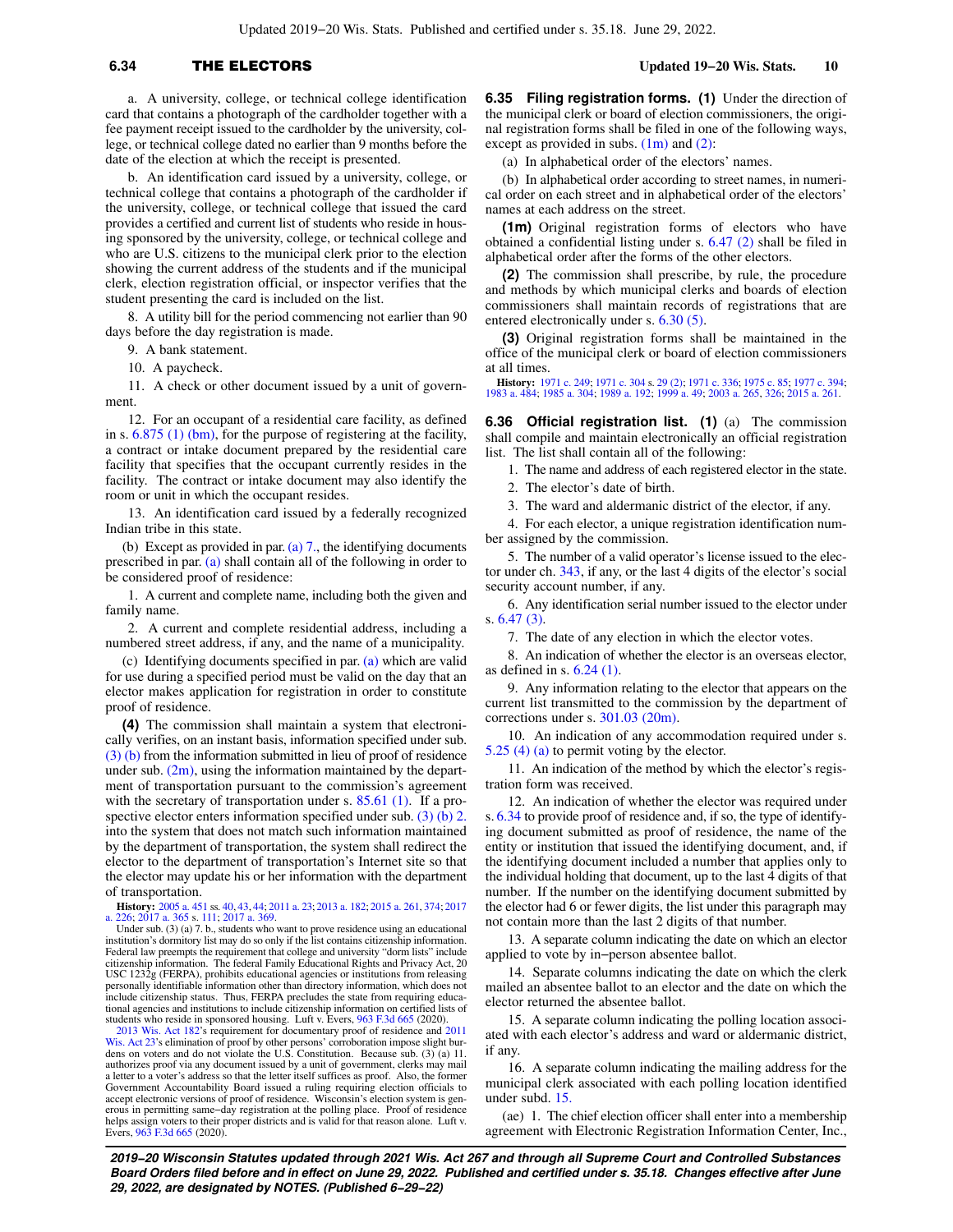a. A university, college, or technical college identification card that contains a photograph of the cardholder together with a fee payment receipt issued to the cardholder by the university, college, or technical college dated no earlier than 9 months before the date of the election at which the receipt is presented.

b. An identification card issued by a university, college, or technical college that contains a photograph of the cardholder if the university, college, or technical college that issued the card provides a certified and current list of students who reside in housing sponsored by the university, college, or technical college and who are U.S. citizens to the municipal clerk prior to the election showing the current address of the students and if the municipal clerk, election registration official, or inspector verifies that the student presenting the card is included on the list.

8. A utility bill for the period commencing not earlier than 90 days before the day registration is made.

9. A bank statement.

10. A paycheck.

11. A check or other document issued by a unit of government.

12. For an occupant of a residential care facility, as defined in s. [6.875 \(1\) \(bm\)](https://docs.legis.wisconsin.gov/document/statutes/6.875(1)(bm)), for the purpose of registering at the facility, a contract or intake document prepared by the residential care facility that specifies that the occupant currently resides in the facility. The contract or intake document may also identify the room or unit in which the occupant resides.

13. An identification card issued by a federally recognized Indian tribe in this state.

(b) Except as provided in par. (a)  $7<sub>.,</sub>$ , the identifying documents prescribed in par. [\(a\)](https://docs.legis.wisconsin.gov/document/statutes/6.34(3)(a)) shall contain all of the following in order to be considered proof of residence:

1. A current and complete name, including both the given and family name.

2. A current and complete residential address, including a numbered street address, if any, and the name of a municipality.

(c) Identifying documents specified in par. [\(a\)](https://docs.legis.wisconsin.gov/document/statutes/6.34(3)(a)) which are valid for use during a specified period must be valid on the day that an elector makes application for registration in order to constitute proof of residence.

**(4)** The commission shall maintain a system that electronically verifies, on an instant basis, information specified under sub. [\(3\) \(b\)](https://docs.legis.wisconsin.gov/document/statutes/6.34(3)(b)) from the information submitted in lieu of proof of residence under sub.  $(2m)$ , using the information maintained by the department of transportation pursuant to the commission's agreement with the secretary of transportation under s. [85.61 \(1\).](https://docs.legis.wisconsin.gov/document/statutes/85.61(1)) If a pro-spective elector enters information specified under sub. [\(3\) \(b\) 2.](https://docs.legis.wisconsin.gov/document/statutes/6.34(3)(b)2.) into the system that does not match such information maintained by the department of transportation, the system shall redirect the elector to the department of transportation's Internet site so that the elector may update his or her information with the department of transportation.

**History:** [2005 a. 451](https://docs.legis.wisconsin.gov/document/acts/2005/451) ss. [40](https://docs.legis.wisconsin.gov/document/acts/2005/451,%20s.%2040), [43,](https://docs.legis.wisconsin.gov/document/acts/2005/451,%20s.%2043) [44;](https://docs.legis.wisconsin.gov/document/acts/2005/451,%20s.%2044) [2011 a. 23;](https://docs.legis.wisconsin.gov/document/acts/2011/23) [2013 a. 182](https://docs.legis.wisconsin.gov/document/acts/2013/182); [2015 a. 261,](https://docs.legis.wisconsin.gov/document/acts/2015/261) [374](https://docs.legis.wisconsin.gov/document/acts/2015/374); [2017](https://docs.legis.wisconsin.gov/document/acts/2017/226) [a. 226;](https://docs.legis.wisconsin.gov/document/acts/2017/226) [2017 a. 365](https://docs.legis.wisconsin.gov/document/acts/2017/365) s. [111;](https://docs.legis.wisconsin.gov/document/acts/2017/365,%20s.%20111) [2017 a. 369](https://docs.legis.wisconsin.gov/document/acts/2017/369).

Under sub. (3) (a) 7. b., students who want to prove residence using an educational institution's dormitory list may do so only if the list contains citizenship information. Federal law preempts the requirement that college and university "dorm lists" include citizenship information. The federal Family Educational Rights and Privacy Act, 20 USC 1232g (FERPA), prohibits educational agencies or institutions from releasing personally identifiable information other than directory information, which does not include citizenship status. Thus, FERPA precludes the state from requiring educa-tional agencies and institutions to include citizenship information on certified lists of students who reside in sponsored housing. Luft v. Evers, [963 F.3d 665](https://docs.legis.wisconsin.gov/document/courts/963%20F.3d%20665) (2020).<br>[2013 Wis. Act 182](https://docs.legis.wisconsin.gov/document/acts/2013/182)'s requirement for documentary proof

[Wis. Act 23'](https://docs.legis.wisconsin.gov/document/acts/2011/23)s elimination of proof by other persons' corroboration impose slight bur-dens on voters and do not violate the U.S. Constitution. Because sub. (3) (a) 11. authorizes proof via any document issued by a unit of government, clerks may mail a letter to a voter's address so that the letter itself suffices as proof. Also, the former Government Accountability Board issued a ruling requiring election officials to accept electronic versions of proof of residence. Wisconsin's election system is generous in permitting same−day registration at the polling place. Proof of residence helps assign voters to their proper districts and is valid for that reason alone. Luft v. Evers, [963 F.3d 665](https://docs.legis.wisconsin.gov/document/courts/963%20F.3d%20665) (2020).

**6.35 Filing registration forms. (1)** Under the direction of the municipal clerk or board of election commissioners, the original registration forms shall be filed in one of the following ways, except as provided in subs. [\(1m\)](https://docs.legis.wisconsin.gov/document/statutes/6.35(1m)) and [\(2\):](https://docs.legis.wisconsin.gov/document/statutes/6.35(2))

(a) In alphabetical order of the electors' names.

(b) In alphabetical order according to street names, in numerical order on each street and in alphabetical order of the electors' names at each address on the street.

**(1m)** Original registration forms of electors who have obtained a confidential listing under s. [6.47 \(2\)](https://docs.legis.wisconsin.gov/document/statutes/6.47(2)) shall be filed in alphabetical order after the forms of the other electors.

**(2)** The commission shall prescribe, by rule, the procedure and methods by which municipal clerks and boards of election commissioners shall maintain records of registrations that are entered electronically under s. [6.30 \(5\)](https://docs.legis.wisconsin.gov/document/statutes/6.30(5)).

**(3)** Original registration forms shall be maintained in the office of the municipal clerk or board of election commissioners at all times.

**History:** [1971 c. 249](https://docs.legis.wisconsin.gov/document/acts/1971/249); [1971 c. 304](https://docs.legis.wisconsin.gov/document/acts/1971/304) s. [29 \(2\);](https://docs.legis.wisconsin.gov/document/acts/1971/304,%20s.%2029) [1971 c. 336](https://docs.legis.wisconsin.gov/document/acts/1971/336); [1975 c. 85;](https://docs.legis.wisconsin.gov/document/acts/1975/85) [1977 c. 394](https://docs.legis.wisconsin.gov/document/acts/1977/394); [1983 a. 484;](https://docs.legis.wisconsin.gov/document/acts/1983/484) [1985 a. 304;](https://docs.legis.wisconsin.gov/document/acts/1985/304) [1989 a. 192](https://docs.legis.wisconsin.gov/document/acts/1989/192); [1999 a. 49;](https://docs.legis.wisconsin.gov/document/acts/1999/49) [2003 a. 265](https://docs.legis.wisconsin.gov/document/acts/2003/265), [326](https://docs.legis.wisconsin.gov/document/acts/2003/326); [2015 a. 261.](https://docs.legis.wisconsin.gov/document/acts/2015/261)

**6.36 Official registration list. (1)** (a) The commission shall compile and maintain electronically an official registration list. The list shall contain all of the following:

1. The name and address of each registered elector in the state.

2. The elector's date of birth.

3. The ward and aldermanic district of the elector, if any.

4. For each elector, a unique registration identification number assigned by the commission.

5. The number of a valid operator's license issued to the elector under ch. [343](https://docs.legis.wisconsin.gov/document/statutes/ch.%20343), if any, or the last 4 digits of the elector's social security account number, if any.

6. Any identification serial number issued to the elector under s. [6.47 \(3\).](https://docs.legis.wisconsin.gov/document/statutes/6.47(3))

7. The date of any election in which the elector votes.

8. An indication of whether the elector is an overseas elector, as defined in s. [6.24 \(1\)](https://docs.legis.wisconsin.gov/document/statutes/6.24(1)).

9. Any information relating to the elector that appears on the current list transmitted to the commission by the department of corrections under s. [301.03 \(20m\).](https://docs.legis.wisconsin.gov/document/statutes/301.03(20m))

10. An indication of any accommodation required under s. [5.25 \(4\) \(a\)](https://docs.legis.wisconsin.gov/document/statutes/5.25(4)(a)) to permit voting by the elector.

11. An indication of the method by which the elector's registration form was received.

12. An indication of whether the elector was required under s. [6.34](https://docs.legis.wisconsin.gov/document/statutes/6.34) to provide proof of residence and, if so, the type of identifying document submitted as proof of residence, the name of the entity or institution that issued the identifying document, and, if the identifying document included a number that applies only to the individual holding that document, up to the last 4 digits of that number. If the number on the identifying document submitted by the elector had 6 or fewer digits, the list under this paragraph may not contain more than the last 2 digits of that number.

13. A separate column indicating the date on which an elector applied to vote by in−person absentee ballot.

14. Separate columns indicating the date on which the clerk mailed an absentee ballot to an elector and the date on which the elector returned the absentee ballot.

15. A separate column indicating the polling location associated with each elector's address and ward or aldermanic district, if any.

16. A separate column indicating the mailing address for the municipal clerk associated with each polling location identified under subd. [15.](https://docs.legis.wisconsin.gov/document/statutes/6.36(1)(a)15.)

(ae) 1. The chief election officer shall enter into a membership agreement with Electronic Registration Information Center, Inc.,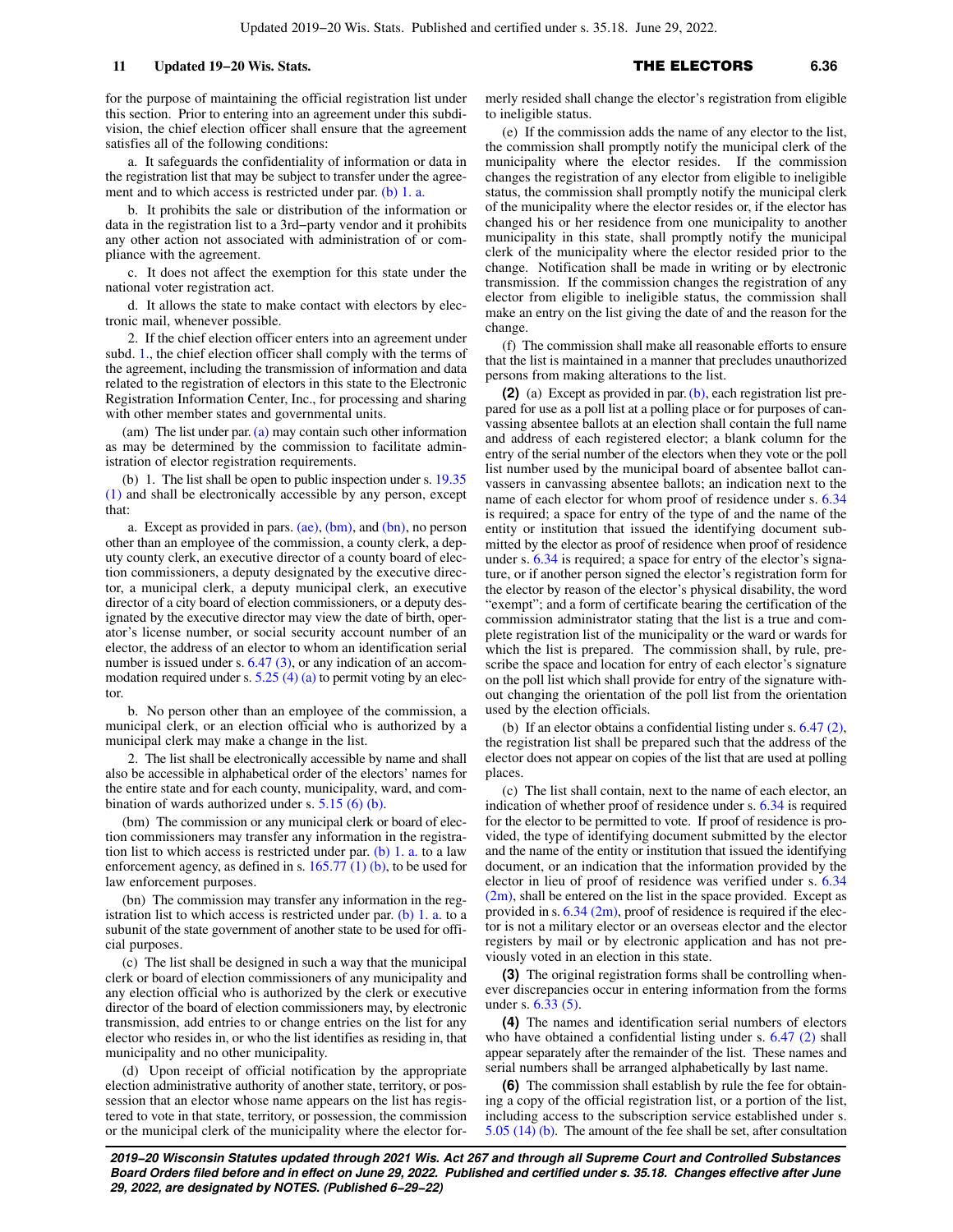for the purpose of maintaining the official registration list under this section. Prior to entering into an agreement under this subdivision, the chief election officer shall ensure that the agreement satisfies all of the following conditions:

a. It safeguards the confidentiality of information or data in the registration list that may be subject to transfer under the agree-ment and to which access is restricted under par. [\(b\) 1. a.](https://docs.legis.wisconsin.gov/document/statutes/6.36(1)(b)1.a.)

b. It prohibits the sale or distribution of the information or data in the registration list to a 3rd−party vendor and it prohibits any other action not associated with administration of or compliance with the agreement.

c. It does not affect the exemption for this state under the national voter registration act.

d. It allows the state to make contact with electors by electronic mail, whenever possible.

2. If the chief election officer enters into an agreement under subd. [1.](https://docs.legis.wisconsin.gov/document/statutes/6.36(1)(ae)1.), the chief election officer shall comply with the terms of the agreement, including the transmission of information and data related to the registration of electors in this state to the Electronic Registration Information Center, Inc., for processing and sharing with other member states and governmental units.

(am) The list under par. [\(a\)](https://docs.legis.wisconsin.gov/document/statutes/6.36(1)(a)) may contain such other information as may be determined by the commission to facilitate administration of elector registration requirements.

(b) 1. The list shall be open to public inspection under s. [19.35](https://docs.legis.wisconsin.gov/document/statutes/19.35(1)) [\(1\)](https://docs.legis.wisconsin.gov/document/statutes/19.35(1)) and shall be electronically accessible by any person, except that:

a. Except as provided in pars.  $(ae)$ ,  $(bm)$ , and  $(bn)$ , no person other than an employee of the commission, a county clerk, a deputy county clerk, an executive director of a county board of election commissioners, a deputy designated by the executive director, a municipal clerk, a deputy municipal clerk, an executive director of a city board of election commissioners, or a deputy designated by the executive director may view the date of birth, operator's license number, or social security account number of an elector, the address of an elector to whom an identification serial number is issued under s. [6.47 \(3\)](https://docs.legis.wisconsin.gov/document/statutes/6.47(3)), or any indication of an accommodation required under s.  $5.25$  (4) (a) to permit voting by an elector.

b. No person other than an employee of the commission, a municipal clerk, or an election official who is authorized by a municipal clerk may make a change in the list.

2. The list shall be electronically accessible by name and shall also be accessible in alphabetical order of the electors' names for the entire state and for each county, municipality, ward, and combination of wards authorized under s. [5.15 \(6\) \(b\)](https://docs.legis.wisconsin.gov/document/statutes/5.15(6)(b)).

(bm) The commission or any municipal clerk or board of election commissioners may transfer any information in the registration list to which access is restricted under par. [\(b\) 1. a.](https://docs.legis.wisconsin.gov/document/statutes/6.36(1)(b)1.a.) to a law enforcement agency, as defined in s. [165.77 \(1\) \(b\),](https://docs.legis.wisconsin.gov/document/statutes/165.77(1)(b)) to be used for law enforcement purposes.

(bn) The commission may transfer any information in the registration list to which access is restricted under par.  $(b)$  1. a. to a subunit of the state government of another state to be used for official purposes.

(c) The list shall be designed in such a way that the municipal clerk or board of election commissioners of any municipality and any election official who is authorized by the clerk or executive director of the board of election commissioners may, by electronic transmission, add entries to or change entries on the list for any elector who resides in, or who the list identifies as residing in, that municipality and no other municipality.

(d) Upon receipt of official notification by the appropriate election administrative authority of another state, territory, or possession that an elector whose name appears on the list has registered to vote in that state, territory, or possession, the commission or the municipal clerk of the municipality where the elector formerly resided shall change the elector's registration from eligible to ineligible status.

(e) If the commission adds the name of any elector to the list, the commission shall promptly notify the municipal clerk of the municipality where the elector resides. If the commission changes the registration of any elector from eligible to ineligible status, the commission shall promptly notify the municipal clerk of the municipality where the elector resides or, if the elector has changed his or her residence from one municipality to another municipality in this state, shall promptly notify the municipal clerk of the municipality where the elector resided prior to the change. Notification shall be made in writing or by electronic transmission. If the commission changes the registration of any elector from eligible to ineligible status, the commission shall make an entry on the list giving the date of and the reason for the change.

(f) The commission shall make all reasonable efforts to ensure that the list is maintained in a manner that precludes unauthorized persons from making alterations to the list.

**(2)** (a) Except as provided in par. [\(b\)](https://docs.legis.wisconsin.gov/document/statutes/6.36(2)(b)), each registration list prepared for use as a poll list at a polling place or for purposes of canvassing absentee ballots at an election shall contain the full name and address of each registered elector; a blank column for the entry of the serial number of the electors when they vote or the poll list number used by the municipal board of absentee ballot canvassers in canvassing absentee ballots; an indication next to the name of each elector for whom proof of residence under s. [6.34](https://docs.legis.wisconsin.gov/document/statutes/6.34) is required; a space for entry of the type of and the name of the entity or institution that issued the identifying document submitted by the elector as proof of residence when proof of residence under s. [6.34](https://docs.legis.wisconsin.gov/document/statutes/6.34) is required; a space for entry of the elector's signature, or if another person signed the elector's registration form for the elector by reason of the elector's physical disability, the word "exempt"; and a form of certificate bearing the certification of the commission administrator stating that the list is a true and complete registration list of the municipality or the ward or wards for which the list is prepared. The commission shall, by rule, prescribe the space and location for entry of each elector's signature on the poll list which shall provide for entry of the signature without changing the orientation of the poll list from the orientation used by the election officials.

(b) If an elector obtains a confidential listing under s. [6.47 \(2\),](https://docs.legis.wisconsin.gov/document/statutes/6.47(2)) the registration list shall be prepared such that the address of the elector does not appear on copies of the list that are used at polling places.

(c) The list shall contain, next to the name of each elector, an indication of whether proof of residence under s. [6.34](https://docs.legis.wisconsin.gov/document/statutes/6.34) is required for the elector to be permitted to vote. If proof of residence is provided, the type of identifying document submitted by the elector and the name of the entity or institution that issued the identifying document, or an indication that the information provided by the elector in lieu of proof of residence was verified under s. [6.34](https://docs.legis.wisconsin.gov/document/statutes/6.34(2m))  $(2m)$ , shall be entered on the list in the space provided. Except as provided in s. [6.34 \(2m\)](https://docs.legis.wisconsin.gov/document/statutes/6.34(2m)), proof of residence is required if the elector is not a military elector or an overseas elector and the elector registers by mail or by electronic application and has not previously voted in an election in this state.

**(3)** The original registration forms shall be controlling whenever discrepancies occur in entering information from the forms under s. [6.33 \(5\).](https://docs.legis.wisconsin.gov/document/statutes/6.33(5))

**(4)** The names and identification serial numbers of electors who have obtained a confidential listing under s. [6.47 \(2\)](https://docs.legis.wisconsin.gov/document/statutes/6.47(2)) shall appear separately after the remainder of the list. These names and serial numbers shall be arranged alphabetically by last name.

**(6)** The commission shall establish by rule the fee for obtaining a copy of the official registration list, or a portion of the list, including access to the subscription service established under s. [5.05 \(14\) \(b\)](https://docs.legis.wisconsin.gov/document/statutes/5.05(14)(b)). The amount of the fee shall be set, after consultation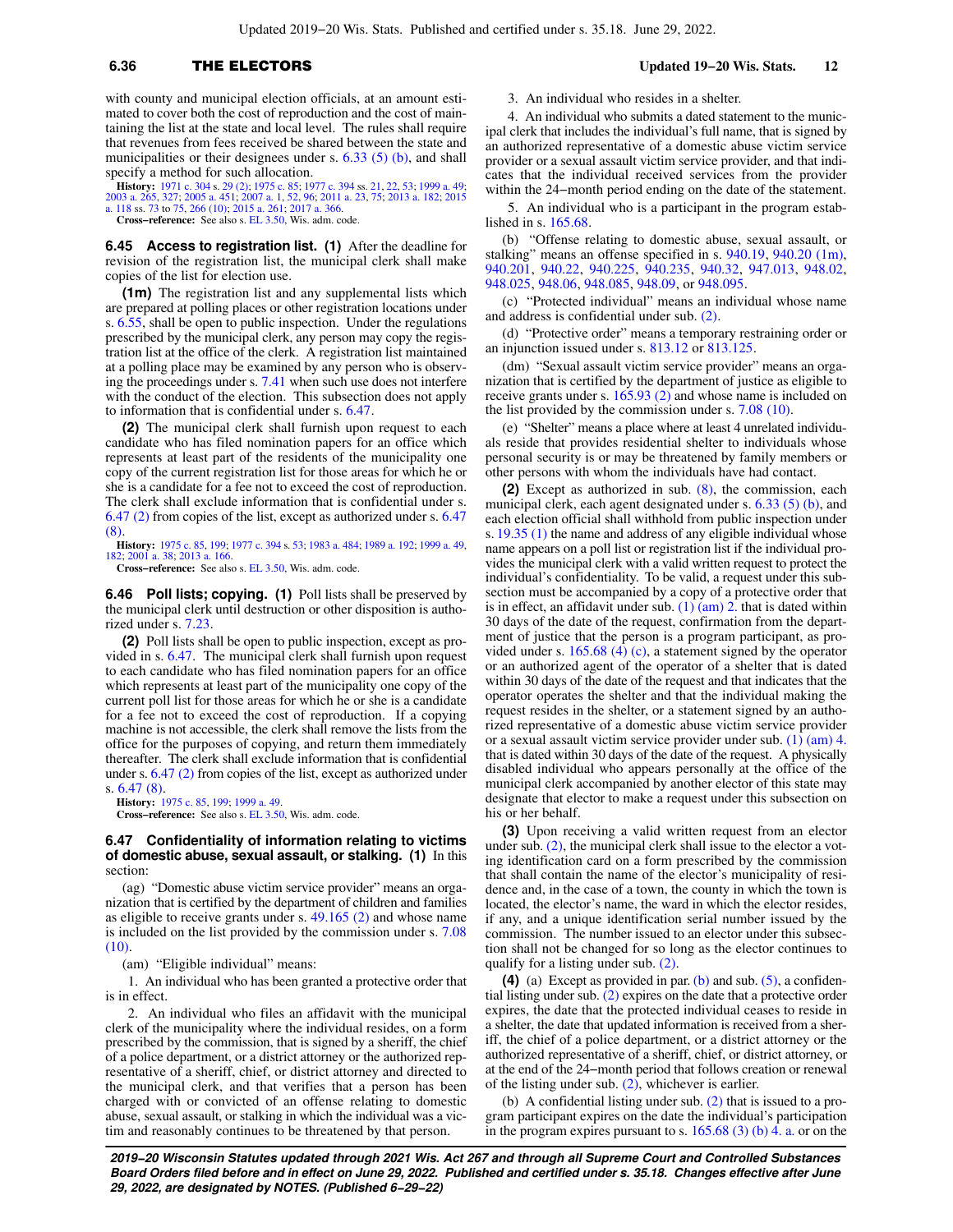## **6.36** THE ELECTORS **Updated 19−20 Wis. Stats. 12**

with county and municipal election officials, at an amount estimated to cover both the cost of reproduction and the cost of maintaining the list at the state and local level. The rules shall require that revenues from fees received be shared between the state and municipalities or their designees under s. [6.33 \(5\) \(b\)](https://docs.legis.wisconsin.gov/document/statutes/6.33(5)(b)), and shall specify a method for such allocation.

**History:** [1971 c. 304](https://docs.legis.wisconsin.gov/document/acts/1971/304) s. [29 \(2\);](https://docs.legis.wisconsin.gov/document/acts/1971/304,%20s.%2029) [1975 c. 85;](https://docs.legis.wisconsin.gov/document/acts/1975/85) [1977 c. 394](https://docs.legis.wisconsin.gov/document/acts/1977/394) ss. [21](https://docs.legis.wisconsin.gov/document/acts/1977/394,%20s.%2021), [22](https://docs.legis.wisconsin.gov/document/acts/1977/394,%20s.%2022), [53;](https://docs.legis.wisconsin.gov/document/acts/1977/394,%20s.%2053) [1999 a. 49](https://docs.legis.wisconsin.gov/document/acts/1999/49); [2003 a. 265,](https://docs.legis.wisconsin.gov/document/acts/2003/265) [327;](https://docs.legis.wisconsin.gov/document/acts/2003/327) [2005 a. 451](https://docs.legis.wisconsin.gov/document/acts/2005/451); [2007 a. 1](https://docs.legis.wisconsin.gov/document/acts/2007/1), [52,](https://docs.legis.wisconsin.gov/document/acts/2007/52) [96](https://docs.legis.wisconsin.gov/document/acts/2007/96); [2011 a. 23](https://docs.legis.wisconsin.gov/document/acts/2011/23), [75;](https://docs.legis.wisconsin.gov/document/acts/2011/75) [2013 a. 182](https://docs.legis.wisconsin.gov/document/acts/2013/182); [2015](https://docs.legis.wisconsin.gov/document/acts/2015/118) [a. 118](https://docs.legis.wisconsin.gov/document/acts/2015/118) ss. [73](https://docs.legis.wisconsin.gov/document/acts/2015/118,%20s.%2073) to [75](https://docs.legis.wisconsin.gov/document/acts/2015/118,%20s.%2075), [266 \(10\);](https://docs.legis.wisconsin.gov/document/acts/2015/118,%20s.%20266) [2015 a. 261;](https://docs.legis.wisconsin.gov/document/acts/2015/261) [2017 a. 366](https://docs.legis.wisconsin.gov/document/acts/2017/366).

**Cross−reference:** See also s. [EL 3.50,](https://docs.legis.wisconsin.gov/document/administrativecode/EL%203.50) Wis. adm. code.

**6.45 Access to registration list. (1)** After the deadline for revision of the registration list, the municipal clerk shall make copies of the list for election use.

**(1m)** The registration list and any supplemental lists which are prepared at polling places or other registration locations under s. [6.55](https://docs.legis.wisconsin.gov/document/statutes/6.55), shall be open to public inspection. Under the regulations prescribed by the municipal clerk, any person may copy the registration list at the office of the clerk. A registration list maintained at a polling place may be examined by any person who is observing the proceedings under s. [7.41](https://docs.legis.wisconsin.gov/document/statutes/7.41) when such use does not interfere with the conduct of the election. This subsection does not apply to information that is confidential under s. [6.47](https://docs.legis.wisconsin.gov/document/statutes/6.47).

**(2)** The municipal clerk shall furnish upon request to each candidate who has filed nomination papers for an office which represents at least part of the residents of the municipality one copy of the current registration list for those areas for which he or she is a candidate for a fee not to exceed the cost of reproduction. The clerk shall exclude information that is confidential under s. [6.47 \(2\)](https://docs.legis.wisconsin.gov/document/statutes/6.47(2)) from copies of the list, except as authorized under s. [6.47](https://docs.legis.wisconsin.gov/document/statutes/6.47(8)) [\(8\)](https://docs.legis.wisconsin.gov/document/statutes/6.47(8)).

**History:** [1975 c. 85](https://docs.legis.wisconsin.gov/document/acts/1975/85), [199](https://docs.legis.wisconsin.gov/document/acts/1975/199); [1977 c. 394](https://docs.legis.wisconsin.gov/document/acts/1977/394) s. [53](https://docs.legis.wisconsin.gov/document/acts/1977/394,%20s.%2053); [1983 a. 484;](https://docs.legis.wisconsin.gov/document/acts/1983/484) [1989 a. 192](https://docs.legis.wisconsin.gov/document/acts/1989/192); [1999 a. 49](https://docs.legis.wisconsin.gov/document/acts/1999/49), [182](https://docs.legis.wisconsin.gov/document/acts/1999/182); [2001 a. 38](https://docs.legis.wisconsin.gov/document/acts/2001/38); [2013 a. 166](https://docs.legis.wisconsin.gov/document/acts/2013/166).

**Cross−reference:** See also s. [EL 3.50,](https://docs.legis.wisconsin.gov/document/administrativecode/EL%203.50) Wis. adm. code.

**6.46 Poll lists; copying. (1)** Poll lists shall be preserved by the municipal clerk until destruction or other disposition is authorized under s. [7.23.](https://docs.legis.wisconsin.gov/document/statutes/7.23)

**(2)** Poll lists shall be open to public inspection, except as provided in s. [6.47.](https://docs.legis.wisconsin.gov/document/statutes/6.47) The municipal clerk shall furnish upon request to each candidate who has filed nomination papers for an office which represents at least part of the municipality one copy of the current poll list for those areas for which he or she is a candidate for a fee not to exceed the cost of reproduction. If a copying machine is not accessible, the clerk shall remove the lists from the office for the purposes of copying, and return them immediately thereafter. The clerk shall exclude information that is confidential under s. [6.47 \(2\)](https://docs.legis.wisconsin.gov/document/statutes/6.47(2)) from copies of the list, except as authorized under s. [6.47 \(8\)](https://docs.legis.wisconsin.gov/document/statutes/6.47(8)).

**History:** [1975 c. 85,](https://docs.legis.wisconsin.gov/document/acts/1975/85) [199;](https://docs.legis.wisconsin.gov/document/acts/1975/199) [1999 a. 49](https://docs.legis.wisconsin.gov/document/acts/1999/49). **Cross−reference:** See also s. [EL 3.50,](https://docs.legis.wisconsin.gov/document/administrativecode/EL%203.50) Wis. adm. code.

### **6.47 Confidentiality of information relating to victims of domestic abuse, sexual assault, or stalking. (1)** In this section:

(ag) "Domestic abuse victim service provider" means an organization that is certified by the department of children and families as eligible to receive grants under s. [49.165 \(2\)](https://docs.legis.wisconsin.gov/document/statutes/49.165(2)) and whose name is included on the list provided by the commission under s. [7.08](https://docs.legis.wisconsin.gov/document/statutes/7.08(10)) [\(10\).](https://docs.legis.wisconsin.gov/document/statutes/7.08(10))

(am) "Eligible individual" means:

1. An individual who has been granted a protective order that is in effect.

2. An individual who files an affidavit with the municipal clerk of the municipality where the individual resides, on a form prescribed by the commission, that is signed by a sheriff, the chief of a police department, or a district attorney or the authorized representative of a sheriff, chief, or district attorney and directed to the municipal clerk, and that verifies that a person has been charged with or convicted of an offense relating to domestic abuse, sexual assault, or stalking in which the individual was a victim and reasonably continues to be threatened by that person.

3. An individual who resides in a shelter.

4. An individual who submits a dated statement to the municipal clerk that includes the individual's full name, that is signed by an authorized representative of a domestic abuse victim service provider or a sexual assault victim service provider, and that indicates that the individual received services from the provider within the 24−month period ending on the date of the statement.

5. An individual who is a participant in the program established in s. [165.68](https://docs.legis.wisconsin.gov/document/statutes/165.68).

(b) "Offense relating to domestic abuse, sexual assault, or stalking" means an offense specified in s. [940.19,](https://docs.legis.wisconsin.gov/document/statutes/940.19) [940.20 \(1m\),](https://docs.legis.wisconsin.gov/document/statutes/940.20(1m)) [940.201](https://docs.legis.wisconsin.gov/document/statutes/940.201), [940.22,](https://docs.legis.wisconsin.gov/document/statutes/940.22) [940.225](https://docs.legis.wisconsin.gov/document/statutes/940.225), [940.235](https://docs.legis.wisconsin.gov/document/statutes/940.235), [940.32](https://docs.legis.wisconsin.gov/document/statutes/940.32), [947.013,](https://docs.legis.wisconsin.gov/document/statutes/947.013) [948.02,](https://docs.legis.wisconsin.gov/document/statutes/948.02) [948.025](https://docs.legis.wisconsin.gov/document/statutes/948.025), [948.06,](https://docs.legis.wisconsin.gov/document/statutes/948.06) [948.085,](https://docs.legis.wisconsin.gov/document/statutes/948.085) [948.09](https://docs.legis.wisconsin.gov/document/statutes/948.09), or [948.095](https://docs.legis.wisconsin.gov/document/statutes/948.095).

(c) "Protected individual" means an individual whose name and address is confidential under sub. [\(2\)](https://docs.legis.wisconsin.gov/document/statutes/6.47(2)).

(d) "Protective order" means a temporary restraining order or an injunction issued under s. [813.12](https://docs.legis.wisconsin.gov/document/statutes/813.12) or [813.125](https://docs.legis.wisconsin.gov/document/statutes/813.125).

(dm) "Sexual assault victim service provider" means an organization that is certified by the department of justice as eligible to receive grants under s. [165.93 \(2\)](https://docs.legis.wisconsin.gov/document/statutes/165.93(2)) and whose name is included on the list provided by the commission under s. [7.08 \(10\).](https://docs.legis.wisconsin.gov/document/statutes/7.08(10))

(e) "Shelter" means a place where at least 4 unrelated individuals reside that provides residential shelter to individuals whose personal security is or may be threatened by family members or other persons with whom the individuals have had contact.

**(2)** Except as authorized in sub. [\(8\)](https://docs.legis.wisconsin.gov/document/statutes/6.47(8)), the commission, each municipal clerk, each agent designated under s. [6.33 \(5\) \(b\),](https://docs.legis.wisconsin.gov/document/statutes/6.33(5)(b)) and each election official shall withhold from public inspection under s. [19.35 \(1\)](https://docs.legis.wisconsin.gov/document/statutes/19.35(1)) the name and address of any eligible individual whose name appears on a poll list or registration list if the individual provides the municipal clerk with a valid written request to protect the individual's confidentiality. To be valid, a request under this subsection must be accompanied by a copy of a protective order that is in effect, an affidavit under sub.  $(1)$   $(am)$  2. that is dated within 30 days of the date of the request, confirmation from the department of justice that the person is a program participant, as provided under s. [165.68 \(4\) \(c\),](https://docs.legis.wisconsin.gov/document/statutes/165.68(4)(c)) a statement signed by the operator or an authorized agent of the operator of a shelter that is dated within 30 days of the date of the request and that indicates that the operator operates the shelter and that the individual making the request resides in the shelter, or a statement signed by an authorized representative of a domestic abuse victim service provider or a sexual assault victim service provider under sub. [\(1\) \(am\) 4.](https://docs.legis.wisconsin.gov/document/statutes/6.47(1)(am)4.) that is dated within 30 days of the date of the request. A physically disabled individual who appears personally at the office of the municipal clerk accompanied by another elector of this state may designate that elector to make a request under this subsection on his or her behalf.

**(3)** Upon receiving a valid written request from an elector under sub.  $(2)$ , the municipal clerk shall issue to the elector a voting identification card on a form prescribed by the commission that shall contain the name of the elector's municipality of residence and, in the case of a town, the county in which the town is located, the elector's name, the ward in which the elector resides, if any, and a unique identification serial number issued by the commission. The number issued to an elector under this subsection shall not be changed for so long as the elector continues to qualify for a listing under sub. [\(2\)](https://docs.legis.wisconsin.gov/document/statutes/6.47(2)).

**(4)** (a) Except as provided in par. [\(b\)](https://docs.legis.wisconsin.gov/document/statutes/6.47(4)(b)) and sub. [\(5\),](https://docs.legis.wisconsin.gov/document/statutes/6.47(5)) a confidential listing under sub. [\(2\)](https://docs.legis.wisconsin.gov/document/statutes/6.47(2)) expires on the date that a protective order expires, the date that the protected individual ceases to reside in a shelter, the date that updated information is received from a sheriff, the chief of a police department, or a district attorney or the authorized representative of a sheriff, chief, or district attorney, or at the end of the 24−month period that follows creation or renewal of the listing under sub.  $(2)$ , whichever is earlier.

(b) A confidential listing under sub. [\(2\)](https://docs.legis.wisconsin.gov/document/statutes/6.47(2)) that is issued to a program participant expires on the date the individual's participation in the program expires pursuant to s.  $165.68$  (3) (b) 4. a. or on the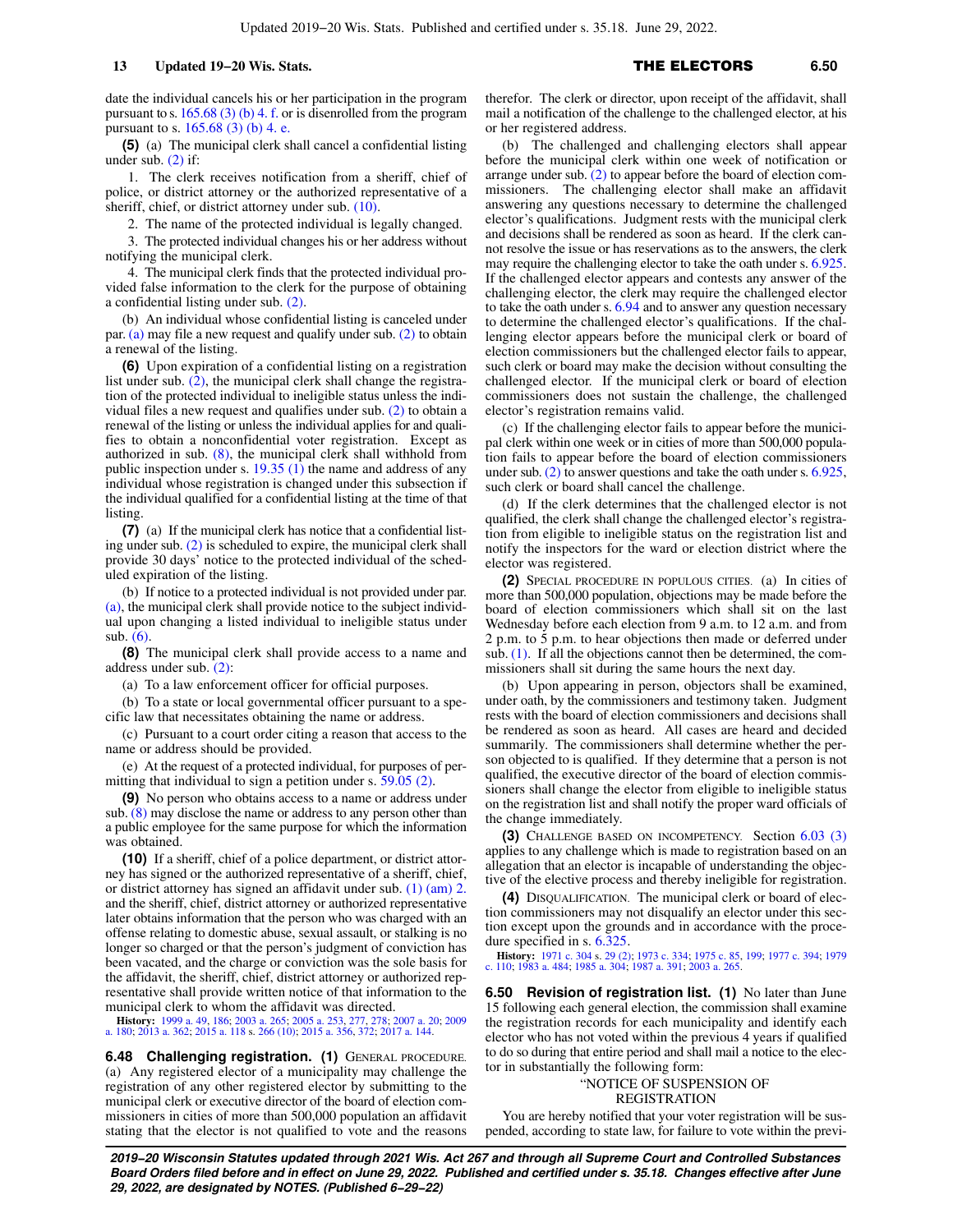date the individual cancels his or her participation in the program pursuant to s.  $165.68$  (3) (b) 4. f. or is disenrolled from the program pursuant to s. [165.68 \(3\) \(b\) 4. e.](https://docs.legis.wisconsin.gov/document/statutes/165.68(3)(b)4.e.)

**(5)** (a) The municipal clerk shall cancel a confidential listing under sub.  $(2)$  if:

1. The clerk receives notification from a sheriff, chief of police, or district attorney or the authorized representative of a sheriff, chief, or district attorney under sub. [\(10\)](https://docs.legis.wisconsin.gov/document/statutes/6.47(10)).

2. The name of the protected individual is legally changed.

3. The protected individual changes his or her address without notifying the municipal clerk.

4. The municipal clerk finds that the protected individual provided false information to the clerk for the purpose of obtaining a confidential listing under sub. [\(2\).](https://docs.legis.wisconsin.gov/document/statutes/6.47(2))

(b) An individual whose confidential listing is canceled under par. [\(a\)](https://docs.legis.wisconsin.gov/document/statutes/6.47(5)(a)) may file a new request and qualify under sub. [\(2\)](https://docs.legis.wisconsin.gov/document/statutes/6.47(2)) to obtain a renewal of the listing.

**(6)** Upon expiration of a confidential listing on a registration list under sub. [\(2\),](https://docs.legis.wisconsin.gov/document/statutes/6.47(2)) the municipal clerk shall change the registration of the protected individual to ineligible status unless the individual files a new request and qualifies under sub. [\(2\)](https://docs.legis.wisconsin.gov/document/statutes/6.47(2)) to obtain a renewal of the listing or unless the individual applies for and qualifies to obtain a nonconfidential voter registration. Except as authorized in sub. [\(8\)](https://docs.legis.wisconsin.gov/document/statutes/6.47(8)), the municipal clerk shall withhold from public inspection under s. [19.35 \(1\)](https://docs.legis.wisconsin.gov/document/statutes/19.35(1)) the name and address of any individual whose registration is changed under this subsection if the individual qualified for a confidential listing at the time of that listing.

**(7)** (a) If the municipal clerk has notice that a confidential listing under sub. [\(2\)](https://docs.legis.wisconsin.gov/document/statutes/6.47(2)) is scheduled to expire, the municipal clerk shall provide 30 days' notice to the protected individual of the scheduled expiration of the listing.

(b) If notice to a protected individual is not provided under par. [\(a\),](https://docs.legis.wisconsin.gov/document/statutes/6.47(7)(a)) the municipal clerk shall provide notice to the subject individual upon changing a listed individual to ineligible status under sub. [\(6\)](https://docs.legis.wisconsin.gov/document/statutes/6.47(6)).

**(8)** The municipal clerk shall provide access to a name and address under sub. [\(2\):](https://docs.legis.wisconsin.gov/document/statutes/6.47(2))

(a) To a law enforcement officer for official purposes.

(b) To a state or local governmental officer pursuant to a specific law that necessitates obtaining the name or address.

(c) Pursuant to a court order citing a reason that access to the name or address should be provided.

(e) At the request of a protected individual, for purposes of permitting that individual to sign a petition under s. [59.05 \(2\).](https://docs.legis.wisconsin.gov/document/statutes/59.05(2))

**(9)** No person who obtains access to a name or address under sub. [\(8\)](https://docs.legis.wisconsin.gov/document/statutes/6.47(8)) may disclose the name or address to any person other than a public employee for the same purpose for which the information was obtained.

**(10)** If a sheriff, chief of a police department, or district attorney has signed or the authorized representative of a sheriff, chief, or district attorney has signed an affidavit under sub. [\(1\) \(am\) 2.](https://docs.legis.wisconsin.gov/document/statutes/6.47(1)(am)2.) and the sheriff, chief, district attorney or authorized representative later obtains information that the person who was charged with an offense relating to domestic abuse, sexual assault, or stalking is no longer so charged or that the person's judgment of conviction has been vacated, and the charge or conviction was the sole basis for the affidavit, the sheriff, chief, district attorney or authorized representative shall provide written notice of that information to the municipal clerk to whom the affidavit was directed.

**History:** [1999 a. 49](https://docs.legis.wisconsin.gov/document/acts/1999/49), [186](https://docs.legis.wisconsin.gov/document/acts/1999/186); [2003 a. 265](https://docs.legis.wisconsin.gov/document/acts/2003/265); [2005 a. 253,](https://docs.legis.wisconsin.gov/document/acts/2005/253) [277,](https://docs.legis.wisconsin.gov/document/acts/2005/277) [278;](https://docs.legis.wisconsin.gov/document/acts/2005/278) [2007 a. 20](https://docs.legis.wisconsin.gov/document/acts/2007/20); [2009](https://docs.legis.wisconsin.gov/document/acts/2009/180) [a. 180;](https://docs.legis.wisconsin.gov/document/acts/2009/180) [2013 a. 362;](https://docs.legis.wisconsin.gov/document/acts/2013/362) [2015 a. 118](https://docs.legis.wisconsin.gov/document/acts/2015/118) s. [266 \(10\);](https://docs.legis.wisconsin.gov/document/acts/2015/118,%20s.%20266) [2015 a. 356,](https://docs.legis.wisconsin.gov/document/acts/2015/356) [372;](https://docs.legis.wisconsin.gov/document/acts/2015/372) [2017 a. 144](https://docs.legis.wisconsin.gov/document/acts/2017/144).

**6.48 Challenging registration. (1)** GENERAL PROCEDURE. (a) Any registered elector of a municipality may challenge the registration of any other registered elector by submitting to the municipal clerk or executive director of the board of election commissioners in cities of more than 500,000 population an affidavit stating that the elector is not qualified to vote and the reasons therefor. The clerk or director, upon receipt of the affidavit, shall mail a notification of the challenge to the challenged elector, at his or her registered address.

(b) The challenged and challenging electors shall appear before the municipal clerk within one week of notification or arrange under sub. [\(2\)](https://docs.legis.wisconsin.gov/document/statutes/6.48(2)) to appear before the board of election commissioners. The challenging elector shall make an affidavit answering any questions necessary to determine the challenged elector's qualifications. Judgment rests with the municipal clerk and decisions shall be rendered as soon as heard. If the clerk cannot resolve the issue or has reservations as to the answers, the clerk may require the challenging elector to take the oath under s. [6.925.](https://docs.legis.wisconsin.gov/document/statutes/6.925) If the challenged elector appears and contests any answer of the challenging elector, the clerk may require the challenged elector to take the oath under s. [6.94](https://docs.legis.wisconsin.gov/document/statutes/6.94) and to answer any question necessary to determine the challenged elector's qualifications. If the challenging elector appears before the municipal clerk or board of election commissioners but the challenged elector fails to appear, such clerk or board may make the decision without consulting the challenged elector. If the municipal clerk or board of election commissioners does not sustain the challenge, the challenged elector's registration remains valid.

(c) If the challenging elector fails to appear before the municipal clerk within one week or in cities of more than 500,000 population fails to appear before the board of election commissioners under sub. [\(2\)](https://docs.legis.wisconsin.gov/document/statutes/6.48(2)) to answer questions and take the oath under s. [6.925,](https://docs.legis.wisconsin.gov/document/statutes/6.925) such clerk or board shall cancel the challenge.

(d) If the clerk determines that the challenged elector is not qualified, the clerk shall change the challenged elector's registration from eligible to ineligible status on the registration list and notify the inspectors for the ward or election district where the elector was registered.

**(2)** SPECIAL PROCEDURE IN POPULOUS CITIES. (a) In cities of more than 500,000 population, objections may be made before the board of election commissioners which shall sit on the last Wednesday before each election from 9 a.m. to 12 a.m. and from 2 p.m. to 5 p.m. to hear objections then made or deferred under sub. [\(1\)](https://docs.legis.wisconsin.gov/document/statutes/6.48(1)). If all the objections cannot then be determined, the commissioners shall sit during the same hours the next day.

(b) Upon appearing in person, objectors shall be examined, under oath, by the commissioners and testimony taken. Judgment rests with the board of election commissioners and decisions shall be rendered as soon as heard. All cases are heard and decided summarily. The commissioners shall determine whether the person objected to is qualified. If they determine that a person is not qualified, the executive director of the board of election commissioners shall change the elector from eligible to ineligible status on the registration list and shall notify the proper ward officials of the change immediately.

**(3)** CHALLENGE BASED ON INCOMPETENCY. Section [6.03 \(3\)](https://docs.legis.wisconsin.gov/document/statutes/6.03(3)) applies to any challenge which is made to registration based on an allegation that an elector is incapable of understanding the objective of the elective process and thereby ineligible for registration.

**(4)** DISQUALIFICATION. The municipal clerk or board of election commissioners may not disqualify an elector under this section except upon the grounds and in accordance with the procedure specified in s.  $6.\overline{3}25$ .

**History:** [1971 c. 304](https://docs.legis.wisconsin.gov/document/acts/1971/304) s. [29 \(2\);](https://docs.legis.wisconsin.gov/document/acts/1971/304,%20s.%2029) [1973 c. 334](https://docs.legis.wisconsin.gov/document/acts/1973/334); [1975 c. 85,](https://docs.legis.wisconsin.gov/document/acts/1975/85) [199;](https://docs.legis.wisconsin.gov/document/acts/1975/199) [1977 c. 394;](https://docs.legis.wisconsin.gov/document/acts/1977/394) [1979](https://docs.legis.wisconsin.gov/document/acts/1979/110) [c. 110;](https://docs.legis.wisconsin.gov/document/acts/1979/110) [1983 a. 484;](https://docs.legis.wisconsin.gov/document/acts/1983/484) [1985 a. 304](https://docs.legis.wisconsin.gov/document/acts/1985/304); [1987 a. 391;](https://docs.legis.wisconsin.gov/document/acts/1987/391) [2003 a. 265.](https://docs.legis.wisconsin.gov/document/acts/2003/265)

**6.50 Revision of registration list. (1)** No later than June 15 following each general election, the commission shall examine the registration records for each municipality and identify each elector who has not voted within the previous 4 years if qualified to do so during that entire period and shall mail a notice to the elector in substantially the following form:

### "NOTICE OF SUSPENSION OF REGISTRATION

You are hereby notified that your voter registration will be suspended, according to state law, for failure to vote within the previ-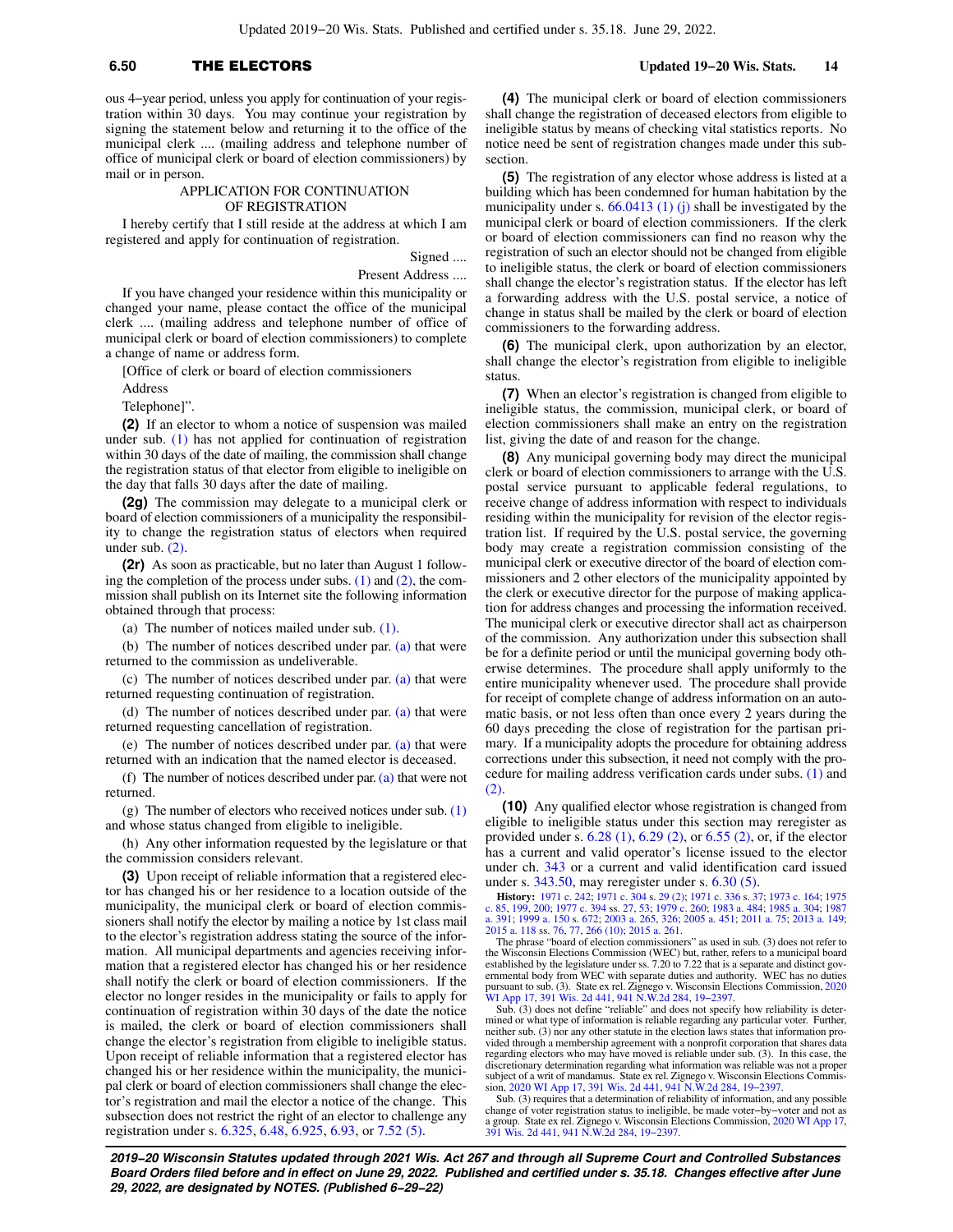## **6.50** THE ELECTORS **Updated 19−20 Wis. Stats. 14**

ous 4−year period, unless you apply for continuation of your registration within 30 days. You may continue your registration by signing the statement below and returning it to the office of the municipal clerk .... (mailing address and telephone number of office of municipal clerk or board of election commissioners) by mail or in person.

### APPLICATION FOR CONTINUATION OF REGISTRATION

I hereby certify that I still reside at the address at which I am registered and apply for continuation of registration.

> Signed .... Present Address ....

If you have changed your residence within this municipality or changed your name, please contact the office of the municipal clerk .... (mailing address and telephone number of office of municipal clerk or board of election commissioners) to complete a change of name or address form.

[Office of clerk or board of election commissioners

Address

Telephone]".

**(2)** If an elector to whom a notice of suspension was mailed under sub. [\(1\)](https://docs.legis.wisconsin.gov/document/statutes/6.50(1)) has not applied for continuation of registration within 30 days of the date of mailing, the commission shall change the registration status of that elector from eligible to ineligible on the day that falls 30 days after the date of mailing.

**(2g)** The commission may delegate to a municipal clerk or board of election commissioners of a municipality the responsibility to change the registration status of electors when required under sub. [\(2\)](https://docs.legis.wisconsin.gov/document/statutes/6.50(2)).

**(2r)** As soon as practicable, but no later than August 1 following the completion of the process under subs.  $(1)$  and  $(2)$ , the commission shall publish on its Internet site the following information obtained through that process:

(a) The number of notices mailed under sub. [\(1\).](https://docs.legis.wisconsin.gov/document/statutes/6.50(1))

(b) The number of notices described under par. [\(a\)](https://docs.legis.wisconsin.gov/document/statutes/6.50(2r)(a)) that were returned to the commission as undeliverable.

(c) The number of notices described under par. [\(a\)](https://docs.legis.wisconsin.gov/document/statutes/6.50(2r)(a)) that were returned requesting continuation of registration.

(d) The number of notices described under par. [\(a\)](https://docs.legis.wisconsin.gov/document/statutes/6.50(2r)(a)) that were returned requesting cancellation of registration.

(e) The number of notices described under par. [\(a\)](https://docs.legis.wisconsin.gov/document/statutes/6.50(2r)(a)) that were returned with an indication that the named elector is deceased.

(f) The number of notices described under par. [\(a\)](https://docs.legis.wisconsin.gov/document/statutes/6.50(2r)(a)) that were not returned.

(g) The number of electors who received notices under sub.  $(1)$ and whose status changed from eligible to ineligible.

(h) Any other information requested by the legislature or that the commission considers relevant.

**(3)** Upon receipt of reliable information that a registered elector has changed his or her residence to a location outside of the municipality, the municipal clerk or board of election commissioners shall notify the elector by mailing a notice by 1st class mail to the elector's registration address stating the source of the information. All municipal departments and agencies receiving information that a registered elector has changed his or her residence shall notify the clerk or board of election commissioners. If the elector no longer resides in the municipality or fails to apply for continuation of registration within 30 days of the date the notice is mailed, the clerk or board of election commissioners shall change the elector's registration from eligible to ineligible status. Upon receipt of reliable information that a registered elector has changed his or her residence within the municipality, the municipal clerk or board of election commissioners shall change the elector's registration and mail the elector a notice of the change. This subsection does not restrict the right of an elector to challenge any registration under s. [6.325,](https://docs.legis.wisconsin.gov/document/statutes/6.325) [6.48,](https://docs.legis.wisconsin.gov/document/statutes/6.48) [6.925,](https://docs.legis.wisconsin.gov/document/statutes/6.925) [6.93](https://docs.legis.wisconsin.gov/document/statutes/6.93), or [7.52 \(5\)](https://docs.legis.wisconsin.gov/document/statutes/7.52(5)).

**(4)** The municipal clerk or board of election commissioners shall change the registration of deceased electors from eligible to ineligible status by means of checking vital statistics reports. No notice need be sent of registration changes made under this subsection.

**(5)** The registration of any elector whose address is listed at a building which has been condemned for human habitation by the municipality under s.  $66.0413$  (1) (j) shall be investigated by the municipal clerk or board of election commissioners. If the clerk or board of election commissioners can find no reason why the registration of such an elector should not be changed from eligible to ineligible status, the clerk or board of election commissioners shall change the elector's registration status. If the elector has left a forwarding address with the U.S. postal service, a notice of change in status shall be mailed by the clerk or board of election commissioners to the forwarding address.

**(6)** The municipal clerk, upon authorization by an elector, shall change the elector's registration from eligible to ineligible status.

**(7)** When an elector's registration is changed from eligible to ineligible status, the commission, municipal clerk, or board of election commissioners shall make an entry on the registration list, giving the date of and reason for the change.

**(8)** Any municipal governing body may direct the municipal clerk or board of election commissioners to arrange with the U.S. postal service pursuant to applicable federal regulations, to receive change of address information with respect to individuals residing within the municipality for revision of the elector registration list. If required by the U.S. postal service, the governing body may create a registration commission consisting of the municipal clerk or executive director of the board of election commissioners and 2 other electors of the municipality appointed by the clerk or executive director for the purpose of making application for address changes and processing the information received. The municipal clerk or executive director shall act as chairperson of the commission. Any authorization under this subsection shall be for a definite period or until the municipal governing body otherwise determines. The procedure shall apply uniformly to the entire municipality whenever used. The procedure shall provide for receipt of complete change of address information on an automatic basis, or not less often than once every 2 years during the 60 days preceding the close of registration for the partisan primary. If a municipality adopts the procedure for obtaining address corrections under this subsection, it need not comply with the procedure for mailing address verification cards under subs. [\(1\)](https://docs.legis.wisconsin.gov/document/statutes/6.50(1)) and [\(2\).](https://docs.legis.wisconsin.gov/document/statutes/6.50(2))

**(10)** Any qualified elector whose registration is changed from eligible to ineligible status under this section may reregister as provided under s. [6.28 \(1\)](https://docs.legis.wisconsin.gov/document/statutes/6.28(1)), [6.29 \(2\)](https://docs.legis.wisconsin.gov/document/statutes/6.29(2)), or [6.55 \(2\)](https://docs.legis.wisconsin.gov/document/statutes/6.55(2)), or, if the elector has a current and valid operator's license issued to the elector under ch. [343](https://docs.legis.wisconsin.gov/document/statutes/ch.%20343) or a current and valid identification card issued under s. [343.50,](https://docs.legis.wisconsin.gov/document/statutes/343.50) may reregister under s. [6.30 \(5\)](https://docs.legis.wisconsin.gov/document/statutes/6.30(5)).

**History:** [1971 c. 242;](https://docs.legis.wisconsin.gov/document/acts/1971/242) [1971 c. 304](https://docs.legis.wisconsin.gov/document/acts/1971/304) s. [29 \(2\);](https://docs.legis.wisconsin.gov/document/acts/1971/304,%20s.%2029) [1971 c. 336](https://docs.legis.wisconsin.gov/document/acts/1971/336) s. [37;](https://docs.legis.wisconsin.gov/document/acts/1971/336,%20s.%2037) [1973 c. 164;](https://docs.legis.wisconsin.gov/document/acts/1973/164) [1975](https://docs.legis.wisconsin.gov/document/acts/1975/85)<br>[c. 85,](https://docs.legis.wisconsin.gov/document/acts/1975/85) [199](https://docs.legis.wisconsin.gov/document/acts/1975/199), [200](https://docs.legis.wisconsin.gov/document/acts/1975/200); [1977 c. 394](https://docs.legis.wisconsin.gov/document/acts/1977/394) ss. [27](https://docs.legis.wisconsin.gov/document/acts/1977/394,%20s.%2027), [53;](https://docs.legis.wisconsin.gov/document/acts/1977/394,%20s.%2053) [1979 c. 260](https://docs.legis.wisconsin.gov/document/acts/1979/260); [1983 a. 484](https://docs.legis.wisconsin.gov/document/acts/1983/484); [1985 a. 304;](https://docs.legis.wisconsin.gov/document/acts/1985/304) [1987](https://docs.legis.wisconsin.gov/document/acts/1987/391)<br>[a. 391](https://docs.legis.wisconsin.gov/document/acts/1987/391); [1999 a. 150](https://docs.legis.wisconsin.gov/document/acts/1999/150) s. [672;](https://docs.legis.wisconsin.gov/document/acts/1999/150,%20s.%20672) [2003 a. 265,](https://docs.legis.wisconsin.gov/document/acts/2003/265) [326;](https://docs.legis.wisconsin.gov/document/acts/2003/326) 2005 a. [2015 a. 118](https://docs.legis.wisconsin.gov/document/acts/2015/118) ss. [76](https://docs.legis.wisconsin.gov/document/acts/2015/118,%20s.%2076), [77,](https://docs.legis.wisconsin.gov/document/acts/2015/118,%20s.%2077) [266 \(10\)](https://docs.legis.wisconsin.gov/document/acts/2015/118,%20s.%20266); [2015 a. 261](https://docs.legis.wisconsin.gov/document/acts/2015/261). The phrase "board of election commissioners" as used in sub. (3) does not refer to

the Wisconsin Elections Commission (WEC) but, rather, refers to a municipal board established by the legislature under ss. 7.20 to 7.22 that is a separate and distinct governmental body from WEC with separate duties and authority. WEC has no duties pursuant to sub. (3). State ex rel. Zignego v. Wisconsin Elections Commission, [2020](https://docs.legis.wisconsin.gov/document/courts/2020%20WI%20App%2017) [WI App 17,](https://docs.legis.wisconsin.gov/document/courts/2020%20WI%20App%2017) [391 Wis. 2d 441](https://docs.legis.wisconsin.gov/document/courts/391%20Wis.%202d%20441), [941 N.W.2d 284,](https://docs.legis.wisconsin.gov/document/courts/941%20N.W.2d%20284) [19−2397.](https://docs.legis.wisconsin.gov/document/wicourtofappeals/19-2397)

Sub. (3) does not define "reliable" and does not specify how reliability is determined or what type of information is reliable regarding any particular voter. Further, neither sub. (3) nor any other statute in the election laws states that information provided through a membership agreement with a nonprofit corporation that shares data regarding electors who may have moved is reliable under sub. (3). In this case, the discretionary determination regarding what information was reliable was not a proper subject of a writ of mandamus. State ex rel. Zignego v. Wisconsin Elections Commis-sion, [2020 WI App 17,](https://docs.legis.wisconsin.gov/document/courts/2020%20WI%20App%2017) [391 Wis. 2d 441](https://docs.legis.wisconsin.gov/document/courts/391%20Wis.%202d%20441), [941 N.W.2d 284,](https://docs.legis.wisconsin.gov/document/courts/941%20N.W.2d%20284) [19−2397.](https://docs.legis.wisconsin.gov/document/wicourtofappeals/19-2397)

Sub. (3) requires that a determination of reliability of information, and any possible change of voter registration status to ineligible, be made voter−by−voter and not as a group. State ex rel. Zignego v. Wisconsin Elections Commission, [2020 WI App 17](https://docs.legis.wisconsin.gov/document/courts/2020%20WI%20App%2017), [391 Wis. 2d 441](https://docs.legis.wisconsin.gov/document/courts/391%20Wis.%202d%20441), [941 N.W.2d 284,](https://docs.legis.wisconsin.gov/document/courts/941%20N.W.2d%20284) [19−2397.](https://docs.legis.wisconsin.gov/document/wicourtofappeals/19-2397)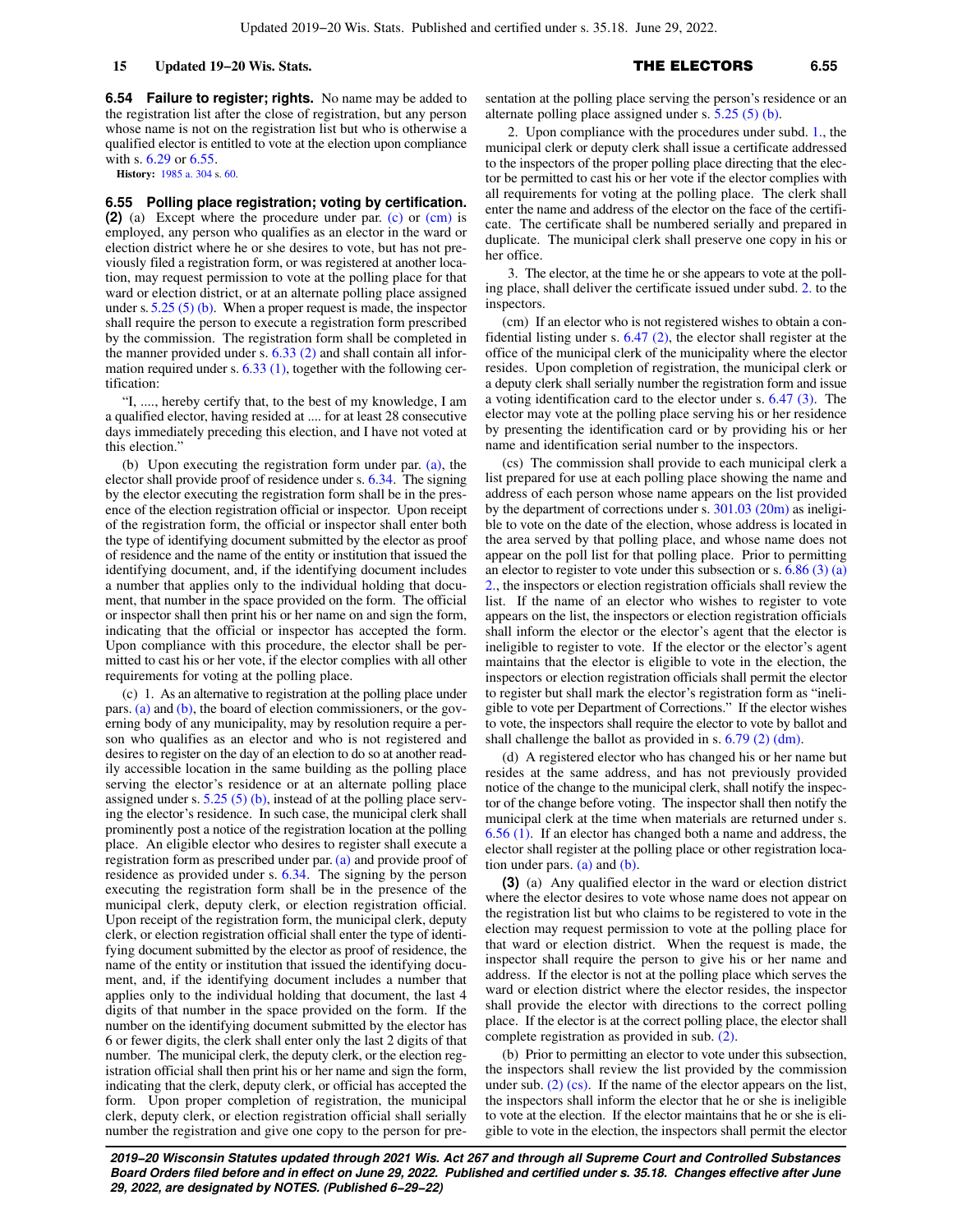**6.54 Failure to register; rights.** No name may be added to the registration list after the close of registration, but any person whose name is not on the registration list but who is otherwise a qualified elector is entitled to vote at the election upon compliance with s. [6.29](https://docs.legis.wisconsin.gov/document/statutes/6.29) or [6.55.](https://docs.legis.wisconsin.gov/document/statutes/6.55)

**History:** [1985 a. 304](https://docs.legis.wisconsin.gov/document/acts/1985/304) s. [60](https://docs.legis.wisconsin.gov/document/acts/1985/304,%20s.%2060).

**6.55 Polling place registration; voting by certification. (2)** (a) Except where the procedure under par. [\(c\)](https://docs.legis.wisconsin.gov/document/statutes/6.55(2)(c)) or [\(cm\)](https://docs.legis.wisconsin.gov/document/statutes/6.55(2)(cm)) is employed, any person who qualifies as an elector in the ward or election district where he or she desires to vote, but has not previously filed a registration form, or was registered at another location, may request permission to vote at the polling place for that ward or election district, or at an alternate polling place assigned under s.  $5.25(5)(b)$ . When a proper request is made, the inspector shall require the person to execute a registration form prescribed by the commission. The registration form shall be completed in the manner provided under s.  $6.33$  (2) and shall contain all information required under s. [6.33 \(1\),](https://docs.legis.wisconsin.gov/document/statutes/6.33(1)) together with the following certification:

"I, ...., hereby certify that, to the best of my knowledge, I am a qualified elector, having resided at .... for at least 28 consecutive days immediately preceding this election, and I have not voted at this election."

(b) Upon executing the registration form under par.  $(a)$ , the elector shall provide proof of residence under s. [6.34.](https://docs.legis.wisconsin.gov/document/statutes/6.34) The signing by the elector executing the registration form shall be in the presence of the election registration official or inspector. Upon receipt of the registration form, the official or inspector shall enter both the type of identifying document submitted by the elector as proof of residence and the name of the entity or institution that issued the identifying document, and, if the identifying document includes a number that applies only to the individual holding that document, that number in the space provided on the form. The official or inspector shall then print his or her name on and sign the form, indicating that the official or inspector has accepted the form. Upon compliance with this procedure, the elector shall be permitted to cast his or her vote, if the elector complies with all other requirements for voting at the polling place.

(c) 1. As an alternative to registration at the polling place under pars. [\(a\)](https://docs.legis.wisconsin.gov/document/statutes/6.55(2)(a)) and [\(b\)](https://docs.legis.wisconsin.gov/document/statutes/6.55(2)(b)), the board of election commissioners, or the governing body of any municipality, may by resolution require a person who qualifies as an elector and who is not registered and desires to register on the day of an election to do so at another readily accessible location in the same building as the polling place serving the elector's residence or at an alternate polling place assigned under s.  $5.25(5)(b)$ , instead of at the polling place serving the elector's residence. In such case, the municipal clerk shall prominently post a notice of the registration location at the polling place. An eligible elector who desires to register shall execute a registration form as prescribed under par. [\(a\)](https://docs.legis.wisconsin.gov/document/statutes/6.55(2)(a)) and provide proof of residence as provided under s. [6.34](https://docs.legis.wisconsin.gov/document/statutes/6.34). The signing by the person executing the registration form shall be in the presence of the municipal clerk, deputy clerk, or election registration official. Upon receipt of the registration form, the municipal clerk, deputy clerk, or election registration official shall enter the type of identifying document submitted by the elector as proof of residence, the name of the entity or institution that issued the identifying document, and, if the identifying document includes a number that applies only to the individual holding that document, the last 4 digits of that number in the space provided on the form. If the number on the identifying document submitted by the elector has 6 or fewer digits, the clerk shall enter only the last 2 digits of that number. The municipal clerk, the deputy clerk, or the election registration official shall then print his or her name and sign the form, indicating that the clerk, deputy clerk, or official has accepted the form. Upon proper completion of registration, the municipal clerk, deputy clerk, or election registration official shall serially number the registration and give one copy to the person for presentation at the polling place serving the person's residence or an alternate polling place assigned under s. [5.25 \(5\) \(b\).](https://docs.legis.wisconsin.gov/document/statutes/5.25(5)(b))

2. Upon compliance with the procedures under subd. [1.,](https://docs.legis.wisconsin.gov/document/statutes/6.55(2)(c)1.) the municipal clerk or deputy clerk shall issue a certificate addressed to the inspectors of the proper polling place directing that the elector be permitted to cast his or her vote if the elector complies with all requirements for voting at the polling place. The clerk shall enter the name and address of the elector on the face of the certificate. The certificate shall be numbered serially and prepared in duplicate. The municipal clerk shall preserve one copy in his or her office.

3. The elector, at the time he or she appears to vote at the polling place, shall deliver the certificate issued under subd. [2.](https://docs.legis.wisconsin.gov/document/statutes/6.55(2)(c)2.) to the inspectors.

(cm) If an elector who is not registered wishes to obtain a confidential listing under s. [6.47 \(2\),](https://docs.legis.wisconsin.gov/document/statutes/6.47(2)) the elector shall register at the office of the municipal clerk of the municipality where the elector resides. Upon completion of registration, the municipal clerk or a deputy clerk shall serially number the registration form and issue a voting identification card to the elector under s. [6.47 \(3\).](https://docs.legis.wisconsin.gov/document/statutes/6.47(3)) The elector may vote at the polling place serving his or her residence by presenting the identification card or by providing his or her name and identification serial number to the inspectors.

(cs) The commission shall provide to each municipal clerk a list prepared for use at each polling place showing the name and address of each person whose name appears on the list provided by the department of corrections under s. [301.03 \(20m\)](https://docs.legis.wisconsin.gov/document/statutes/301.03(20m)) as ineligible to vote on the date of the election, whose address is located in the area served by that polling place, and whose name does not appear on the poll list for that polling place. Prior to permitting an elector to register to vote under this subsection or s.  $6.86$  (3) (a) [2.,](https://docs.legis.wisconsin.gov/document/statutes/6.86(3)(a)2.) the inspectors or election registration officials shall review the list. If the name of an elector who wishes to register to vote appears on the list, the inspectors or election registration officials shall inform the elector or the elector's agent that the elector is ineligible to register to vote. If the elector or the elector's agent maintains that the elector is eligible to vote in the election, the inspectors or election registration officials shall permit the elector to register but shall mark the elector's registration form as "ineligible to vote per Department of Corrections." If the elector wishes to vote, the inspectors shall require the elector to vote by ballot and shall challenge the ballot as provided in s. [6.79 \(2\) \(dm\).](https://docs.legis.wisconsin.gov/document/statutes/6.79(2)(dm))

(d) A registered elector who has changed his or her name but resides at the same address, and has not previously provided notice of the change to the municipal clerk, shall notify the inspector of the change before voting. The inspector shall then notify the municipal clerk at the time when materials are returned under s. [6.56 \(1\).](https://docs.legis.wisconsin.gov/document/statutes/6.56(1)) If an elector has changed both a name and address, the elector shall register at the polling place or other registration location under pars. [\(a\)](https://docs.legis.wisconsin.gov/document/statutes/6.55(2)(a)) and [\(b\)](https://docs.legis.wisconsin.gov/document/statutes/6.55(2)(b)).

**(3)** (a) Any qualified elector in the ward or election district where the elector desires to vote whose name does not appear on the registration list but who claims to be registered to vote in the election may request permission to vote at the polling place for that ward or election district. When the request is made, the inspector shall require the person to give his or her name and address. If the elector is not at the polling place which serves the ward or election district where the elector resides, the inspector shall provide the elector with directions to the correct polling place. If the elector is at the correct polling place, the elector shall complete registration as provided in sub. [\(2\)](https://docs.legis.wisconsin.gov/document/statutes/6.55(2)).

(b) Prior to permitting an elector to vote under this subsection, the inspectors shall review the list provided by the commission under sub. [\(2\) \(cs\).](https://docs.legis.wisconsin.gov/document/statutes/6.55(2)(cs)) If the name of the elector appears on the list, the inspectors shall inform the elector that he or she is ineligible to vote at the election. If the elector maintains that he or she is eligible to vote in the election, the inspectors shall permit the elector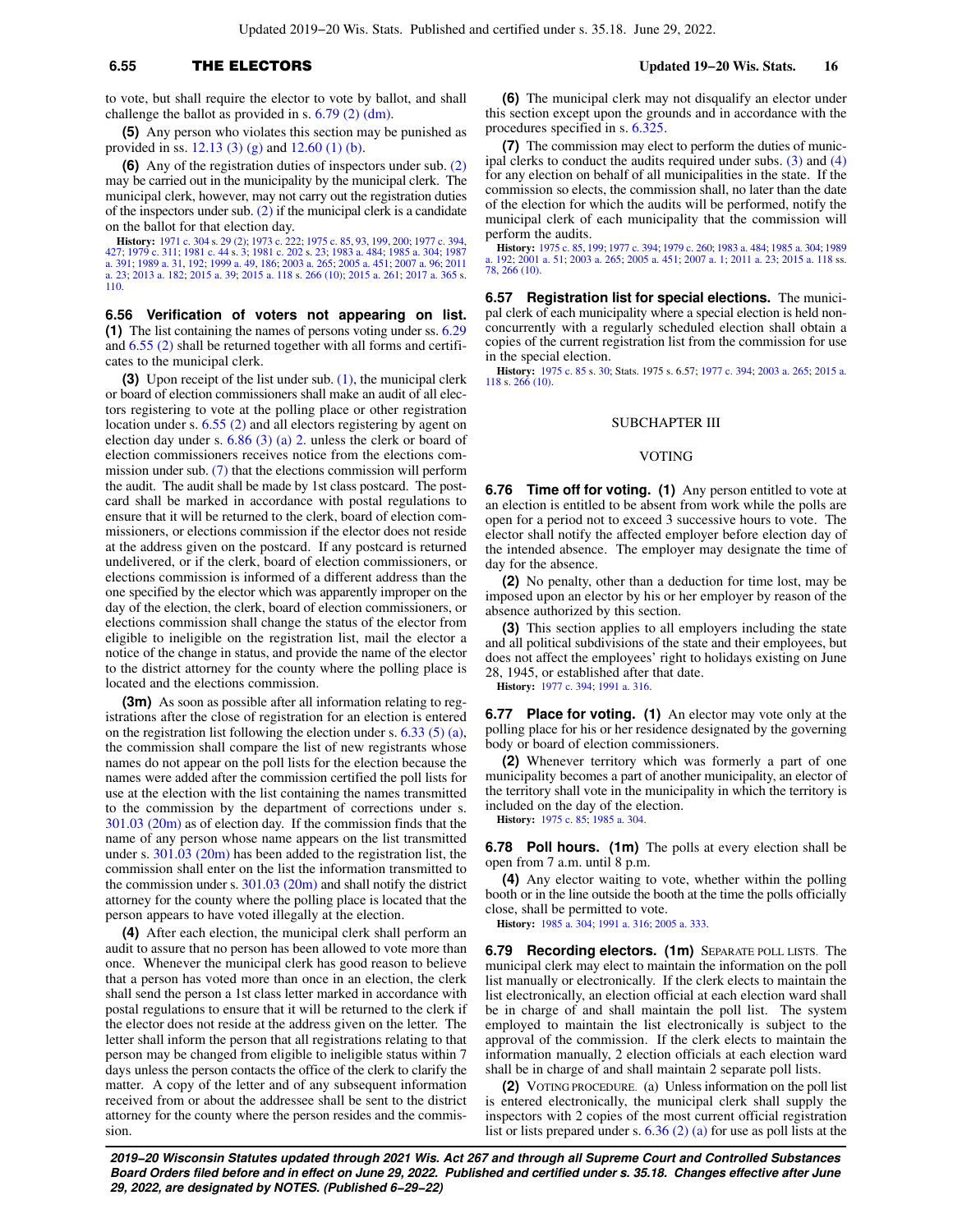to vote, but shall require the elector to vote by ballot, and shall challenge the ballot as provided in s. [6.79 \(2\) \(dm\)](https://docs.legis.wisconsin.gov/document/statutes/6.79(2)(dm)).

**(5)** Any person who violates this section may be punished as provided in ss. [12.13 \(3\) \(g\)](https://docs.legis.wisconsin.gov/document/statutes/12.13(3)(g)) and [12.60 \(1\) \(b\).](https://docs.legis.wisconsin.gov/document/statutes/12.60(1)(b))

**(6)** Any of the registration duties of inspectors under sub. [\(2\)](https://docs.legis.wisconsin.gov/document/statutes/6.55(2)) may be carried out in the municipality by the municipal clerk. The municipal clerk, however, may not carry out the registration duties of the inspectors under sub.  $(2)$  if the municipal clerk is a candidate on the ballot for that election day.

**History:** [1971 c. 304](https://docs.legis.wisconsin.gov/document/acts/1971/304) s. [29 \(2\)](https://docs.legis.wisconsin.gov/document/acts/1971/304,%20s.%2029); [1973 c. 222;](https://docs.legis.wisconsin.gov/document/acts/1973/222) [1975 c. 85](https://docs.legis.wisconsin.gov/document/acts/1975/85), [93,](https://docs.legis.wisconsin.gov/document/acts/1975/93) [199](https://docs.legis.wisconsin.gov/document/acts/1975/199), [200;](https://docs.legis.wisconsin.gov/document/acts/1975/200) [1977 c. 394](https://docs.legis.wisconsin.gov/document/acts/1977/394), [427](https://docs.legis.wisconsin.gov/document/acts/1977/427); [1979 c. 311](https://docs.legis.wisconsin.gov/document/acts/1979/311); [1981 c. 44](https://docs.legis.wisconsin.gov/document/acts/1981/44) s. [3](https://docs.legis.wisconsin.gov/document/acts/1981/44,%20s.%203); [1981 c. 202](https://docs.legis.wisconsin.gov/document/acts/1981/202) s. [23;](https://docs.legis.wisconsin.gov/document/acts/1981/202,%20s.%2023) [1983 a. 484;](https://docs.legis.wisconsin.gov/document/acts/1983/484) [1985 a. 304](https://docs.legis.wisconsin.gov/document/acts/1985/304); [1987](https://docs.legis.wisconsin.gov/document/acts/1987/391) [a. 391;](https://docs.legis.wisconsin.gov/document/acts/1987/391) [1989 a. 31](https://docs.legis.wisconsin.gov/document/acts/1989/31), [192](https://docs.legis.wisconsin.gov/document/acts/1989/192); [1999 a. 49,](https://docs.legis.wisconsin.gov/document/acts/1999/49) [186;](https://docs.legis.wisconsin.gov/document/acts/1999/186) [2003 a. 265](https://docs.legis.wisconsin.gov/document/acts/2003/265); [2005 a. 451](https://docs.legis.wisconsin.gov/document/acts/2005/451); [2007 a. 96;](https://docs.legis.wisconsin.gov/document/acts/2007/96) [2011](https://docs.legis.wisconsin.gov/document/acts/2011/23) [a. 23](https://docs.legis.wisconsin.gov/document/acts/2011/23); [2013 a. 182](https://docs.legis.wisconsin.gov/document/acts/2013/182); [2015 a. 39;](https://docs.legis.wisconsin.gov/document/acts/2015/39) [2015 a. 118](https://docs.legis.wisconsin.gov/document/acts/2015/118) s. [266 \(10\)](https://docs.legis.wisconsin.gov/document/acts/2015/118,%20s.%20266); [2015 a. 261;](https://docs.legis.wisconsin.gov/document/acts/2015/261) [2017 a. 365](https://docs.legis.wisconsin.gov/document/acts/2017/365) s. [110](https://docs.legis.wisconsin.gov/document/acts/2017/365,%20s.%20110).

**6.56 Verification of voters not appearing on list. (1)** The list containing the names of persons voting under ss. [6.29](https://docs.legis.wisconsin.gov/document/statutes/6.29) and [6.55 \(2\)](https://docs.legis.wisconsin.gov/document/statutes/6.55(2)) shall be returned together with all forms and certificates to the municipal clerk.

**(3)** Upon receipt of the list under sub. [\(1\)](https://docs.legis.wisconsin.gov/document/statutes/6.56(1)), the municipal clerk or board of election commissioners shall make an audit of all electors registering to vote at the polling place or other registration location under s. [6.55 \(2\)](https://docs.legis.wisconsin.gov/document/statutes/6.55(2)) and all electors registering by agent on election day under s.  $6.86$  (3) (a) 2. unless the clerk or board of election commissioners receives notice from the elections commission under sub. [\(7\)](https://docs.legis.wisconsin.gov/document/statutes/6.56(7)) that the elections commission will perform the audit. The audit shall be made by 1st class postcard. The postcard shall be marked in accordance with postal regulations to ensure that it will be returned to the clerk, board of election commissioners, or elections commission if the elector does not reside at the address given on the postcard. If any postcard is returned undelivered, or if the clerk, board of election commissioners, or elections commission is informed of a different address than the one specified by the elector which was apparently improper on the day of the election, the clerk, board of election commissioners, or elections commission shall change the status of the elector from eligible to ineligible on the registration list, mail the elector a notice of the change in status, and provide the name of the elector to the district attorney for the county where the polling place is located and the elections commission.

**(3m)** As soon as possible after all information relating to registrations after the close of registration for an election is entered on the registration list following the election under s.  $6.33(5)(a)$ , the commission shall compare the list of new registrants whose names do not appear on the poll lists for the election because the names were added after the commission certified the poll lists for use at the election with the list containing the names transmitted to the commission by the department of corrections under s. [301.03 \(20m\)](https://docs.legis.wisconsin.gov/document/statutes/301.03(20m)) as of election day. If the commission finds that the name of any person whose name appears on the list transmitted under s. [301.03 \(20m\)](https://docs.legis.wisconsin.gov/document/statutes/301.03(20m)) has been added to the registration list, the commission shall enter on the list the information transmitted to the commission under s. [301.03 \(20m\)](https://docs.legis.wisconsin.gov/document/statutes/301.03(20m)) and shall notify the district attorney for the county where the polling place is located that the person appears to have voted illegally at the election.

**(4)** After each election, the municipal clerk shall perform an audit to assure that no person has been allowed to vote more than once. Whenever the municipal clerk has good reason to believe that a person has voted more than once in an election, the clerk shall send the person a 1st class letter marked in accordance with postal regulations to ensure that it will be returned to the clerk if the elector does not reside at the address given on the letter. The letter shall inform the person that all registrations relating to that person may be changed from eligible to ineligible status within 7 days unless the person contacts the office of the clerk to clarify the matter. A copy of the letter and of any subsequent information received from or about the addressee shall be sent to the district attorney for the county where the person resides and the commission.

**(6)** The municipal clerk may not disqualify an elector under this section except upon the grounds and in accordance with the procedures specified in s. [6.325.](https://docs.legis.wisconsin.gov/document/statutes/6.325)

**(7)** The commission may elect to perform the duties of municipal clerks to conduct the audits required under subs. [\(3\)](https://docs.legis.wisconsin.gov/document/statutes/6.56(3)) and [\(4\)](https://docs.legis.wisconsin.gov/document/statutes/6.56(4)) for any election on behalf of all municipalities in the state. If the commission so elects, the commission shall, no later than the date of the election for which the audits will be performed, notify the municipal clerk of each municipality that the commission will perform the audits.

**History:** [1975 c. 85,](https://docs.legis.wisconsin.gov/document/acts/1975/85) [199](https://docs.legis.wisconsin.gov/document/acts/1975/199); [1977 c. 394;](https://docs.legis.wisconsin.gov/document/acts/1977/394) [1979 c. 260;](https://docs.legis.wisconsin.gov/document/acts/1979/260) [1983 a. 484](https://docs.legis.wisconsin.gov/document/acts/1983/484); [1985 a. 304](https://docs.legis.wisconsin.gov/document/acts/1985/304); [1989](https://docs.legis.wisconsin.gov/document/acts/1989/192) [a. 192](https://docs.legis.wisconsin.gov/document/acts/1989/192); [2001 a. 51;](https://docs.legis.wisconsin.gov/document/acts/2001/51) [2003 a. 265](https://docs.legis.wisconsin.gov/document/acts/2003/265); [2005 a. 451](https://docs.legis.wisconsin.gov/document/acts/2005/451); [2007 a. 1;](https://docs.legis.wisconsin.gov/document/acts/2007/1) [2011 a. 23;](https://docs.legis.wisconsin.gov/document/acts/2011/23) [2015 a. 118](https://docs.legis.wisconsin.gov/document/acts/2015/118) ss. [78](https://docs.legis.wisconsin.gov/document/acts/2015/118,%20s.%2078), [266 \(10\).](https://docs.legis.wisconsin.gov/document/acts/2015/118,%20s.%20266)

**6.57 Registration list for special elections.** The municipal clerk of each municipality where a special election is held nonconcurrently with a regularly scheduled election shall obtain a copies of the current registration list from the commission for use in the special election.

**History:** [1975 c. 85](https://docs.legis.wisconsin.gov/document/acts/1975/85) s. [30;](https://docs.legis.wisconsin.gov/document/acts/1975/85,%20s.%2030) Stats. 1975 s. 6.57; [1977 c. 394](https://docs.legis.wisconsin.gov/document/acts/1977/394); [2003 a. 265;](https://docs.legis.wisconsin.gov/document/acts/2003/265) [2015 a.](https://docs.legis.wisconsin.gov/document/acts/2015/118) [118](https://docs.legis.wisconsin.gov/document/acts/2015/118) s. [266 \(10\)](https://docs.legis.wisconsin.gov/document/acts/2015/118,%20s.%20266).

### SUBCHAPTER III

### VOTING

**6.76 Time off for voting. (1)** Any person entitled to vote at an election is entitled to be absent from work while the polls are open for a period not to exceed 3 successive hours to vote. The elector shall notify the affected employer before election day of the intended absence. The employer may designate the time of day for the absence.

**(2)** No penalty, other than a deduction for time lost, may be imposed upon an elector by his or her employer by reason of the absence authorized by this section.

**(3)** This section applies to all employers including the state and all political subdivisions of the state and their employees, but does not affect the employees' right to holidays existing on June 28, 1945, or established after that date.

**History:** [1977 c. 394;](https://docs.legis.wisconsin.gov/document/acts/1977/394) [1991 a. 316](https://docs.legis.wisconsin.gov/document/acts/1991/316).

**6.77 Place for voting. (1)** An elector may vote only at the polling place for his or her residence designated by the governing body or board of election commissioners.

**(2)** Whenever territory which was formerly a part of one municipality becomes a part of another municipality, an elector of the territory shall vote in the municipality in which the territory is included on the day of the election.

**History:** [1975 c. 85](https://docs.legis.wisconsin.gov/document/acts/1975/85); [1985 a. 304.](https://docs.legis.wisconsin.gov/document/acts/1985/304)

**6.78 Poll hours. (1m)** The polls at every election shall be open from 7 a.m. until 8 p.m.

**(4)** Any elector waiting to vote, whether within the polling booth or in the line outside the booth at the time the polls officially close, shall be permitted to vote.

**History:** [1985 a. 304;](https://docs.legis.wisconsin.gov/document/acts/1985/304) [1991 a. 316](https://docs.legis.wisconsin.gov/document/acts/1991/316); [2005 a. 333.](https://docs.legis.wisconsin.gov/document/acts/2005/333)

**6.79 Recording electors. (1m)** SEPARATE POLL LISTS. The municipal clerk may elect to maintain the information on the poll list manually or electronically. If the clerk elects to maintain the list electronically, an election official at each election ward shall be in charge of and shall maintain the poll list. The system employed to maintain the list electronically is subject to the approval of the commission. If the clerk elects to maintain the information manually, 2 election officials at each election ward shall be in charge of and shall maintain 2 separate poll lists.

**(2)** VOTING PROCEDURE. (a) Unless information on the poll list is entered electronically, the municipal clerk shall supply the inspectors with 2 copies of the most current official registration list or lists prepared under s. [6.36 \(2\) \(a\)](https://docs.legis.wisconsin.gov/document/statutes/6.36(2)(a)) for use as poll lists at the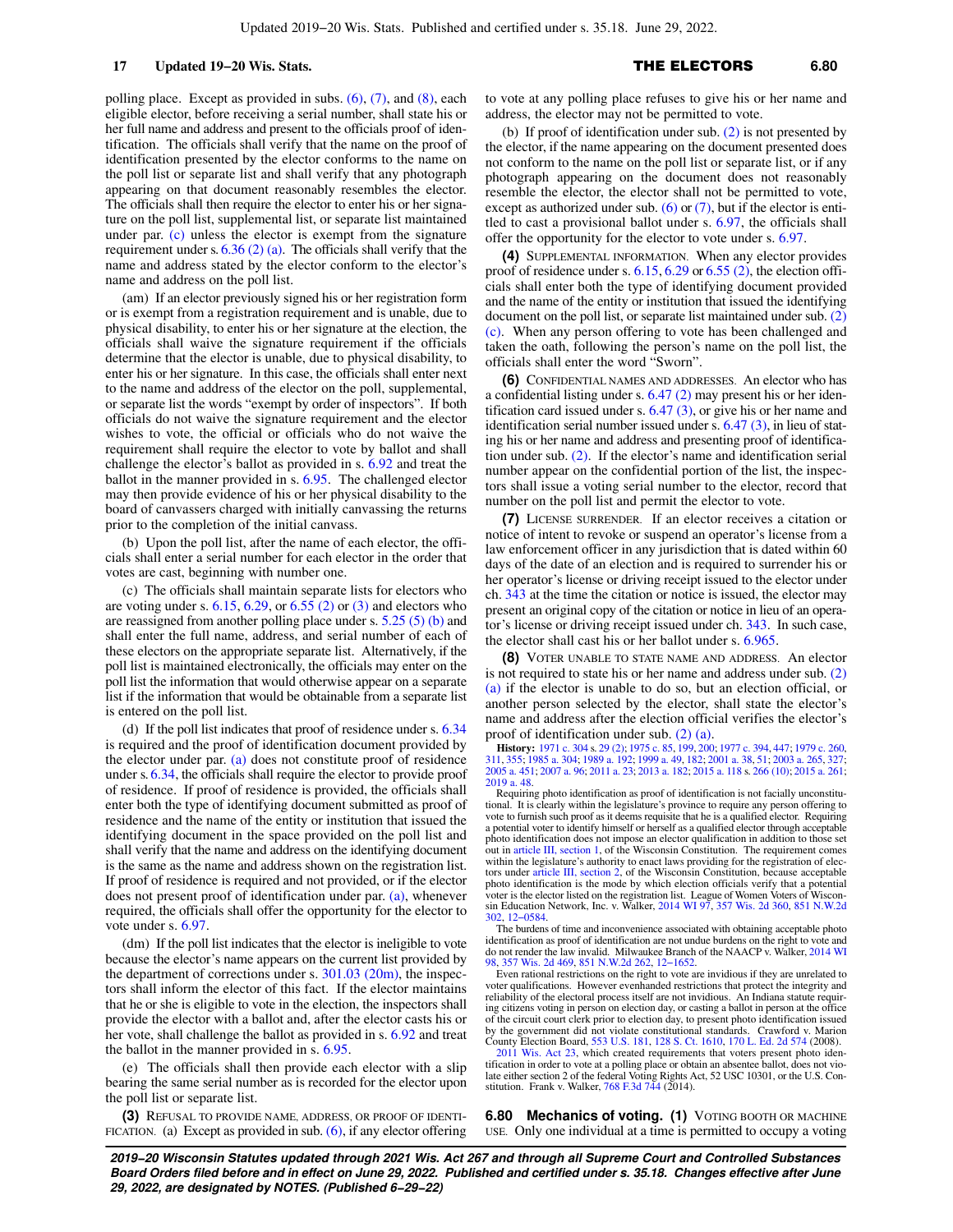## 17 **Updated 19−20 Wis. Stats. 17 17 17 <b>111 ELECTORS** 6.80

polling place. Except as provided in subs. [\(6\)](https://docs.legis.wisconsin.gov/document/statutes/6.79(6)), [\(7\),](https://docs.legis.wisconsin.gov/document/statutes/6.79(7)) and [\(8\),](https://docs.legis.wisconsin.gov/document/statutes/6.79(8)) each eligible elector, before receiving a serial number, shall state his or her full name and address and present to the officials proof of identification. The officials shall verify that the name on the proof of identification presented by the elector conforms to the name on the poll list or separate list and shall verify that any photograph appearing on that document reasonably resembles the elector. The officials shall then require the elector to enter his or her signature on the poll list, supplemental list, or separate list maintained under par. [\(c\)](https://docs.legis.wisconsin.gov/document/statutes/6.79(2)(c)) unless the elector is exempt from the signature requirement under s.  $6.36$  (2) (a). The officials shall verify that the name and address stated by the elector conform to the elector's name and address on the poll list.

(am) If an elector previously signed his or her registration form or is exempt from a registration requirement and is unable, due to physical disability, to enter his or her signature at the election, the officials shall waive the signature requirement if the officials determine that the elector is unable, due to physical disability, to enter his or her signature. In this case, the officials shall enter next to the name and address of the elector on the poll, supplemental, or separate list the words "exempt by order of inspectors". If both officials do not waive the signature requirement and the elector wishes to vote, the official or officials who do not waive the requirement shall require the elector to vote by ballot and shall challenge the elector's ballot as provided in s. [6.92](https://docs.legis.wisconsin.gov/document/statutes/6.92) and treat the ballot in the manner provided in s. [6.95.](https://docs.legis.wisconsin.gov/document/statutes/6.95) The challenged elector may then provide evidence of his or her physical disability to the board of canvassers charged with initially canvassing the returns prior to the completion of the initial canvass.

(b) Upon the poll list, after the name of each elector, the officials shall enter a serial number for each elector in the order that votes are cast, beginning with number one.

(c) The officials shall maintain separate lists for electors who are voting under s.  $6.15, 6.29$  $6.15, 6.29$ , or  $6.55$  (2) or [\(3\)](https://docs.legis.wisconsin.gov/document/statutes/6.55(3)) and electors who are reassigned from another polling place under s.  $5.25(5)(b)$  and shall enter the full name, address, and serial number of each of these electors on the appropriate separate list. Alternatively, if the poll list is maintained electronically, the officials may enter on the poll list the information that would otherwise appear on a separate list if the information that would be obtainable from a separate list is entered on the poll list.

(d) If the poll list indicates that proof of residence under s. [6.34](https://docs.legis.wisconsin.gov/document/statutes/6.34) is required and the proof of identification document provided by the elector under par. [\(a\)](https://docs.legis.wisconsin.gov/document/statutes/6.79(2)(a)) does not constitute proof of residence under s. [6.34,](https://docs.legis.wisconsin.gov/document/statutes/6.34) the officials shall require the elector to provide proof of residence. If proof of residence is provided, the officials shall enter both the type of identifying document submitted as proof of residence and the name of the entity or institution that issued the identifying document in the space provided on the poll list and shall verify that the name and address on the identifying document is the same as the name and address shown on the registration list. If proof of residence is required and not provided, or if the elector does not present proof of identification under par. [\(a\)](https://docs.legis.wisconsin.gov/document/statutes/6.79(2)(a)), whenever required, the officials shall offer the opportunity for the elector to vote under s. [6.97](https://docs.legis.wisconsin.gov/document/statutes/6.97).

(dm) If the poll list indicates that the elector is ineligible to vote because the elector's name appears on the current list provided by the department of corrections under s.  $301.03$  (20m), the inspectors shall inform the elector of this fact. If the elector maintains that he or she is eligible to vote in the election, the inspectors shall provide the elector with a ballot and, after the elector casts his or her vote, shall challenge the ballot as provided in s. [6.92](https://docs.legis.wisconsin.gov/document/statutes/6.92) and treat the ballot in the manner provided in s. [6.95.](https://docs.legis.wisconsin.gov/document/statutes/6.95)

(e) The officials shall then provide each elector with a slip bearing the same serial number as is recorded for the elector upon the poll list or separate list.

**(3)** REFUSAL TO PROVIDE NAME, ADDRESS, OR PROOF OF IDENTI-FICATION. (a) Except as provided in sub.  $(6)$ , if any elector offering to vote at any polling place refuses to give his or her name and address, the elector may not be permitted to vote.

(b) If proof of identification under sub. [\(2\)](https://docs.legis.wisconsin.gov/document/statutes/6.79(2)) is not presented by the elector, if the name appearing on the document presented does not conform to the name on the poll list or separate list, or if any photograph appearing on the document does not reasonably resemble the elector, the elector shall not be permitted to vote, except as authorized under sub.  $(6)$  or  $(7)$ , but if the elector is entitled to cast a provisional ballot under s. [6.97](https://docs.legis.wisconsin.gov/document/statutes/6.97), the officials shall offer the opportunity for the elector to vote under s. [6.97](https://docs.legis.wisconsin.gov/document/statutes/6.97).

**(4)** SUPPLEMENTAL INFORMATION. When any elector provides proof of residence under s.  $6.15, 6.29$  $6.15, 6.29$  $6.15, 6.29$  or  $6.55$  (2), the election officials shall enter both the type of identifying document provided and the name of the entity or institution that issued the identifying document on the poll list, or separate list maintained under sub. [\(2\)](https://docs.legis.wisconsin.gov/document/statutes/6.79(2)(c)) [\(c\)](https://docs.legis.wisconsin.gov/document/statutes/6.79(2)(c)). When any person offering to vote has been challenged and taken the oath, following the person's name on the poll list, the officials shall enter the word "Sworn".

**(6)** CONFIDENTIAL NAMES AND ADDRESSES. An elector who has a confidential listing under s. [6.47 \(2\)](https://docs.legis.wisconsin.gov/document/statutes/6.47(2)) may present his or her identification card issued under s.  $6.47$  (3), or give his or her name and identification serial number issued under s. [6.47 \(3\),](https://docs.legis.wisconsin.gov/document/statutes/6.47(3)) in lieu of stating his or her name and address and presenting proof of identification under sub. [\(2\).](https://docs.legis.wisconsin.gov/document/statutes/6.79(2)) If the elector's name and identification serial number appear on the confidential portion of the list, the inspectors shall issue a voting serial number to the elector, record that number on the poll list and permit the elector to vote.

**(7)** LICENSE SURRENDER. If an elector receives a citation or notice of intent to revoke or suspend an operator's license from a law enforcement officer in any jurisdiction that is dated within 60 days of the date of an election and is required to surrender his or her operator's license or driving receipt issued to the elector under ch. [343](https://docs.legis.wisconsin.gov/document/statutes/ch.%20343) at the time the citation or notice is issued, the elector may present an original copy of the citation or notice in lieu of an operator's license or driving receipt issued under ch. [343](https://docs.legis.wisconsin.gov/document/statutes/ch.%20343). In such case, the elector shall cast his or her ballot under s. [6.965.](https://docs.legis.wisconsin.gov/document/statutes/6.965)

**(8)** VOTER UNABLE TO STATE NAME AND ADDRESS. An elector is not required to state his or her name and address under sub. [\(2\)](https://docs.legis.wisconsin.gov/document/statutes/6.79(2)(a)) [\(a\)](https://docs.legis.wisconsin.gov/document/statutes/6.79(2)(a)) if the elector is unable to do so, but an election official, or another person selected by the elector, shall state the elector's name and address after the election official verifies the elector's proof of identification under sub. [\(2\) \(a\)](https://docs.legis.wisconsin.gov/document/statutes/6.79(2)(a)).

**History:** [1971 c. 304](https://docs.legis.wisconsin.gov/document/acts/1971/304) s. [29 \(2\)](https://docs.legis.wisconsin.gov/document/acts/1971/304,%20s.%2029); [1975 c. 85](https://docs.legis.wisconsin.gov/document/acts/1975/85), [199,](https://docs.legis.wisconsin.gov/document/acts/1975/199) [200](https://docs.legis.wisconsin.gov/document/acts/1975/200); [1977 c. 394](https://docs.legis.wisconsin.gov/document/acts/1977/394), [447;](https://docs.legis.wisconsin.gov/document/acts/1977/447) [1979 c. 260](https://docs.legis.wisconsin.gov/document/acts/1979/260), [311](https://docs.legis.wisconsin.gov/document/acts/1979/311), [355;](https://docs.legis.wisconsin.gov/document/acts/1979/355) [1985 a. 304](https://docs.legis.wisconsin.gov/document/acts/1985/304); [1989 a. 192](https://docs.legis.wisconsin.gov/document/acts/1989/192); [1999 a. 49](https://docs.legis.wisconsin.gov/document/acts/1999/49), [182;](https://docs.legis.wisconsin.gov/document/acts/1999/182) [2001 a. 38](https://docs.legis.wisconsin.gov/document/acts/2001/38), [51;](https://docs.legis.wisconsin.gov/document/acts/2001/51) [2003 a. 265,](https://docs.legis.wisconsin.gov/document/acts/2003/265) [327](https://docs.legis.wisconsin.gov/document/acts/2003/327); [2005 a. 451;](https://docs.legis.wisconsin.gov/document/acts/2005/451) [2007 a. 96;](https://docs.legis.wisconsin.gov/document/acts/2007/96) [2011 a. 23;](https://docs.legis.wisconsin.gov/document/acts/2011/23) [2013 a. 182](https://docs.legis.wisconsin.gov/document/acts/2013/182); [2015 a. 118](https://docs.legis.wisconsin.gov/document/acts/2015/118) s. [266 \(10\)](https://docs.legis.wisconsin.gov/document/acts/2015/118,%20s.%20266); [2015 a. 261](https://docs.legis.wisconsin.gov/document/acts/2015/261); [2019 a. 48](https://docs.legis.wisconsin.gov/document/acts/2019/48).

Requiring photo identification as proof of identification is not facially unconstitutional. It is clearly within the legislature's province to require any person offering to vote to furnish such proof as it deems requisite that he is a qualified elector. Requiring a potential voter to identify himself or herself as a qualified elector through acceptable photo identification does not impose an elector qualification in addition to those set out in [article III, section 1](https://docs.legis.wisconsin.gov/document/wisconsinconstitution/III,1), of the Wisconsin Constitution. The requirement comes within the legislature's authority to enact laws providing for the registration of electors under [article III, section 2](https://docs.legis.wisconsin.gov/document/wisconsinconstitution/III,2), of the Wisconsin Constitution, because acceptable photo identification is the mode by which election officials verify that a potential voter is the elector listed on the registration list. League of Women Voters of Wisconsin Education Network, Inc. v. Walker, [2014 WI 97,](https://docs.legis.wisconsin.gov/document/courts/2014%20WI%2097) [357 Wis. 2d 360,](https://docs.legis.wisconsin.gov/document/courts/357%20Wis.%202d%20360) [851 N.W.2d](https://docs.legis.wisconsin.gov/document/courts/851%20N.W.2d%20302) [302,](https://docs.legis.wisconsin.gov/document/courts/851%20N.W.2d%20302) [12−0584.](https://docs.legis.wisconsin.gov/document/wisupremecourt/12-0584)

The burdens of time and inconvenience associated with obtaining acceptable photo identification as proof of identification are not undue burdens on the right to vote and do not render the law invalid. Milwaukee Branch of the NAACP v. Walker, [2014 WI](https://docs.legis.wisconsin.gov/document/courts/2014%20WI%2098) [98](https://docs.legis.wisconsin.gov/document/courts/2014%20WI%2098), [357 Wis. 2d 469,](https://docs.legis.wisconsin.gov/document/courts/357%20Wis.%202d%20469) [851 N.W.2d 262](https://docs.legis.wisconsin.gov/document/courts/851%20N.W.2d%20262), [12−1652](https://docs.legis.wisconsin.gov/document/wisupremecourt/12-1652).

Even rational restrictions on the right to vote are invidious if they are unrelated to voter qualifications. However evenhanded restrictions that protect the integrity and reliability of the electoral process itself are not invidious. An Indiana statute requiring citizens voting in person on election day, or casting a ballot in person at the office of the circuit court clerk prior to election day, to present photo identification issued by the government did not violate constitutional standards. Crawford v. Marion County Election Board, [553 U.S. 181](https://docs.legis.wisconsin.gov/document/courts/553%20U.S.%20181), [128 S. Ct. 1610](https://docs.legis.wisconsin.gov/document/courts/128%20S.%20Ct.%201610), [170 L. Ed. 2d 574](https://docs.legis.wisconsin.gov/document/courts/170%20L.%20Ed.%202d%20574) (2008).

[2011 Wis. Act 23](https://docs.legis.wisconsin.gov/document/acts/2011/23), which created requirements that voters present photo identification in order to vote at a polling place or obtain an absentee ballot, does not vio-late either section 2 of the federal Voting Rights Act, 52 USC 10301, or the U.S. Con-stitution. Frank v. Walker, [768 F.3d 744](https://docs.legis.wisconsin.gov/document/courts/768%20F.3d%20744) (2014).

**6.80 Mechanics of voting. (1)** VOTING BOOTH OR MACHINE USE. Only one individual at a time is permitted to occupy a voting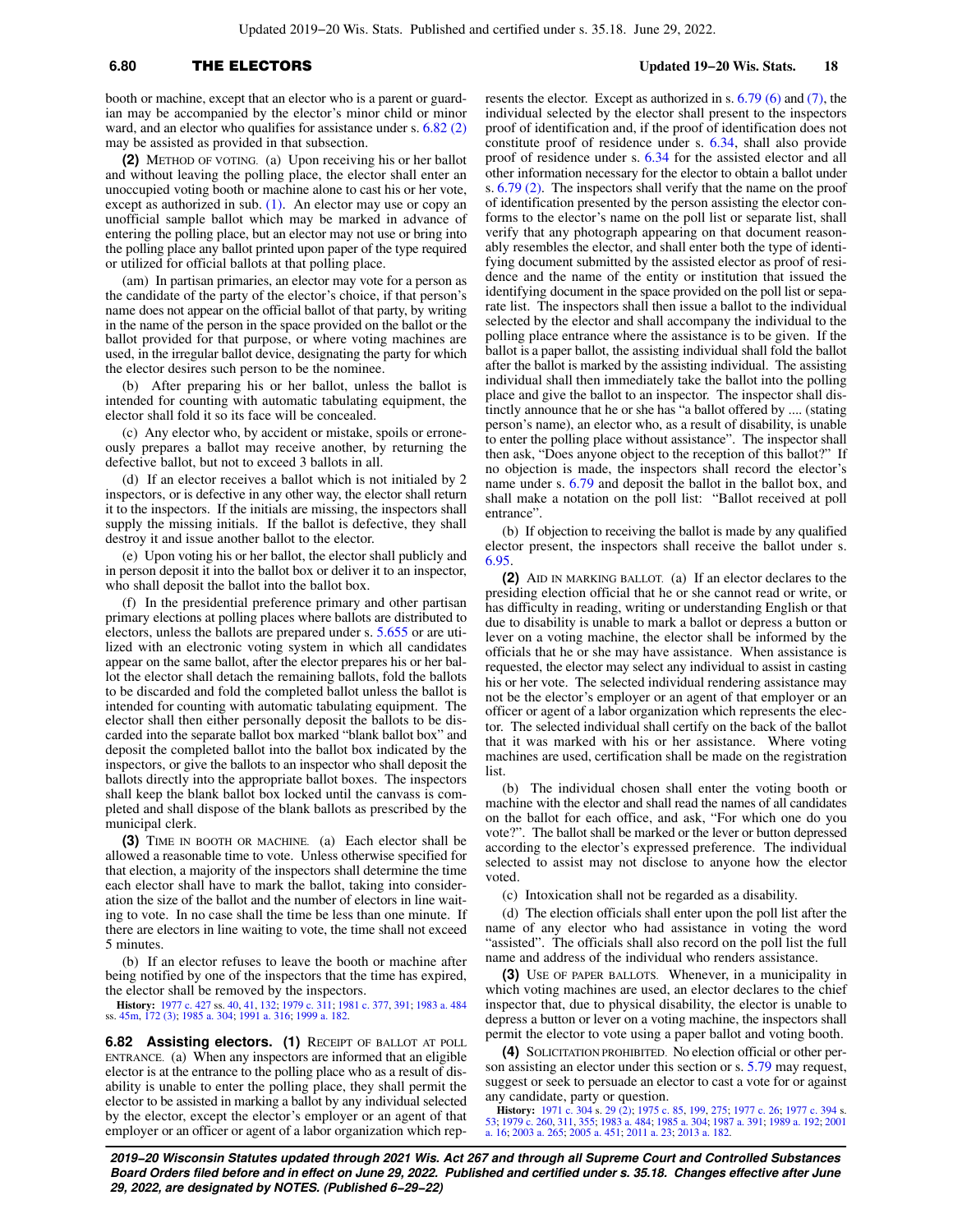## **6.80** THE ELECTORS **Updated 19−20 Wis. Stats. 18**

booth or machine, except that an elector who is a parent or guardian may be accompanied by the elector's minor child or minor ward, and an elector who qualifies for assistance under s. [6.82 \(2\)](https://docs.legis.wisconsin.gov/document/statutes/6.82(2)) may be assisted as provided in that subsection.

**(2)** METHOD OF VOTING. (a) Upon receiving his or her ballot and without leaving the polling place, the elector shall enter an unoccupied voting booth or machine alone to cast his or her vote, except as authorized in sub.  $(1)$ . An elector may use or copy an unofficial sample ballot which may be marked in advance of entering the polling place, but an elector may not use or bring into the polling place any ballot printed upon paper of the type required or utilized for official ballots at that polling place.

(am) In partisan primaries, an elector may vote for a person as the candidate of the party of the elector's choice, if that person's name does not appear on the official ballot of that party, by writing in the name of the person in the space provided on the ballot or the ballot provided for that purpose, or where voting machines are used, in the irregular ballot device, designating the party for which the elector desires such person to be the nominee.

(b) After preparing his or her ballot, unless the ballot is intended for counting with automatic tabulating equipment, the elector shall fold it so its face will be concealed.

(c) Any elector who, by accident or mistake, spoils or erroneously prepares a ballot may receive another, by returning the defective ballot, but not to exceed 3 ballots in all.

(d) If an elector receives a ballot which is not initialed by 2 inspectors, or is defective in any other way, the elector shall return it to the inspectors. If the initials are missing, the inspectors shall supply the missing initials. If the ballot is defective, they shall destroy it and issue another ballot to the elector.

(e) Upon voting his or her ballot, the elector shall publicly and in person deposit it into the ballot box or deliver it to an inspector, who shall deposit the ballot into the ballot box.

(f) In the presidential preference primary and other partisan primary elections at polling places where ballots are distributed to electors, unless the ballots are prepared under s. [5.655](https://docs.legis.wisconsin.gov/document/statutes/5.655) or are utilized with an electronic voting system in which all candidates appear on the same ballot, after the elector prepares his or her ballot the elector shall detach the remaining ballots, fold the ballots to be discarded and fold the completed ballot unless the ballot is intended for counting with automatic tabulating equipment. The elector shall then either personally deposit the ballots to be discarded into the separate ballot box marked "blank ballot box" and deposit the completed ballot into the ballot box indicated by the inspectors, or give the ballots to an inspector who shall deposit the ballots directly into the appropriate ballot boxes. The inspectors shall keep the blank ballot box locked until the canvass is completed and shall dispose of the blank ballots as prescribed by the municipal clerk.

**(3)** TIME IN BOOTH OR MACHINE. (a) Each elector shall be allowed a reasonable time to vote. Unless otherwise specified for that election, a majority of the inspectors shall determine the time each elector shall have to mark the ballot, taking into consideration the size of the ballot and the number of electors in line waiting to vote. In no case shall the time be less than one minute. If there are electors in line waiting to vote, the time shall not exceed 5 minutes.

(b) If an elector refuses to leave the booth or machine after being notified by one of the inspectors that the time has expired, the elector shall be removed by the inspectors.

**History:** [1977 c. 427](https://docs.legis.wisconsin.gov/document/acts/1977/427) ss. [40](https://docs.legis.wisconsin.gov/document/acts/1977/427,%20s.%2040), [41,](https://docs.legis.wisconsin.gov/document/acts/1977/427,%20s.%2041) [132;](https://docs.legis.wisconsin.gov/document/acts/1977/427,%20s.%20132) [1979 c. 311;](https://docs.legis.wisconsin.gov/document/acts/1979/311) [1981 c. 377,](https://docs.legis.wisconsin.gov/document/acts/1981/377) [391;](https://docs.legis.wisconsin.gov/document/acts/1981/391) [1983 a. 484](https://docs.legis.wisconsin.gov/document/acts/1983/484) ss. [45m](https://docs.legis.wisconsin.gov/document/acts/1983/484,%20s.%2045m), [172 \(3\)](https://docs.legis.wisconsin.gov/document/acts/1983/484,%20s.%20172); [1985 a. 304;](https://docs.legis.wisconsin.gov/document/acts/1985/304) [1991 a. 316;](https://docs.legis.wisconsin.gov/document/acts/1991/316) [1999 a. 182](https://docs.legis.wisconsin.gov/document/acts/1999/182).

**6.82 Assisting electors. (1)** RECEIPT OF BALLOT AT POLL ENTRANCE. (a) When any inspectors are informed that an eligible elector is at the entrance to the polling place who as a result of disability is unable to enter the polling place, they shall permit the elector to be assisted in marking a ballot by any individual selected by the elector, except the elector's employer or an agent of that employer or an officer or agent of a labor organization which rep-

resents the elector. Except as authorized in s. [6.79 \(6\)](https://docs.legis.wisconsin.gov/document/statutes/6.79(6)) and [\(7\)](https://docs.legis.wisconsin.gov/document/statutes/6.79(7)), the individual selected by the elector shall present to the inspectors proof of identification and, if the proof of identification does not constitute proof of residence under s. [6.34](https://docs.legis.wisconsin.gov/document/statutes/6.34), shall also provide proof of residence under s. [6.34](https://docs.legis.wisconsin.gov/document/statutes/6.34) for the assisted elector and all other information necessary for the elector to obtain a ballot under s. [6.79 \(2\).](https://docs.legis.wisconsin.gov/document/statutes/6.79(2)) The inspectors shall verify that the name on the proof of identification presented by the person assisting the elector conforms to the elector's name on the poll list or separate list, shall verify that any photograph appearing on that document reasonably resembles the elector, and shall enter both the type of identifying document submitted by the assisted elector as proof of residence and the name of the entity or institution that issued the identifying document in the space provided on the poll list or separate list. The inspectors shall then issue a ballot to the individual selected by the elector and shall accompany the individual to the polling place entrance where the assistance is to be given. If the ballot is a paper ballot, the assisting individual shall fold the ballot after the ballot is marked by the assisting individual. The assisting individual shall then immediately take the ballot into the polling place and give the ballot to an inspector. The inspector shall distinctly announce that he or she has "a ballot offered by .... (stating person's name), an elector who, as a result of disability, is unable to enter the polling place without assistance". The inspector shall then ask, "Does anyone object to the reception of this ballot?" If no objection is made, the inspectors shall record the elector's name under s. [6.79](https://docs.legis.wisconsin.gov/document/statutes/6.79) and deposit the ballot in the ballot box, and shall make a notation on the poll list: "Ballot received at poll entrance".

(b) If objection to receiving the ballot is made by any qualified elector present, the inspectors shall receive the ballot under s. [6.95.](https://docs.legis.wisconsin.gov/document/statutes/6.95)

**(2)** AID IN MARKING BALLOT. (a) If an elector declares to the presiding election official that he or she cannot read or write, or has difficulty in reading, writing or understanding English or that due to disability is unable to mark a ballot or depress a button or lever on a voting machine, the elector shall be informed by the officials that he or she may have assistance. When assistance is requested, the elector may select any individual to assist in casting his or her vote. The selected individual rendering assistance may not be the elector's employer or an agent of that employer or an officer or agent of a labor organization which represents the elector. The selected individual shall certify on the back of the ballot that it was marked with his or her assistance. Where voting machines are used, certification shall be made on the registration list.

(b) The individual chosen shall enter the voting booth or machine with the elector and shall read the names of all candidates on the ballot for each office, and ask, "For which one do you vote?". The ballot shall be marked or the lever or button depressed according to the elector's expressed preference. The individual selected to assist may not disclose to anyone how the elector voted.

(c) Intoxication shall not be regarded as a disability.

(d) The election officials shall enter upon the poll list after the name of any elector who had assistance in voting the word "assisted". The officials shall also record on the poll list the full name and address of the individual who renders assistance.

**(3)** USE OF PAPER BALLOTS. Whenever, in a municipality in which voting machines are used, an elector declares to the chief inspector that, due to physical disability, the elector is unable to depress a button or lever on a voting machine, the inspectors shall permit the elector to vote using a paper ballot and voting booth.

**(4)** SOLICITATION PROHIBITED. No election official or other person assisting an elector under this section or s. [5.79](https://docs.legis.wisconsin.gov/document/statutes/5.79) may request, suggest or seek to persuade an elector to cast a vote for or against any candidate, party or question.

**History:** [1971 c. 304](https://docs.legis.wisconsin.gov/document/acts/1971/304) s. [29 \(2\);](https://docs.legis.wisconsin.gov/document/acts/1971/304,%20s.%2029) [1975 c. 85](https://docs.legis.wisconsin.gov/document/acts/1975/85), [199](https://docs.legis.wisconsin.gov/document/acts/1975/199), [275;](https://docs.legis.wisconsin.gov/document/acts/1975/275) [1977 c. 26;](https://docs.legis.wisconsin.gov/document/acts/1977/26) [1977 c. 394](https://docs.legis.wisconsin.gov/document/acts/1977/394) s.<br>[53](https://docs.legis.wisconsin.gov/document/acts/1977/394,%20s.%2053); [1979 c. 260](https://docs.legis.wisconsin.gov/document/acts/1979/260), [311,](https://docs.legis.wisconsin.gov/document/acts/1979/311) [355](https://docs.legis.wisconsin.gov/document/acts/1979/355); [1983 a. 484](https://docs.legis.wisconsin.gov/document/acts/1983/484); [1985 a. 304;](https://docs.legis.wisconsin.gov/document/acts/1985/304) [1987 a. 391;](https://docs.legis.wisconsin.gov/document/acts/1987/391) [1989 a. 192;](https://docs.legis.wisconsin.gov/document/acts/1989/192) [2001](https://docs.legis.wisconsin.gov/document/acts/2001/16)<br>[a. 16;](https://docs.legis.wisconsin.gov/document/acts/2001/16) [2003 a. 265](https://docs.legis.wisconsin.gov/document/acts/2003/265); [2005 a. 451](https://docs.legis.wisconsin.gov/document/acts/2005/451); [2011 a. 23;](https://docs.legis.wisconsin.gov/document/acts/2011/23) 2013 a. 18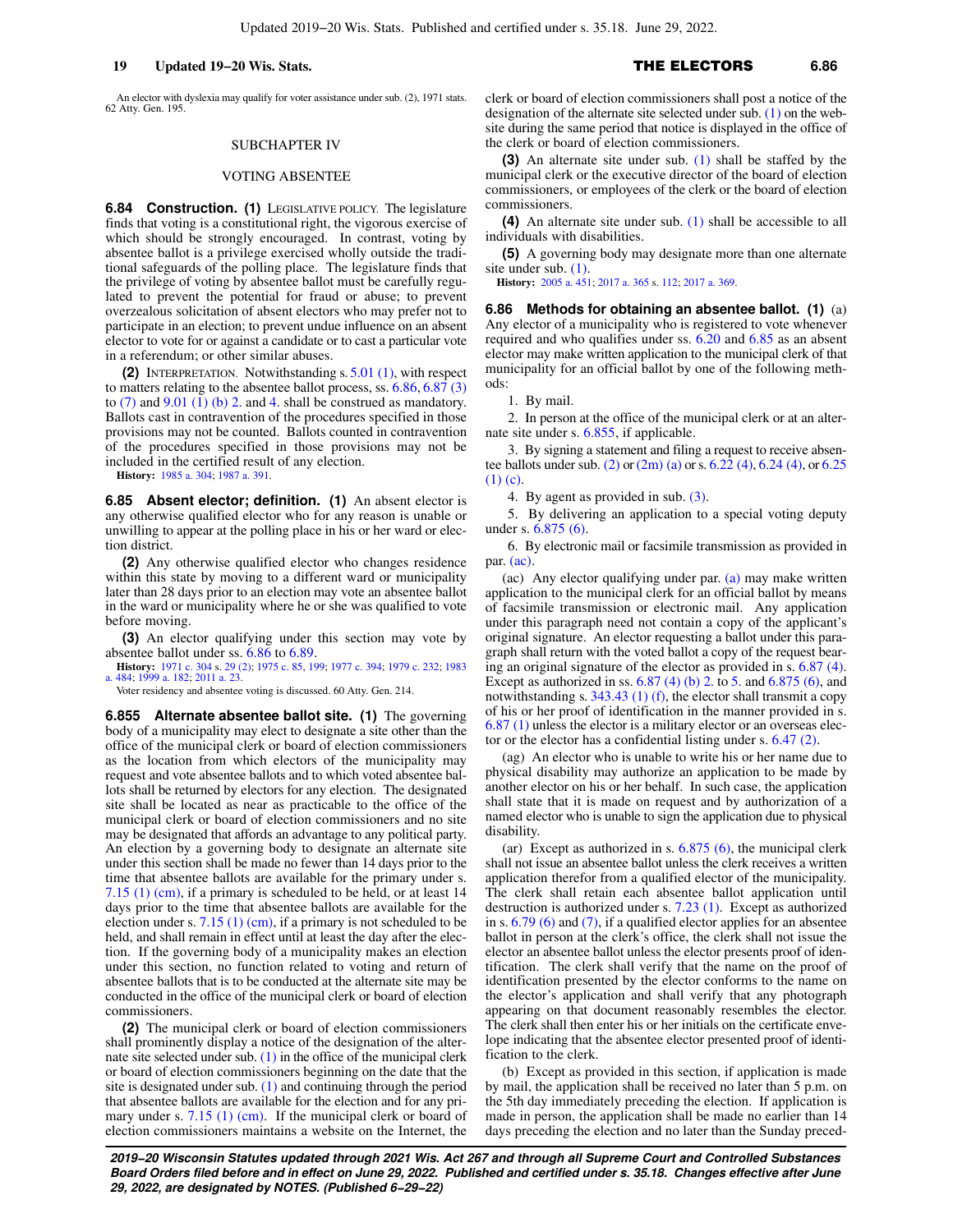An elector with dyslexia may qualify for voter assistance under sub. (2), 1971 stats. 62 Atty. Gen. 195.

### SUBCHAPTER IV

### VOTING ABSENTEE

**6.84 Construction. (1)** LEGISLATIVE POLICY. The legislature finds that voting is a constitutional right, the vigorous exercise of which should be strongly encouraged. In contrast, voting by absentee ballot is a privilege exercised wholly outside the traditional safeguards of the polling place. The legislature finds that the privilege of voting by absentee ballot must be carefully regulated to prevent the potential for fraud or abuse; to prevent overzealous solicitation of absent electors who may prefer not to participate in an election; to prevent undue influence on an absent elector to vote for or against a candidate or to cast a particular vote in a referendum; or other similar abuses.

**(2)** INTERPRETATION. Notwithstanding s. [5.01 \(1\)](https://docs.legis.wisconsin.gov/document/statutes/5.01(1)), with respect to matters relating to the absentee ballot process, ss. [6.86](https://docs.legis.wisconsin.gov/document/statutes/6.86), [6.87 \(3\)](https://docs.legis.wisconsin.gov/document/statutes/6.87(3)) to  $(7)$  and  $9.01$   $(1)$   $(b)$  2. and [4.](https://docs.legis.wisconsin.gov/document/statutes/9.01(1)(b)4.) shall be construed as mandatory. Ballots cast in contravention of the procedures specified in those provisions may not be counted. Ballots counted in contravention of the procedures specified in those provisions may not be included in the certified result of any election.

**History:** [1985 a. 304](https://docs.legis.wisconsin.gov/document/acts/1985/304); [1987 a. 391](https://docs.legis.wisconsin.gov/document/acts/1987/391).

**6.85 Absent elector; definition. (1)** An absent elector is any otherwise qualified elector who for any reason is unable or unwilling to appear at the polling place in his or her ward or election district.

**(2)** Any otherwise qualified elector who changes residence within this state by moving to a different ward or municipality later than 28 days prior to an election may vote an absentee ballot in the ward or municipality where he or she was qualified to vote before moving.

**(3)** An elector qualifying under this section may vote by absentee ballot under ss. [6.86](https://docs.legis.wisconsin.gov/document/statutes/6.86) to [6.89.](https://docs.legis.wisconsin.gov/document/statutes/6.89)

**History:** [1971 c. 304](https://docs.legis.wisconsin.gov/document/acts/1971/304) s. [29 \(2\)](https://docs.legis.wisconsin.gov/document/acts/1971/304,%20s.%2029); [1975 c. 85,](https://docs.legis.wisconsin.gov/document/acts/1975/85) [199;](https://docs.legis.wisconsin.gov/document/acts/1975/199) [1977 c. 394](https://docs.legis.wisconsin.gov/document/acts/1977/394); [1979 c. 232](https://docs.legis.wisconsin.gov/document/acts/1979/232); [1983](https://docs.legis.wisconsin.gov/document/acts/1983/484) [a. 484;](https://docs.legis.wisconsin.gov/document/acts/1983/484) [1999 a. 182;](https://docs.legis.wisconsin.gov/document/acts/1999/182) [2011 a. 23](https://docs.legis.wisconsin.gov/document/acts/2011/23).

Voter residency and absentee voting is discussed. 60 Atty. Gen. 214.

**6.855 Alternate absentee ballot site. (1)** The governing body of a municipality may elect to designate a site other than the office of the municipal clerk or board of election commissioners as the location from which electors of the municipality may request and vote absentee ballots and to which voted absentee ballots shall be returned by electors for any election. The designated site shall be located as near as practicable to the office of the municipal clerk or board of election commissioners and no site may be designated that affords an advantage to any political party. An election by a governing body to designate an alternate site under this section shall be made no fewer than 14 days prior to the time that absentee ballots are available for the primary under s. [7.15 \(1\) \(cm\),](https://docs.legis.wisconsin.gov/document/statutes/7.15(1)(cm)) if a primary is scheduled to be held, or at least 14 days prior to the time that absentee ballots are available for the election under s. [7.15 \(1\) \(cm\)](https://docs.legis.wisconsin.gov/document/statutes/7.15(1)(cm)), if a primary is not scheduled to be held, and shall remain in effect until at least the day after the election. If the governing body of a municipality makes an election under this section, no function related to voting and return of absentee ballots that is to be conducted at the alternate site may be conducted in the office of the municipal clerk or board of election commissioners.

**(2)** The municipal clerk or board of election commissioners shall prominently display a notice of the designation of the alternate site selected under sub. [\(1\)](https://docs.legis.wisconsin.gov/document/statutes/6.855(1)) in the office of the municipal clerk or board of election commissioners beginning on the date that the site is designated under sub. [\(1\)](https://docs.legis.wisconsin.gov/document/statutes/6.855(1)) and continuing through the period that absentee ballots are available for the election and for any pri-mary under s. [7.15 \(1\) \(cm\).](https://docs.legis.wisconsin.gov/document/statutes/7.15(1)(cm)) If the municipal clerk or board of election commissioners maintains a website on the Internet, the clerk or board of election commissioners shall post a notice of the designation of the alternate site selected under sub. [\(1\)](https://docs.legis.wisconsin.gov/document/statutes/6.855(1)) on the website during the same period that notice is displayed in the office of the clerk or board of election commissioners.

**(3)** An alternate site under sub. [\(1\)](https://docs.legis.wisconsin.gov/document/statutes/6.855(1)) shall be staffed by the municipal clerk or the executive director of the board of election commissioners, or employees of the clerk or the board of election commissioners.

**(4)** An alternate site under sub. [\(1\)](https://docs.legis.wisconsin.gov/document/statutes/6.855(1)) shall be accessible to all individuals with disabilities.

**(5)** A governing body may designate more than one alternate site under sub. [\(1\)](https://docs.legis.wisconsin.gov/document/statutes/6.855(1)).

**History:** [2005 a. 451;](https://docs.legis.wisconsin.gov/document/acts/2005/451) [2017 a. 365](https://docs.legis.wisconsin.gov/document/acts/2017/365) s. [112;](https://docs.legis.wisconsin.gov/document/acts/2017/365,%20s.%20112) [2017 a. 369](https://docs.legis.wisconsin.gov/document/acts/2017/369).

**6.86 Methods for obtaining an absentee ballot. (1)** (a) Any elector of a municipality who is registered to vote whenever required and who qualifies under ss. [6.20](https://docs.legis.wisconsin.gov/document/statutes/6.20) and [6.85](https://docs.legis.wisconsin.gov/document/statutes/6.85) as an absent elector may make written application to the municipal clerk of that municipality for an official ballot by one of the following methods:

1. By mail.

2. In person at the office of the municipal clerk or at an alternate site under s. [6.855](https://docs.legis.wisconsin.gov/document/statutes/6.855), if applicable.

3. By signing a statement and filing a request to receive absentee ballots under sub. [\(2\)](https://docs.legis.wisconsin.gov/document/statutes/6.86(2)) or [\(2m\) \(a\)](https://docs.legis.wisconsin.gov/document/statutes/6.86(2m)(a)) or s. [6.22 \(4\),](https://docs.legis.wisconsin.gov/document/statutes/6.22(4)) [6.24 \(4\),](https://docs.legis.wisconsin.gov/document/statutes/6.24(4)) or [6.25](https://docs.legis.wisconsin.gov/document/statutes/6.25(1)(c)) [\(1\) \(c\).](https://docs.legis.wisconsin.gov/document/statutes/6.25(1)(c))

4. By agent as provided in sub. [\(3\).](https://docs.legis.wisconsin.gov/document/statutes/6.86(3))

5. By delivering an application to a special voting deputy under s. [6.875 \(6\)](https://docs.legis.wisconsin.gov/document/statutes/6.875(6)).

6. By electronic mail or facsimile transmission as provided in par. [\(ac\).](https://docs.legis.wisconsin.gov/document/statutes/6.86(1)(ac))

(ac) Any elector qualifying under par. [\(a\)](https://docs.legis.wisconsin.gov/document/statutes/6.86(1)(a)) may make written application to the municipal clerk for an official ballot by means of facsimile transmission or electronic mail. Any application under this paragraph need not contain a copy of the applicant's original signature. An elector requesting a ballot under this paragraph shall return with the voted ballot a copy of the request bearing an original signature of the elector as provided in s. [6.87 \(4\).](https://docs.legis.wisconsin.gov/document/statutes/6.87(4)) Except as authorized in ss.  $6.87$  (4) (b) 2. to [5.](https://docs.legis.wisconsin.gov/document/statutes/6.87(4)(b)5.) and  $6.875$  (6), and notwithstanding s. [343.43 \(1\) \(f\),](https://docs.legis.wisconsin.gov/document/statutes/343.43(1)(f)) the elector shall transmit a copy of his or her proof of identification in the manner provided in s. [6.87 \(1\)](https://docs.legis.wisconsin.gov/document/statutes/6.87(1)) unless the elector is a military elector or an overseas elector or the elector has a confidential listing under s. [6.47 \(2\).](https://docs.legis.wisconsin.gov/document/statutes/6.47(2))

(ag) An elector who is unable to write his or her name due to physical disability may authorize an application to be made by another elector on his or her behalf. In such case, the application shall state that it is made on request and by authorization of a named elector who is unable to sign the application due to physical disability.

(ar) Except as authorized in s.  $6.875$  (6), the municipal clerk shall not issue an absentee ballot unless the clerk receives a written application therefor from a qualified elector of the municipality. The clerk shall retain each absentee ballot application until destruction is authorized under s. [7.23 \(1\)](https://docs.legis.wisconsin.gov/document/statutes/7.23(1)). Except as authorized in s. [6.79 \(6\)](https://docs.legis.wisconsin.gov/document/statutes/6.79(6)) and [\(7\)](https://docs.legis.wisconsin.gov/document/statutes/6.79(7)), if a qualified elector applies for an absentee ballot in person at the clerk's office, the clerk shall not issue the elector an absentee ballot unless the elector presents proof of identification. The clerk shall verify that the name on the proof of identification presented by the elector conforms to the name on the elector's application and shall verify that any photograph appearing on that document reasonably resembles the elector. The clerk shall then enter his or her initials on the certificate envelope indicating that the absentee elector presented proof of identification to the clerk.

(b) Except as provided in this section, if application is made by mail, the application shall be received no later than 5 p.m. on the 5th day immediately preceding the election. If application is made in person, the application shall be made no earlier than 14 days preceding the election and no later than the Sunday preced-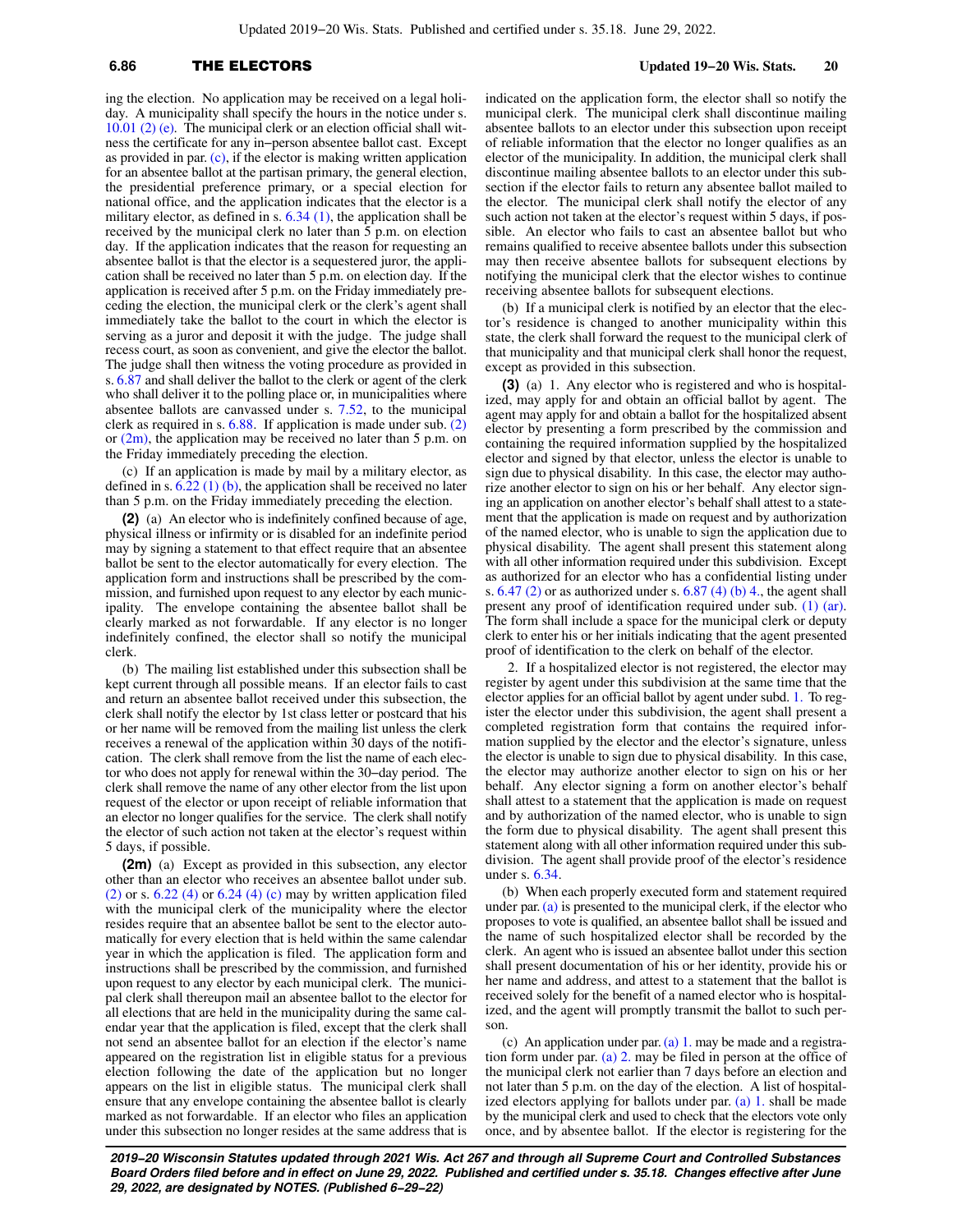Updated 2019−20 Wis. Stats. Published and certified under s. 35.18. June 29, 2022.

## **6.86** THE ELECTORS **Updated 19−20 Wis. Stats. 20**

ing the election. No application may be received on a legal holiday. A municipality shall specify the hours in the notice under s. [10.01 \(2\) \(e\).](https://docs.legis.wisconsin.gov/document/statutes/10.01(2)(e)) The municipal clerk or an election official shall witness the certificate for any in−person absentee ballot cast. Except as provided in par.  $(c)$ , if the elector is making written application for an absentee ballot at the partisan primary, the general election, the presidential preference primary, or a special election for national office, and the application indicates that the elector is a military elector, as defined in s. [6.34 \(1\)](https://docs.legis.wisconsin.gov/document/statutes/6.34(1)), the application shall be received by the municipal clerk no later than 5 p.m. on election day. If the application indicates that the reason for requesting an absentee ballot is that the elector is a sequestered juror, the application shall be received no later than 5 p.m. on election day. If the application is received after 5 p.m. on the Friday immediately preceding the election, the municipal clerk or the clerk's agent shall immediately take the ballot to the court in which the elector is serving as a juror and deposit it with the judge. The judge shall recess court, as soon as convenient, and give the elector the ballot. The judge shall then witness the voting procedure as provided in s. [6.87](https://docs.legis.wisconsin.gov/document/statutes/6.87) and shall deliver the ballot to the clerk or agent of the clerk who shall deliver it to the polling place or, in municipalities where absentee ballots are canvassed under s. [7.52](https://docs.legis.wisconsin.gov/document/statutes/7.52), to the municipal clerk as required in s. [6.88.](https://docs.legis.wisconsin.gov/document/statutes/6.88) If application is made under sub. [\(2\)](https://docs.legis.wisconsin.gov/document/statutes/6.86(2)) or  $(2m)$ , the application may be received no later than 5 p.m. on the Friday immediately preceding the election.

(c) If an application is made by mail by a military elector, as defined in s.  $6.\overline{22}$  (1) (b), the application shall be received no later than 5 p.m. on the Friday immediately preceding the election.

**(2)** (a) An elector who is indefinitely confined because of age, physical illness or infirmity or is disabled for an indefinite period may by signing a statement to that effect require that an absentee ballot be sent to the elector automatically for every election. The application form and instructions shall be prescribed by the commission, and furnished upon request to any elector by each municipality. The envelope containing the absentee ballot shall be clearly marked as not forwardable. If any elector is no longer indefinitely confined, the elector shall so notify the municipal clerk.

(b) The mailing list established under this subsection shall be kept current through all possible means. If an elector fails to cast and return an absentee ballot received under this subsection, the clerk shall notify the elector by 1st class letter or postcard that his or her name will be removed from the mailing list unless the clerk receives a renewal of the application within 30 days of the notification. The clerk shall remove from the list the name of each elector who does not apply for renewal within the 30−day period. The clerk shall remove the name of any other elector from the list upon request of the elector or upon receipt of reliable information that an elector no longer qualifies for the service. The clerk shall notify the elector of such action not taken at the elector's request within 5 days, if possible.

**(2m)** (a) Except as provided in this subsection, any elector other than an elector who receives an absentee ballot under sub.  $(2)$  or s. 6.22  $(4)$  or 6.24  $(4)$  (c) may by written application filed with the municipal clerk of the municipality where the elector resides require that an absentee ballot be sent to the elector automatically for every election that is held within the same calendar year in which the application is filed. The application form and instructions shall be prescribed by the commission, and furnished upon request to any elector by each municipal clerk. The municipal clerk shall thereupon mail an absentee ballot to the elector for all elections that are held in the municipality during the same calendar year that the application is filed, except that the clerk shall not send an absentee ballot for an election if the elector's name appeared on the registration list in eligible status for a previous election following the date of the application but no longer appears on the list in eligible status. The municipal clerk shall ensure that any envelope containing the absentee ballot is clearly marked as not forwardable. If an elector who files an application under this subsection no longer resides at the same address that is

indicated on the application form, the elector shall so notify the municipal clerk. The municipal clerk shall discontinue mailing absentee ballots to an elector under this subsection upon receipt of reliable information that the elector no longer qualifies as an elector of the municipality. In addition, the municipal clerk shall discontinue mailing absentee ballots to an elector under this subsection if the elector fails to return any absentee ballot mailed to the elector. The municipal clerk shall notify the elector of any such action not taken at the elector's request within 5 days, if possible. An elector who fails to cast an absentee ballot but who remains qualified to receive absentee ballots under this subsection may then receive absentee ballots for subsequent elections by notifying the municipal clerk that the elector wishes to continue receiving absentee ballots for subsequent elections.

(b) If a municipal clerk is notified by an elector that the elector's residence is changed to another municipality within this state, the clerk shall forward the request to the municipal clerk of that municipality and that municipal clerk shall honor the request, except as provided in this subsection.

**(3)** (a) 1. Any elector who is registered and who is hospitalized, may apply for and obtain an official ballot by agent. The agent may apply for and obtain a ballot for the hospitalized absent elector by presenting a form prescribed by the commission and containing the required information supplied by the hospitalized elector and signed by that elector, unless the elector is unable to sign due to physical disability. In this case, the elector may authorize another elector to sign on his or her behalf. Any elector signing an application on another elector's behalf shall attest to a statement that the application is made on request and by authorization of the named elector, who is unable to sign the application due to physical disability. The agent shall present this statement along with all other information required under this subdivision. Except as authorized for an elector who has a confidential listing under s.  $6.47$  (2) or as authorized under s.  $6.87$  (4) (b) 4, the agent shall present any proof of identification required under sub. [\(1\) \(ar\).](https://docs.legis.wisconsin.gov/document/statutes/6.86(1)(ar)) The form shall include a space for the municipal clerk or deputy clerk to enter his or her initials indicating that the agent presented proof of identification to the clerk on behalf of the elector.

2. If a hospitalized elector is not registered, the elector may register by agent under this subdivision at the same time that the elector applies for an official ballot by agent under subd. [1.](https://docs.legis.wisconsin.gov/document/statutes/6.86(3)(a)1.) To register the elector under this subdivision, the agent shall present a completed registration form that contains the required information supplied by the elector and the elector's signature, unless the elector is unable to sign due to physical disability. In this case, the elector may authorize another elector to sign on his or her behalf. Any elector signing a form on another elector's behalf shall attest to a statement that the application is made on request and by authorization of the named elector, who is unable to sign the form due to physical disability. The agent shall present this statement along with all other information required under this subdivision. The agent shall provide proof of the elector's residence under s. [6.34.](https://docs.legis.wisconsin.gov/document/statutes/6.34)

(b) When each properly executed form and statement required under par. [\(a\)](https://docs.legis.wisconsin.gov/document/statutes/6.86(3)(a)) is presented to the municipal clerk, if the elector who proposes to vote is qualified, an absentee ballot shall be issued and the name of such hospitalized elector shall be recorded by the clerk. An agent who is issued an absentee ballot under this section shall present documentation of his or her identity, provide his or her name and address, and attest to a statement that the ballot is received solely for the benefit of a named elector who is hospitalized, and the agent will promptly transmit the ballot to such person.

(c) An application under par.  $(a)$  1. may be made and a registration form under par. [\(a\) 2.](https://docs.legis.wisconsin.gov/document/statutes/6.86(3)(a)2.) may be filed in person at the office of the municipal clerk not earlier than 7 days before an election and not later than 5 p.m. on the day of the election. A list of hospitalized electors applying for ballots under par. [\(a\) 1.](https://docs.legis.wisconsin.gov/document/statutes/6.86(3)(a)1.) shall be made by the municipal clerk and used to check that the electors vote only once, and by absentee ballot. If the elector is registering for the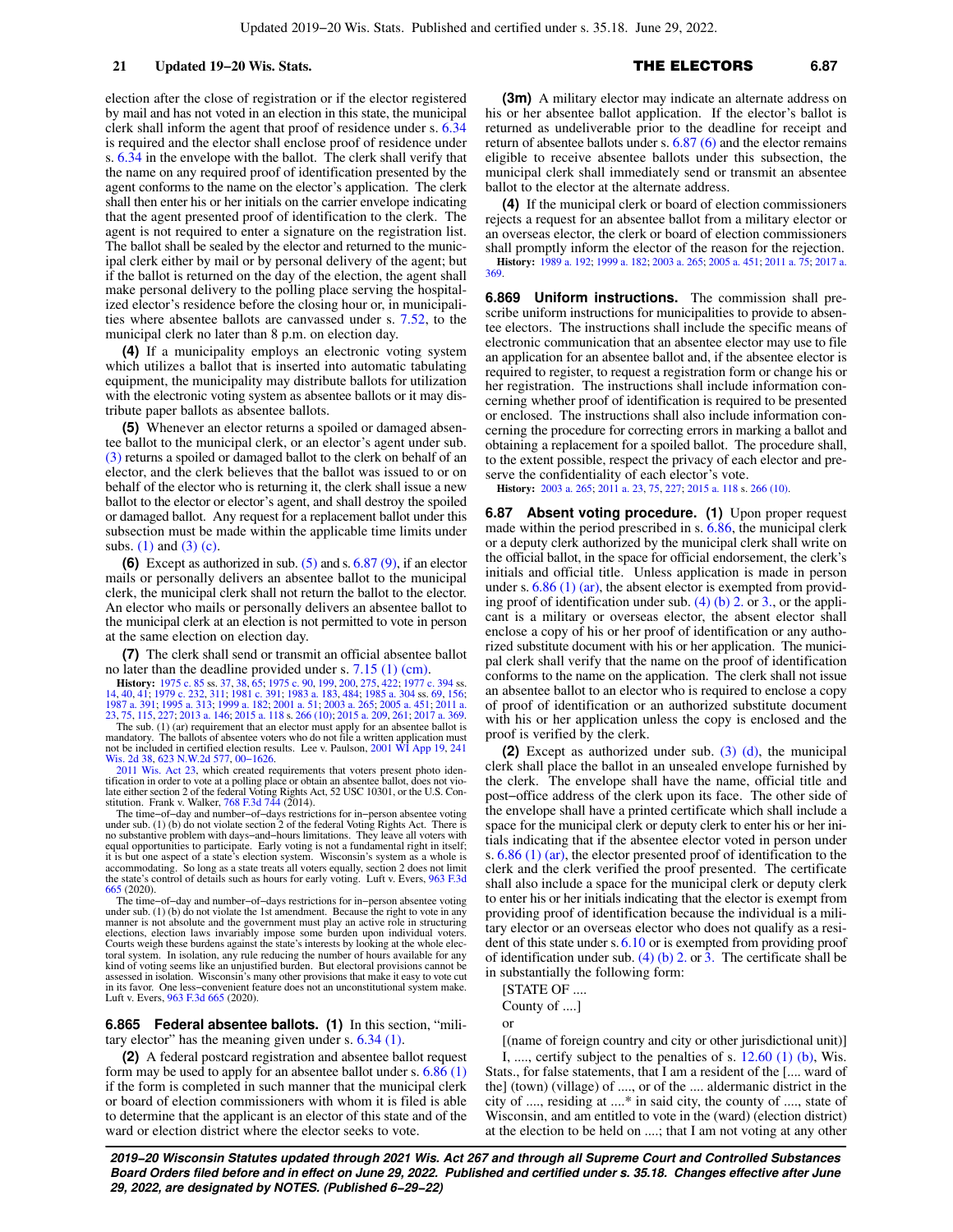election after the close of registration or if the elector registered by mail and has not voted in an election in this state, the municipal clerk shall inform the agent that proof of residence under s. [6.34](https://docs.legis.wisconsin.gov/document/statutes/6.34) is required and the elector shall enclose proof of residence under s. [6.34](https://docs.legis.wisconsin.gov/document/statutes/6.34) in the envelope with the ballot. The clerk shall verify that the name on any required proof of identification presented by the agent conforms to the name on the elector's application. The clerk shall then enter his or her initials on the carrier envelope indicating that the agent presented proof of identification to the clerk. The agent is not required to enter a signature on the registration list. The ballot shall be sealed by the elector and returned to the municipal clerk either by mail or by personal delivery of the agent; but if the ballot is returned on the day of the election, the agent shall make personal delivery to the polling place serving the hospitalized elector's residence before the closing hour or, in municipalities where absentee ballots are canvassed under s. [7.52](https://docs.legis.wisconsin.gov/document/statutes/7.52), to the municipal clerk no later than 8 p.m. on election day.

**(4)** If a municipality employs an electronic voting system which utilizes a ballot that is inserted into automatic tabulating equipment, the municipality may distribute ballots for utilization with the electronic voting system as absentee ballots or it may distribute paper ballots as absentee ballots.

**(5)** Whenever an elector returns a spoiled or damaged absentee ballot to the municipal clerk, or an elector's agent under sub. [\(3\)](https://docs.legis.wisconsin.gov/document/statutes/6.86(3)) returns a spoiled or damaged ballot to the clerk on behalf of an elector, and the clerk believes that the ballot was issued to or on behalf of the elector who is returning it, the clerk shall issue a new ballot to the elector or elector's agent, and shall destroy the spoiled or damaged ballot. Any request for a replacement ballot under this subsection must be made within the applicable time limits under subs. [\(1\)](https://docs.legis.wisconsin.gov/document/statutes/6.86(1)) and [\(3\) \(c\)](https://docs.legis.wisconsin.gov/document/statutes/6.86(3)(c)).

**(6)** Except as authorized in sub. [\(5\)](https://docs.legis.wisconsin.gov/document/statutes/6.86(5)) and s. [6.87 \(9\),](https://docs.legis.wisconsin.gov/document/statutes/6.87(9)) if an elector mails or personally delivers an absentee ballot to the municipal clerk, the municipal clerk shall not return the ballot to the elector. An elector who mails or personally delivers an absentee ballot to the municipal clerk at an election is not permitted to vote in person at the same election on election day.

**(7)** The clerk shall send or transmit an official absentee ballot no later than the deadline provided under s. [7.15 \(1\) \(cm\).](https://docs.legis.wisconsin.gov/document/statutes/7.15(1)(cm))

**History:** [1975 c. 85](https://docs.legis.wisconsin.gov/document/acts/1975/85) ss. [37,](https://docs.legis.wisconsin.gov/document/acts/1975/85,%20s.%2037) [38,](https://docs.legis.wisconsin.gov/document/acts/1975/85,%20s.%2038) [65;](https://docs.legis.wisconsin.gov/document/acts/1975/85,%20s.%2065) [1975 c. 90](https://docs.legis.wisconsin.gov/document/acts/1975/90), [199,](https://docs.legis.wisconsin.gov/document/acts/1975/199) [200](https://docs.legis.wisconsin.gov/document/acts/1975/200), [275](https://docs.legis.wisconsin.gov/document/acts/1975/275), [422;](https://docs.legis.wisconsin.gov/document/acts/1975/422) [1977 c. 394](https://docs.legis.wisconsin.gov/document/acts/1977/394) ss.<br>[14,](https://docs.legis.wisconsin.gov/document/acts/1977/394,%20s.%2014) [40](https://docs.legis.wisconsin.gov/document/acts/1977/394,%20s.%2040), [41](https://docs.legis.wisconsin.gov/document/acts/1977/394,%20s.%2041); [1979 c. 232](https://docs.legis.wisconsin.gov/document/acts/1979/232), [311;](https://docs.legis.wisconsin.gov/document/acts/1979/311) [1981 c. 391;](https://docs.legis.wisconsin.gov/document/acts/1981/391) [1983 a. 183,](https://docs.legis.wisconsin.gov/document/acts/1983/183) [484;](https://docs.legis.wisconsin.gov/document/acts/1983/484) [1985 a. 304](https://docs.legis.wisconsin.gov/document/acts/1985/304) ss. [69](https://docs.legis.wisconsin.gov/document/acts/1985/304,%20s.%2069), [156](https://docs.legis.wisconsin.gov/document/acts/1985/304,%20s.%20156);<br>[1987 a. 391](https://docs.legis.wisconsin.gov/document/acts/1987/391); [1995 a. 313](https://docs.legis.wisconsin.gov/document/acts/1995/313); [1999 a. 182](https://docs.legis.wisconsin.gov/document/acts/1999/182); [2001 a. 51;](https://docs.legis.wisconsin.gov/document/acts/2001/51)

The sub. (1) (ar) requirement that an elector must apply for an absentee ballot is mandatory. The ballots of absentee voters who do not file a written application must not be included in certified election results. Lee v. Paulson, [2001 WI App 19,](https://docs.legis.wisconsin.gov/document/courts/2001%20WI%20App%2019) [241](https://docs.legis.wisconsin.gov/document/courts/241%20Wis.%202d%2038) [Wis. 2d 38](https://docs.legis.wisconsin.gov/document/courts/241%20Wis.%202d%2038), [623 N.W.2d 577,](https://docs.legis.wisconsin.gov/document/courts/623%20N.W.2d%20577) [00−1626.](https://docs.legis.wisconsin.gov/document/wicourtofappeals/00-1626)

[2011 Wis. Act 23,](https://docs.legis.wisconsin.gov/document/acts/2011/23) which created requirements that voters present photo iden-tification in order to vote at a polling place or obtain an absentee ballot, does not vio-<br>late either section 2 of the federal Voting Rights Act, 52 USC 10301, or the U.S. Con-<br>stitution. Frank v. Walker, [768 F.3d 744](https://docs.legis.wisconsin.gov/document/courts/768%20F.3d%20744) (20

The time−of−day and number−of−days restrictions for in−person absentee voting under sub. (1) (b) do not violate section 2 of the federal Voting Rights Act. There is no substantive problem with days−and−hours limitations. They leave all voters with equal opportunities to participate. Early voting is not a fundamental right in itself; it is but one aspect of a state's election system. Wisconsin's system as a whole is accommodating. So long as a state treats all voters equally, section 2 does not limit the state's control of details such as hours for early voting. Luft v. Evers, [963 F.3d](https://docs.legis.wisconsin.gov/document/courts/963%20F.3d%20665) [665](https://docs.legis.wisconsin.gov/document/courts/963%20F.3d%20665) (2020).

The time−of−day and number−of−days restrictions for in−person absentee voting under sub. (1) (b) do not violate the 1st amendment. Because the right to vote in any manner is not absolute and the government must play an active role in structuring<br>elections, election laws invariably impose some burden upon individual voters.<br>Courts weigh these burdens against the state's interests by l toral system. In isolation, any rule reducing the number of hours available for any kind of voting seems like an unjustified burden. But electoral provisions cannot be assessed in isolation. Wisconsin's many other provisions that make it easy to vote cut in its favor. One less−convenient feature does not an unconstitutional system make. Luft v. Evers, [963 F.3d 665](https://docs.legis.wisconsin.gov/document/courts/963%20F.3d%20665) (2020).

**6.865 Federal absentee ballots. (1)** In this section, "military elector" has the meaning given under s. [6.34 \(1\)](https://docs.legis.wisconsin.gov/document/statutes/6.34(1)).

**(2)** A federal postcard registration and absentee ballot request form may be used to apply for an absentee ballot under s. [6.86 \(1\)](https://docs.legis.wisconsin.gov/document/statutes/6.86(1)) if the form is completed in such manner that the municipal clerk or board of election commissioners with whom it is filed is able to determine that the applicant is an elector of this state and of the ward or election district where the elector seeks to vote.

**(3m)** A military elector may indicate an alternate address on his or her absentee ballot application. If the elector's ballot is returned as undeliverable prior to the deadline for receipt and return of absentee ballots under s. [6.87 \(6\)](https://docs.legis.wisconsin.gov/document/statutes/6.87(6)) and the elector remains eligible to receive absentee ballots under this subsection, the municipal clerk shall immediately send or transmit an absentee ballot to the elector at the alternate address.

**(4)** If the municipal clerk or board of election commissioners rejects a request for an absentee ballot from a military elector or an overseas elector, the clerk or board of election commissioners shall promptly inform the elector of the reason for the rejection. **History:** [1989 a. 192;](https://docs.legis.wisconsin.gov/document/acts/1989/192) [1999 a. 182;](https://docs.legis.wisconsin.gov/document/acts/1999/182) [2003 a. 265;](https://docs.legis.wisconsin.gov/document/acts/2003/265) [2005 a. 451](https://docs.legis.wisconsin.gov/document/acts/2005/451); [2011 a. 75](https://docs.legis.wisconsin.gov/document/acts/2011/75); [2017 a.](https://docs.legis.wisconsin.gov/document/acts/2017/369) [369.](https://docs.legis.wisconsin.gov/document/acts/2017/369)

**6.869 Uniform instructions.** The commission shall prescribe uniform instructions for municipalities to provide to absentee electors. The instructions shall include the specific means of electronic communication that an absentee elector may use to file an application for an absentee ballot and, if the absentee elector is required to register, to request a registration form or change his or her registration. The instructions shall include information concerning whether proof of identification is required to be presented or enclosed. The instructions shall also include information concerning the procedure for correcting errors in marking a ballot and obtaining a replacement for a spoiled ballot. The procedure shall, to the extent possible, respect the privacy of each elector and preserve the confidentiality of each elector's vote.

**History:** [2003 a. 265;](https://docs.legis.wisconsin.gov/document/acts/2003/265) [2011 a. 23](https://docs.legis.wisconsin.gov/document/acts/2011/23), [75](https://docs.legis.wisconsin.gov/document/acts/2011/75), [227](https://docs.legis.wisconsin.gov/document/acts/2011/227); [2015 a. 118](https://docs.legis.wisconsin.gov/document/acts/2015/118) s. [266 \(10\)](https://docs.legis.wisconsin.gov/document/acts/2015/118,%20s.%20266).

**6.87** Absent voting procedure. (1) Upon proper request made within the period prescribed in s. [6.86](https://docs.legis.wisconsin.gov/document/statutes/6.86), the municipal clerk or a deputy clerk authorized by the municipal clerk shall write on the official ballot, in the space for official endorsement, the clerk's initials and official title. Unless application is made in person under s.  $6.86$  (1) (ar), the absent elector is exempted from providing proof of identification under sub.  $(4)$  (b) 2. or [3.](https://docs.legis.wisconsin.gov/document/statutes/6.87(4)(b)3.), or the applicant is a military or overseas elector, the absent elector shall enclose a copy of his or her proof of identification or any authorized substitute document with his or her application. The municipal clerk shall verify that the name on the proof of identification conforms to the name on the application. The clerk shall not issue an absentee ballot to an elector who is required to enclose a copy of proof of identification or an authorized substitute document with his or her application unless the copy is enclosed and the proof is verified by the clerk.

**(2)** Except as authorized under sub. [\(3\) \(d\),](https://docs.legis.wisconsin.gov/document/statutes/6.87(3)(d)) the municipal clerk shall place the ballot in an unsealed envelope furnished by the clerk. The envelope shall have the name, official title and post−office address of the clerk upon its face. The other side of the envelope shall have a printed certificate which shall include a space for the municipal clerk or deputy clerk to enter his or her initials indicating that if the absentee elector voted in person under s. [6.86 \(1\) \(ar\)](https://docs.legis.wisconsin.gov/document/statutes/6.86(1)(ar)), the elector presented proof of identification to the clerk and the clerk verified the proof presented. The certificate shall also include a space for the municipal clerk or deputy clerk to enter his or her initials indicating that the elector is exempt from providing proof of identification because the individual is a military elector or an overseas elector who does not qualify as a resident of this state under s.[6.10](https://docs.legis.wisconsin.gov/document/statutes/6.10) or is exempted from providing proof of identification under sub. [\(4\) \(b\) 2.](https://docs.legis.wisconsin.gov/document/statutes/6.87(4)(b)2.) or [3.](https://docs.legis.wisconsin.gov/document/statutes/6.87(4)(b)3.) The certificate shall be in substantially the following form:

[STATE OF ....

County of ....]

or

[(name of foreign country and city or other jurisdictional unit)] I, ..., certify subject to the penalties of s.  $12.60$  (1) (b), Wis.

Stats., for false statements, that I am a resident of the [.... ward of the] (town) (village) of ...., or of the .... aldermanic district in the city of ...., residing at ....\* in said city, the county of ...., state of Wisconsin, and am entitled to vote in the (ward) (election district) at the election to be held on ....; that I am not voting at any other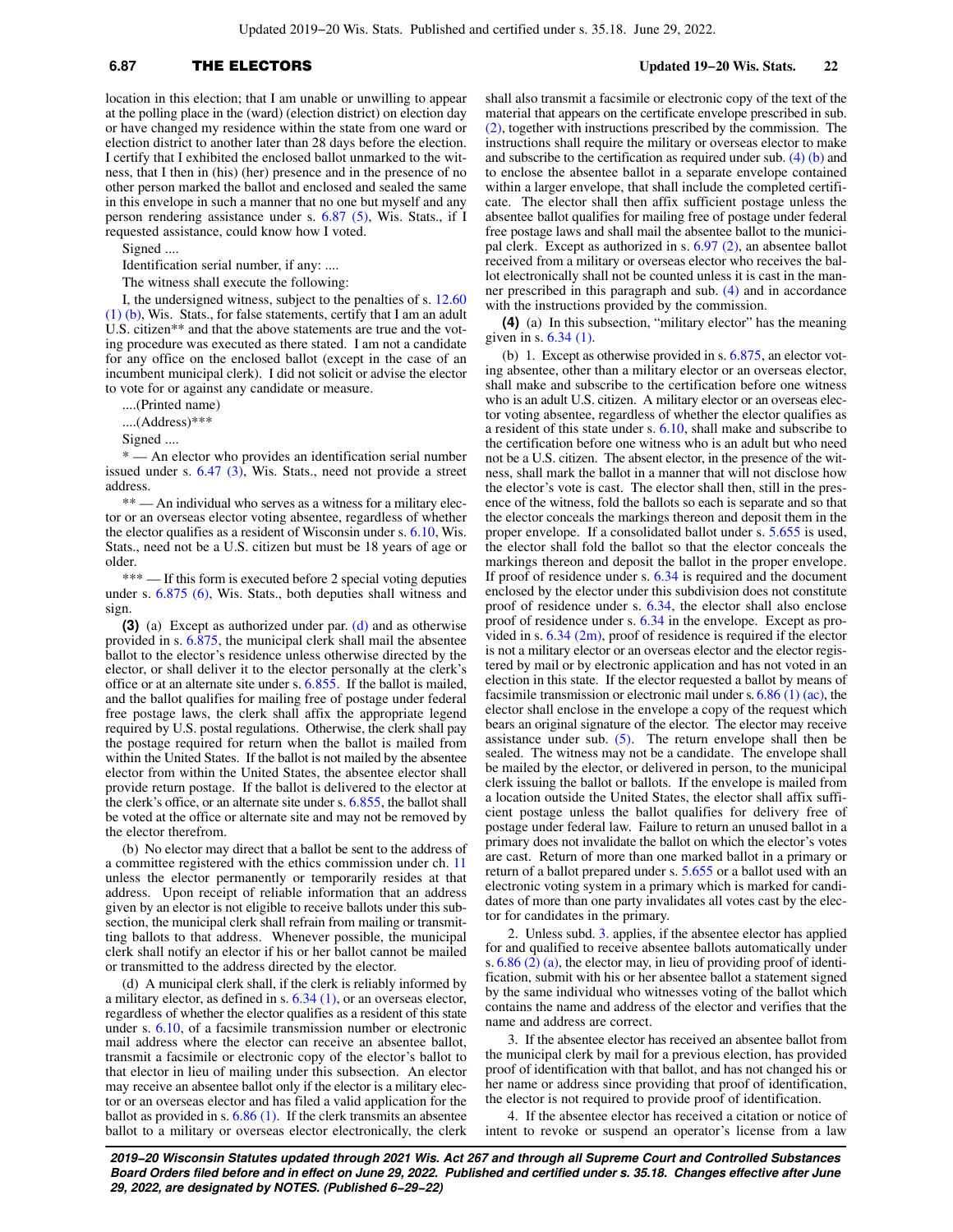## **6.87** THE ELECTORS **Updated 19−20 Wis. Stats. 22**

location in this election; that I am unable or unwilling to appear at the polling place in the (ward) (election district) on election day or have changed my residence within the state from one ward or election district to another later than 28 days before the election. I certify that I exhibited the enclosed ballot unmarked to the witness, that I then in (his) (her) presence and in the presence of no other person marked the ballot and enclosed and sealed the same in this envelope in such a manner that no one but myself and any person rendering assistance under s. [6.87 \(5\),](https://docs.legis.wisconsin.gov/document/statutes/6.87(5)) Wis. Stats., if I requested assistance, could know how I voted.

Signed ....

Identification serial number, if any: ....

The witness shall execute the following:

I, the undersigned witness, subject to the penalties of s. [12.60](https://docs.legis.wisconsin.gov/document/statutes/12.60(1)(b)) [\(1\) \(b\),](https://docs.legis.wisconsin.gov/document/statutes/12.60(1)(b)) Wis. Stats., for false statements, certify that I am an adult U.S. citizen\*\* and that the above statements are true and the voting procedure was executed as there stated. I am not a candidate for any office on the enclosed ballot (except in the case of an incumbent municipal clerk). I did not solicit or advise the elector to vote for or against any candidate or measure.

....(Printed name)

....(Address)\*\*\*

Signed ....

\* — An elector who provides an identification serial number issued under s. [6.47 \(3\)](https://docs.legis.wisconsin.gov/document/statutes/6.47(3)), Wis. Stats., need not provide a street address.

\*\* — An individual who serves as a witness for a military elector or an overseas elector voting absentee, regardless of whether the elector qualifies as a resident of Wisconsin under s. [6.10,](https://docs.legis.wisconsin.gov/document/statutes/6.10) Wis. Stats., need not be a U.S. citizen but must be 18 years of age or older.

\*\*\* — If this form is executed before 2 special voting deputies under s. [6.875 \(6\)](https://docs.legis.wisconsin.gov/document/statutes/6.875(6)), Wis. Stats., both deputies shall witness and sign.

**(3)** (a) Except as authorized under par. [\(d\)](https://docs.legis.wisconsin.gov/document/statutes/6.87(3)(d)) and as otherwise provided in s. [6.875](https://docs.legis.wisconsin.gov/document/statutes/6.875), the municipal clerk shall mail the absentee ballot to the elector's residence unless otherwise directed by the elector, or shall deliver it to the elector personally at the clerk's office or at an alternate site under s. [6.855](https://docs.legis.wisconsin.gov/document/statutes/6.855). If the ballot is mailed, and the ballot qualifies for mailing free of postage under federal free postage laws, the clerk shall affix the appropriate legend required by U.S. postal regulations. Otherwise, the clerk shall pay the postage required for return when the ballot is mailed from within the United States. If the ballot is not mailed by the absentee elector from within the United States, the absentee elector shall provide return postage. If the ballot is delivered to the elector at the clerk's office, or an alternate site under s. [6.855,](https://docs.legis.wisconsin.gov/document/statutes/6.855) the ballot shall be voted at the office or alternate site and may not be removed by the elector therefrom.

(b) No elector may direct that a ballot be sent to the address of a committee registered with the ethics commission under ch. [11](https://docs.legis.wisconsin.gov/document/statutes/ch.%2011) unless the elector permanently or temporarily resides at that address. Upon receipt of reliable information that an address given by an elector is not eligible to receive ballots under this subsection, the municipal clerk shall refrain from mailing or transmitting ballots to that address. Whenever possible, the municipal clerk shall notify an elector if his or her ballot cannot be mailed or transmitted to the address directed by the elector.

(d) A municipal clerk shall, if the clerk is reliably informed by a military elector, as defined in s. [6.34 \(1\)](https://docs.legis.wisconsin.gov/document/statutes/6.34(1)), or an overseas elector, regardless of whether the elector qualifies as a resident of this state under s. [6.10,](https://docs.legis.wisconsin.gov/document/statutes/6.10) of a facsimile transmission number or electronic mail address where the elector can receive an absentee ballot, transmit a facsimile or electronic copy of the elector's ballot to that elector in lieu of mailing under this subsection. An elector may receive an absentee ballot only if the elector is a military elector or an overseas elector and has filed a valid application for the ballot as provided in s. [6.86 \(1\).](https://docs.legis.wisconsin.gov/document/statutes/6.86(1)) If the clerk transmits an absentee ballot to a military or overseas elector electronically, the clerk shall also transmit a facsimile or electronic copy of the text of the material that appears on the certificate envelope prescribed in sub. [\(2\),](https://docs.legis.wisconsin.gov/document/statutes/6.87(2)) together with instructions prescribed by the commission. The instructions shall require the military or overseas elector to make and subscribe to the certification as required under sub.  $(4)$  (b) and to enclose the absentee ballot in a separate envelope contained within a larger envelope, that shall include the completed certificate. The elector shall then affix sufficient postage unless the absentee ballot qualifies for mailing free of postage under federal free postage laws and shall mail the absentee ballot to the municipal clerk. Except as authorized in s. [6.97 \(2\),](https://docs.legis.wisconsin.gov/document/statutes/6.97(2)) an absentee ballot received from a military or overseas elector who receives the ballot electronically shall not be counted unless it is cast in the manner prescribed in this paragraph and sub. [\(4\)](https://docs.legis.wisconsin.gov/document/statutes/6.87(4)) and in accordance with the instructions provided by the commission.

**(4)** (a) In this subsection, "military elector" has the meaning given in s. [6.34 \(1\)](https://docs.legis.wisconsin.gov/document/statutes/6.34(1)).

(b) 1. Except as otherwise provided in s. [6.875](https://docs.legis.wisconsin.gov/document/statutes/6.875), an elector voting absentee, other than a military elector or an overseas elector, shall make and subscribe to the certification before one witness who is an adult U.S. citizen. A military elector or an overseas elector voting absentee, regardless of whether the elector qualifies as a resident of this state under s. [6.10,](https://docs.legis.wisconsin.gov/document/statutes/6.10) shall make and subscribe to the certification before one witness who is an adult but who need not be a U.S. citizen. The absent elector, in the presence of the witness, shall mark the ballot in a manner that will not disclose how the elector's vote is cast. The elector shall then, still in the presence of the witness, fold the ballots so each is separate and so that the elector conceals the markings thereon and deposit them in the proper envelope. If a consolidated ballot under s. [5.655](https://docs.legis.wisconsin.gov/document/statutes/5.655) is used, the elector shall fold the ballot so that the elector conceals the markings thereon and deposit the ballot in the proper envelope. If proof of residence under s. [6.34](https://docs.legis.wisconsin.gov/document/statutes/6.34) is required and the document enclosed by the elector under this subdivision does not constitute proof of residence under s. [6.34,](https://docs.legis.wisconsin.gov/document/statutes/6.34) the elector shall also enclose proof of residence under s. [6.34](https://docs.legis.wisconsin.gov/document/statutes/6.34) in the envelope. Except as provided in s.  $6.34$  (2m), proof of residence is required if the elector is not a military elector or an overseas elector and the elector registered by mail or by electronic application and has not voted in an election in this state. If the elector requested a ballot by means of facsimile transmission or electronic mail under s.  $6.86$  (1) (ac), the elector shall enclose in the envelope a copy of the request which bears an original signature of the elector. The elector may receive assistance under sub.  $(5)$ . The return envelope shall then be sealed. The witness may not be a candidate. The envelope shall be mailed by the elector, or delivered in person, to the municipal clerk issuing the ballot or ballots. If the envelope is mailed from a location outside the United States, the elector shall affix sufficient postage unless the ballot qualifies for delivery free of postage under federal law. Failure to return an unused ballot in a primary does not invalidate the ballot on which the elector's votes are cast. Return of more than one marked ballot in a primary or return of a ballot prepared under s. [5.655](https://docs.legis.wisconsin.gov/document/statutes/5.655) or a ballot used with an electronic voting system in a primary which is marked for candidates of more than one party invalidates all votes cast by the elector for candidates in the primary.

2. Unless subd. [3.](https://docs.legis.wisconsin.gov/document/statutes/6.87(4)(b)3.) applies, if the absentee elector has applied for and qualified to receive absentee ballots automatically under s. [6.86 \(2\) \(a\),](https://docs.legis.wisconsin.gov/document/statutes/6.86(2)(a)) the elector may, in lieu of providing proof of identification, submit with his or her absentee ballot a statement signed by the same individual who witnesses voting of the ballot which contains the name and address of the elector and verifies that the name and address are correct.

3. If the absentee elector has received an absentee ballot from the municipal clerk by mail for a previous election, has provided proof of identification with that ballot, and has not changed his or her name or address since providing that proof of identification, the elector is not required to provide proof of identification.

4. If the absentee elector has received a citation or notice of intent to revoke or suspend an operator's license from a law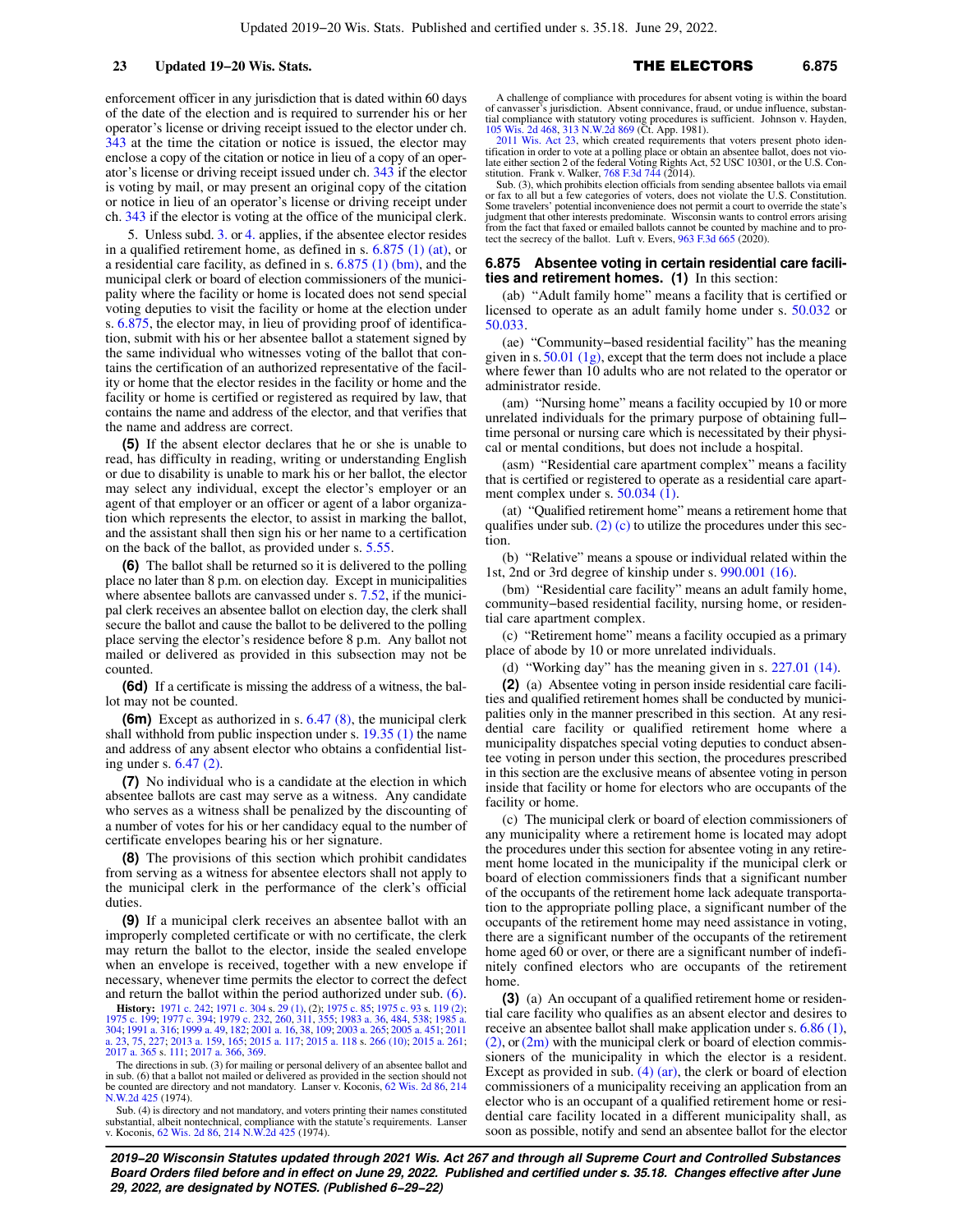enforcement officer in any jurisdiction that is dated within 60 days of the date of the election and is required to surrender his or her operator's license or driving receipt issued to the elector under ch. [343](https://docs.legis.wisconsin.gov/document/statutes/ch.%20343) at the time the citation or notice is issued, the elector may enclose a copy of the citation or notice in lieu of a copy of an operator's license or driving receipt issued under ch. [343](https://docs.legis.wisconsin.gov/document/statutes/ch.%20343) if the elector is voting by mail, or may present an original copy of the citation or notice in lieu of an operator's license or driving receipt under ch. [343](https://docs.legis.wisconsin.gov/document/statutes/ch.%20343) if the elector is voting at the office of the municipal clerk.

5. Unless subd. [3.](https://docs.legis.wisconsin.gov/document/statutes/6.87(4)(b)3.) or [4.](https://docs.legis.wisconsin.gov/document/statutes/6.87(4)(b)4.) applies, if the absentee elector resides in a qualified retirement home, as defined in s. [6.875 \(1\) \(at\),](https://docs.legis.wisconsin.gov/document/statutes/6.875(1)(at)) or a residential care facility, as defined in s. [6.875 \(1\) \(bm\)](https://docs.legis.wisconsin.gov/document/statutes/6.875(1)(bm)), and the municipal clerk or board of election commissioners of the municipality where the facility or home is located does not send special voting deputies to visit the facility or home at the election under s. [6.875](https://docs.legis.wisconsin.gov/document/statutes/6.875), the elector may, in lieu of providing proof of identification, submit with his or her absentee ballot a statement signed by the same individual who witnesses voting of the ballot that contains the certification of an authorized representative of the facility or home that the elector resides in the facility or home and the facility or home is certified or registered as required by law, that contains the name and address of the elector, and that verifies that the name and address are correct.

**(5)** If the absent elector declares that he or she is unable to read, has difficulty in reading, writing or understanding English or due to disability is unable to mark his or her ballot, the elector may select any individual, except the elector's employer or an agent of that employer or an officer or agent of a labor organization which represents the elector, to assist in marking the ballot, and the assistant shall then sign his or her name to a certification on the back of the ballot, as provided under s. [5.55](https://docs.legis.wisconsin.gov/document/statutes/5.55).

**(6)** The ballot shall be returned so it is delivered to the polling place no later than 8 p.m. on election day. Except in municipalities where absentee ballots are canvassed under s. [7.52,](https://docs.legis.wisconsin.gov/document/statutes/7.52) if the municipal clerk receives an absentee ballot on election day, the clerk shall secure the ballot and cause the ballot to be delivered to the polling place serving the elector's residence before 8 p.m. Any ballot not mailed or delivered as provided in this subsection may not be counted.

**(6d)** If a certificate is missing the address of a witness, the ballot may not be counted.

**(6m)** Except as authorized in s. [6.47 \(8\),](https://docs.legis.wisconsin.gov/document/statutes/6.47(8)) the municipal clerk shall withhold from public inspection under s. [19.35 \(1\)](https://docs.legis.wisconsin.gov/document/statutes/19.35(1)) the name and address of any absent elector who obtains a confidential listing under s. [6.47 \(2\)](https://docs.legis.wisconsin.gov/document/statutes/6.47(2)).

**(7)** No individual who is a candidate at the election in which absentee ballots are cast may serve as a witness. Any candidate who serves as a witness shall be penalized by the discounting of a number of votes for his or her candidacy equal to the number of certificate envelopes bearing his or her signature.

**(8)** The provisions of this section which prohibit candidates from serving as a witness for absentee electors shall not apply to the municipal clerk in the performance of the clerk's official duties.

**(9)** If a municipal clerk receives an absentee ballot with an improperly completed certificate or with no certificate, the clerk may return the ballot to the elector, inside the sealed envelope when an envelope is received, together with a new envelope if necessary, whenever time permits the elector to correct the defect and return the ballot within the period authorized under sub. [\(6\).](https://docs.legis.wisconsin.gov/document/statutes/6.87(6))

**History:** [1971 c. 242](https://docs.legis.wisconsin.gov/document/acts/1971/242); [1971 c. 304](https://docs.legis.wisconsin.gov/document/acts/1971/304) s. [29 \(1\)](https://docs.legis.wisconsin.gov/document/acts/1971/304,%20s.%2029), (2); [1975 c. 85;](https://docs.legis.wisconsin.gov/document/acts/1975/85) [1975 c. 93](https://docs.legis.wisconsin.gov/document/acts/1975/93) s. [119 \(2\)](https://docs.legis.wisconsin.gov/document/acts/1975/93,%20s.%20119);<br>[1975 c. 199;](https://docs.legis.wisconsin.gov/document/acts/1975/199) [1977 c. 394;](https://docs.legis.wisconsin.gov/document/acts/1977/394) [1979 c. 232](https://docs.legis.wisconsin.gov/document/acts/1979/232), [260](https://docs.legis.wisconsin.gov/document/acts/1979/260), [311,](https://docs.legis.wisconsin.gov/document/acts/1979/311) [355;](https://docs.legis.wisconsin.gov/document/acts/1979/355) [1983 a. 36,](https://docs.legis.wisconsin.gov/document/acts/1983/36) [484,](https://docs.legis.wisconsin.gov/document/acts/1983/484) [538;](https://docs.legis.wisconsin.gov/document/acts/1983/538) [1985 a.](https://docs.legis.wisconsin.gov/document/acts/1985/304)<br>[304](https://docs.legis.wisconsin.gov/document/acts/1985/304); [1991 a. 316](https://docs.legis.wisconsin.gov/document/acts/1991/316); [1999 a. 49,](https://docs.legis.wisconsin.gov/document/acts/1999/49) [182](https://docs.legis.wisconsin.gov/document/acts/1999/182); [2001 a. 16,](https://docs.legis.wisconsin.gov/document/acts/2001/16) [38,](https://docs.legis.wisconsin.gov/document/acts/2001/38) [a. 23](https://docs.legis.wisconsin.gov/document/acts/2011/23), [75,](https://docs.legis.wisconsin.gov/document/acts/2011/75) [227](https://docs.legis.wisconsin.gov/document/acts/2011/227); [2013 a. 159,](https://docs.legis.wisconsin.gov/document/acts/2013/159) [165;](https://docs.legis.wisconsin.gov/document/acts/2013/165) [2015 a. 117](https://docs.legis.wisconsin.gov/document/acts/2015/117); [2015 a. 118](https://docs.legis.wisconsin.gov/document/acts/2015/118) s. [266 \(10\);](https://docs.legis.wisconsin.gov/document/acts/2015/118,%20s.%20266) [2015 a. 261](https://docs.legis.wisconsin.gov/document/acts/2015/261); [2017 a. 365](https://docs.legis.wisconsin.gov/document/acts/2017/365) s. [111;](https://docs.legis.wisconsin.gov/document/acts/2017/365,%20s.%20111) [2017 a. 366](https://docs.legis.wisconsin.gov/document/acts/2017/366), [369](https://docs.legis.wisconsin.gov/document/acts/2017/369).

The directions in sub. (3) for mailing or personal delivery of an absentee ballot and in sub. (6) that a ballot not mailed or delivered as provided in the section should not be counted are directory and not mandatory. Lanser v. Koconis, [62 Wis. 2d 86](https://docs.legis.wisconsin.gov/document/courts/62%20Wis.%202d%2086), [214](https://docs.legis.wisconsin.gov/document/courts/214%20N.W.2d%20425) [N.W.2d 425](https://docs.legis.wisconsin.gov/document/courts/214%20N.W.2d%20425) (1974).

Sub. (4) is directory and not mandatory, and voters printing their names constituted substantial, albeit nontechnical, compliance with the statute's requirements. Lanser<br>v. Koconis, [62 Wis. 2d 86](https://docs.legis.wisconsin.gov/document/courts/62%20Wis.%202d%2086), [214 N.W.2d 425](https://docs.legis.wisconsin.gov/document/courts/214%20N.W.2d%20425) (1974).

A challenge of compliance with procedures for absent voting is within the board of canvasser's jurisdiction. Absent connivance, fraud, or undue influence, substan-tial compliance with statutory voting procedures is sufficient. Johnson v. Hayden,

[105 Wis. 2d 468](https://docs.legis.wisconsin.gov/document/courts/105%20Wis.%202d%20468), [313 N.W.2d 869](https://docs.legis.wisconsin.gov/document/courts/313%20N.W.2d%20869) (Ct. App. 1981). [2011 Wis. Act 23](https://docs.legis.wisconsin.gov/document/acts/2011/23), which created requirements that voters present photo iden-tification in order to vote at a polling place or obtain an absentee ballot, does not violate either section 2 of the federal Voting Rights Act, 52 USC 10301, or the U.S. Constitution. Frank v. Walker, [768 F.3d 744](https://docs.legis.wisconsin.gov/document/courts/768%20F.3d%20744) (2014).

Sub. (3), which prohibits election officials from sending absentee ballots via email or fax to all but a few categories of voters, does not violate the U.S. Constitution. Some travelers' potential inconvenience does not permit a court to override the state's judgment that other interests predominate. Wisconsin wants to control errors arising from the fact that faxed or emailed ballots cannot be counted by machine and to protect the secrecy of the ballot. Luft v. Evers, [963 F.3d 665](https://docs.legis.wisconsin.gov/document/courts/963%20F.3d%20665) (2020).

### **6.875 Absentee voting in certain residential care facilities and retirement homes. (1)** In this section:

(ab) "Adult family home" means a facility that is certified or licensed to operate as an adult family home under s. [50.032](https://docs.legis.wisconsin.gov/document/statutes/50.032) or [50.033.](https://docs.legis.wisconsin.gov/document/statutes/50.033)

(ae) "Community−based residential facility" has the meaning given in s.  $50.01$  (1g), except that the term does not include a place where fewer than 10 adults who are not related to the operator or administrator reside.

(am) "Nursing home" means a facility occupied by 10 or more unrelated individuals for the primary purpose of obtaining full− time personal or nursing care which is necessitated by their physical or mental conditions, but does not include a hospital.

(asm) "Residential care apartment complex" means a facility that is certified or registered to operate as a residential care apartment complex under s. [50.034 \(1\)](https://docs.legis.wisconsin.gov/document/statutes/50.034(1)).

(at) "Qualified retirement home" means a retirement home that qualifies under sub.  $(2)$  (c) to utilize the procedures under this section.

(b) "Relative" means a spouse or individual related within the 1st, 2nd or 3rd degree of kinship under s. [990.001 \(16\)](https://docs.legis.wisconsin.gov/document/statutes/990.001(16)).

(bm) "Residential care facility" means an adult family home, community−based residential facility, nursing home, or residential care apartment complex.

(c) "Retirement home" means a facility occupied as a primary place of abode by 10 or more unrelated individuals.

(d) "Working day" has the meaning given in s. [227.01 \(14\)](https://docs.legis.wisconsin.gov/document/statutes/227.01(14)).

**(2)** (a) Absentee voting in person inside residential care facilities and qualified retirement homes shall be conducted by municipalities only in the manner prescribed in this section. At any residential care facility or qualified retirement home where a municipality dispatches special voting deputies to conduct absentee voting in person under this section, the procedures prescribed in this section are the exclusive means of absentee voting in person inside that facility or home for electors who are occupants of the facility or home.

(c) The municipal clerk or board of election commissioners of any municipality where a retirement home is located may adopt the procedures under this section for absentee voting in any retirement home located in the municipality if the municipal clerk or board of election commissioners finds that a significant number of the occupants of the retirement home lack adequate transportation to the appropriate polling place, a significant number of the occupants of the retirement home may need assistance in voting, there are a significant number of the occupants of the retirement home aged 60 or over, or there are a significant number of indefinitely confined electors who are occupants of the retirement home.

**(3)** (a) An occupant of a qualified retirement home or residential care facility who qualifies as an absent elector and desires to receive an absentee ballot shall make application under s. [6.86 \(1\),](https://docs.legis.wisconsin.gov/document/statutes/6.86(1))  $(2)$ , or  $(2m)$  with the municipal clerk or board of election commissioners of the municipality in which the elector is a resident. Except as provided in sub.  $(4)$   $(ar)$ , the clerk or board of election commissioners of a municipality receiving an application from an elector who is an occupant of a qualified retirement home or residential care facility located in a different municipality shall, as soon as possible, notify and send an absentee ballot for the elector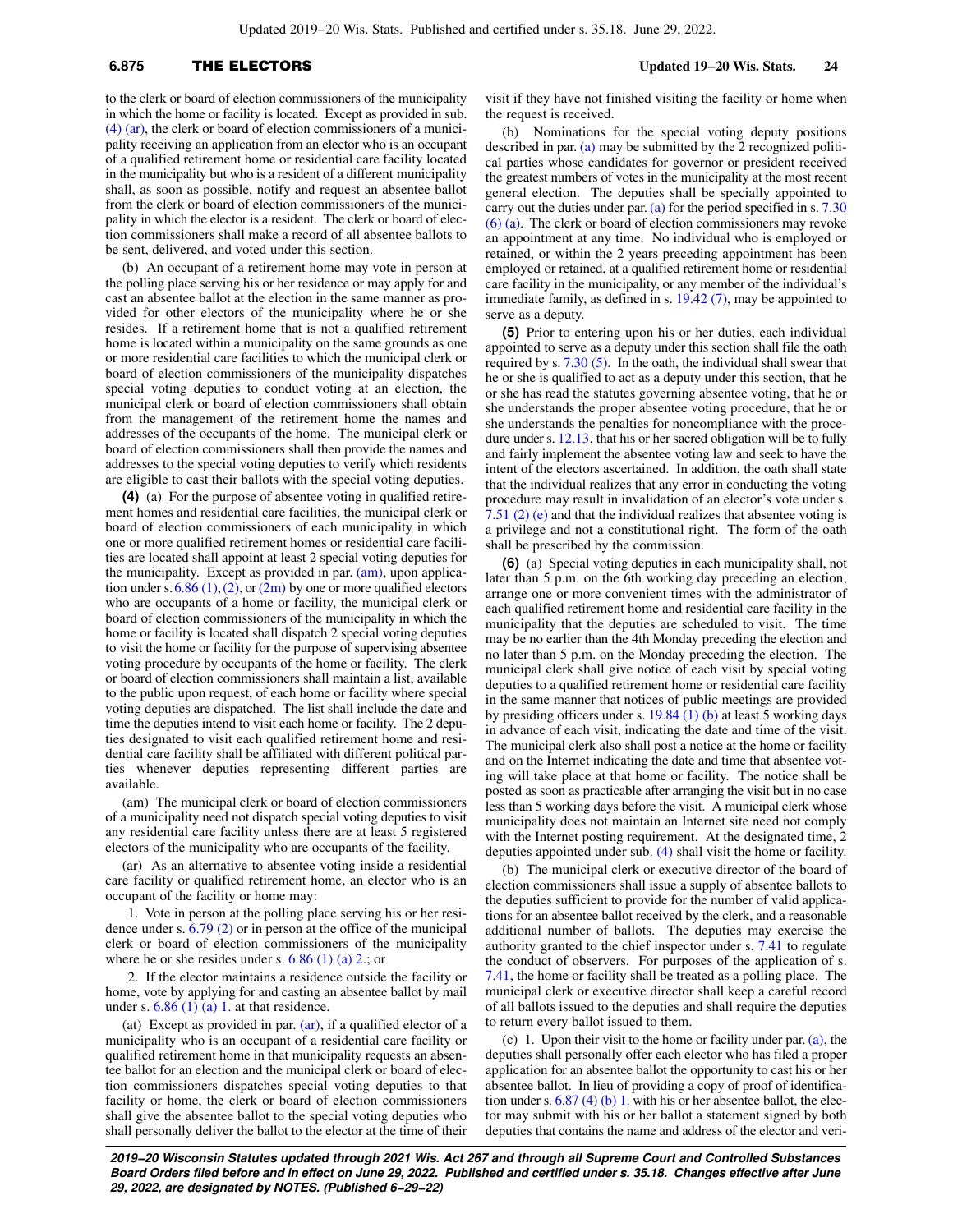## **6.875** THE ELECTORS **Updated 19−20 Wis. Stats. 24**

to the clerk or board of election commissioners of the municipality in which the home or facility is located. Except as provided in sub. [\(4\) \(ar\)](https://docs.legis.wisconsin.gov/document/statutes/6.875(4)(ar)), the clerk or board of election commissioners of a municipality receiving an application from an elector who is an occupant of a qualified retirement home or residential care facility located in the municipality but who is a resident of a different municipality shall, as soon as possible, notify and request an absentee ballot from the clerk or board of election commissioners of the municipality in which the elector is a resident. The clerk or board of election commissioners shall make a record of all absentee ballots to be sent, delivered, and voted under this section.

(b) An occupant of a retirement home may vote in person at the polling place serving his or her residence or may apply for and cast an absentee ballot at the election in the same manner as provided for other electors of the municipality where he or she resides. If a retirement home that is not a qualified retirement home is located within a municipality on the same grounds as one or more residential care facilities to which the municipal clerk or board of election commissioners of the municipality dispatches special voting deputies to conduct voting at an election, the municipal clerk or board of election commissioners shall obtain from the management of the retirement home the names and addresses of the occupants of the home. The municipal clerk or board of election commissioners shall then provide the names and addresses to the special voting deputies to verify which residents are eligible to cast their ballots with the special voting deputies.

**(4)** (a) For the purpose of absentee voting in qualified retirement homes and residential care facilities, the municipal clerk or board of election commissioners of each municipality in which one or more qualified retirement homes or residential care facilities are located shall appoint at least 2 special voting deputies for the municipality. Except as provided in par. [\(am\)](https://docs.legis.wisconsin.gov/document/statutes/6.875(4)(am)), upon application under s.  $6.86$  (1), [\(2\),](https://docs.legis.wisconsin.gov/document/statutes/6.86(2)) or [\(2m\)](https://docs.legis.wisconsin.gov/document/statutes/6.86(2m)) by one or more qualified electors who are occupants of a home or facility, the municipal clerk or board of election commissioners of the municipality in which the home or facility is located shall dispatch 2 special voting deputies to visit the home or facility for the purpose of supervising absentee voting procedure by occupants of the home or facility. The clerk or board of election commissioners shall maintain a list, available to the public upon request, of each home or facility where special voting deputies are dispatched. The list shall include the date and time the deputies intend to visit each home or facility. The 2 deputies designated to visit each qualified retirement home and residential care facility shall be affiliated with different political parties whenever deputies representing different parties are available.

(am) The municipal clerk or board of election commissioners of a municipality need not dispatch special voting deputies to visit any residential care facility unless there are at least 5 registered electors of the municipality who are occupants of the facility.

(ar) As an alternative to absentee voting inside a residential care facility or qualified retirement home, an elector who is an occupant of the facility or home may:

1. Vote in person at the polling place serving his or her residence under s. [6.79 \(2\)](https://docs.legis.wisconsin.gov/document/statutes/6.79(2)) or in person at the office of the municipal clerk or board of election commissioners of the municipality where he or she resides under s.  $6.86$  (1) (a) 2.; or

2. If the elector maintains a residence outside the facility or home, vote by applying for and casting an absentee ballot by mail under s.  $6.86$  (1) (a) 1. at that residence.

(at) Except as provided in par. [\(ar\),](https://docs.legis.wisconsin.gov/document/statutes/6.875(4)(ar)) if a qualified elector of a municipality who is an occupant of a residential care facility or qualified retirement home in that municipality requests an absentee ballot for an election and the municipal clerk or board of election commissioners dispatches special voting deputies to that facility or home, the clerk or board of election commissioners shall give the absentee ballot to the special voting deputies who shall personally deliver the ballot to the elector at the time of their

visit if they have not finished visiting the facility or home when the request is received.

(b) Nominations for the special voting deputy positions described in par. [\(a\)](https://docs.legis.wisconsin.gov/document/statutes/6.875(4)(a)) may be submitted by the 2 recognized political parties whose candidates for governor or president received the greatest numbers of votes in the municipality at the most recent general election. The deputies shall be specially appointed to carry out the duties under par. [\(a\)](https://docs.legis.wisconsin.gov/document/statutes/6.875(4)(a)) for the period specified in s.  $7.30$ [\(6\) \(a\)](https://docs.legis.wisconsin.gov/document/statutes/7.30(6)(a)). The clerk or board of election commissioners may revoke an appointment at any time. No individual who is employed or retained, or within the 2 years preceding appointment has been employed or retained, at a qualified retirement home or residential care facility in the municipality, or any member of the individual's immediate family, as defined in s. [19.42 \(7\)](https://docs.legis.wisconsin.gov/document/statutes/19.42(7)), may be appointed to serve as a deputy.

**(5)** Prior to entering upon his or her duties, each individual appointed to serve as a deputy under this section shall file the oath required by s. [7.30 \(5\)](https://docs.legis.wisconsin.gov/document/statutes/7.30(5)). In the oath, the individual shall swear that he or she is qualified to act as a deputy under this section, that he or she has read the statutes governing absentee voting, that he or she understands the proper absentee voting procedure, that he or she understands the penalties for noncompliance with the procedure under s. [12.13,](https://docs.legis.wisconsin.gov/document/statutes/12.13) that his or her sacred obligation will be to fully and fairly implement the absentee voting law and seek to have the intent of the electors ascertained. In addition, the oath shall state that the individual realizes that any error in conducting the voting procedure may result in invalidation of an elector's vote under s. [7.51 \(2\) \(e\)](https://docs.legis.wisconsin.gov/document/statutes/7.51(2)(e)) and that the individual realizes that absentee voting is a privilege and not a constitutional right. The form of the oath shall be prescribed by the commission.

**(6)** (a) Special voting deputies in each municipality shall, not later than 5 p.m. on the 6th working day preceding an election, arrange one or more convenient times with the administrator of each qualified retirement home and residential care facility in the municipality that the deputies are scheduled to visit. The time may be no earlier than the 4th Monday preceding the election and no later than 5 p.m. on the Monday preceding the election. The municipal clerk shall give notice of each visit by special voting deputies to a qualified retirement home or residential care facility in the same manner that notices of public meetings are provided by presiding officers under s. [19.84 \(1\) \(b\)](https://docs.legis.wisconsin.gov/document/statutes/19.84(1)(b)) at least 5 working days in advance of each visit, indicating the date and time of the visit. The municipal clerk also shall post a notice at the home or facility and on the Internet indicating the date and time that absentee voting will take place at that home or facility. The notice shall be posted as soon as practicable after arranging the visit but in no case less than 5 working days before the visit. A municipal clerk whose municipality does not maintain an Internet site need not comply with the Internet posting requirement. At the designated time, 2 deputies appointed under sub. [\(4\)](https://docs.legis.wisconsin.gov/document/statutes/6.875(4)) shall visit the home or facility.

(b) The municipal clerk or executive director of the board of election commissioners shall issue a supply of absentee ballots to the deputies sufficient to provide for the number of valid applications for an absentee ballot received by the clerk, and a reasonable additional number of ballots. The deputies may exercise the authority granted to the chief inspector under s. [7.41](https://docs.legis.wisconsin.gov/document/statutes/7.41) to regulate the conduct of observers. For purposes of the application of s. [7.41,](https://docs.legis.wisconsin.gov/document/statutes/7.41) the home or facility shall be treated as a polling place. The municipal clerk or executive director shall keep a careful record of all ballots issued to the deputies and shall require the deputies to return every ballot issued to them.

(c) 1. Upon their visit to the home or facility under par. [\(a\)](https://docs.legis.wisconsin.gov/document/statutes/6.875(6)(a)), the deputies shall personally offer each elector who has filed a proper application for an absentee ballot the opportunity to cast his or her absentee ballot. In lieu of providing a copy of proof of identification under s. [6.87 \(4\) \(b\) 1.](https://docs.legis.wisconsin.gov/document/statutes/6.87(4)(b)1.) with his or her absentee ballot, the elector may submit with his or her ballot a statement signed by both deputies that contains the name and address of the elector and veri-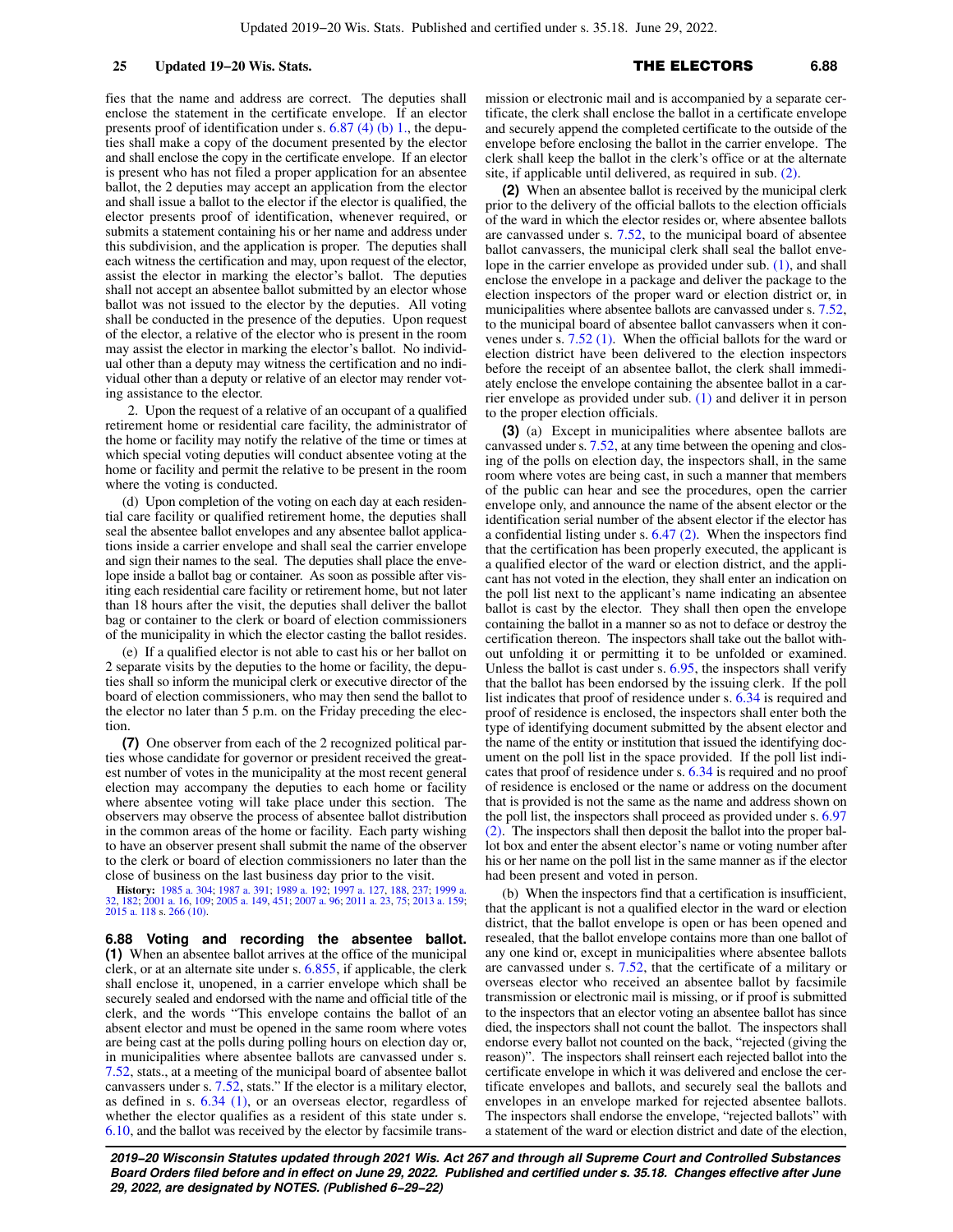fies that the name and address are correct. The deputies shall enclose the statement in the certificate envelope. If an elector presents proof of identification under s. [6.87 \(4\) \(b\) 1.,](https://docs.legis.wisconsin.gov/document/statutes/6.87(4)(b)1.) the deputies shall make a copy of the document presented by the elector and shall enclose the copy in the certificate envelope. If an elector is present who has not filed a proper application for an absentee ballot, the 2 deputies may accept an application from the elector and shall issue a ballot to the elector if the elector is qualified, the elector presents proof of identification, whenever required, or submits a statement containing his or her name and address under this subdivision, and the application is proper. The deputies shall each witness the certification and may, upon request of the elector, assist the elector in marking the elector's ballot. The deputies shall not accept an absentee ballot submitted by an elector whose ballot was not issued to the elector by the deputies. All voting shall be conducted in the presence of the deputies. Upon request of the elector, a relative of the elector who is present in the room may assist the elector in marking the elector's ballot. No individual other than a deputy may witness the certification and no individual other than a deputy or relative of an elector may render voting assistance to the elector.

2. Upon the request of a relative of an occupant of a qualified retirement home or residential care facility, the administrator of the home or facility may notify the relative of the time or times at which special voting deputies will conduct absentee voting at the home or facility and permit the relative to be present in the room where the voting is conducted.

(d) Upon completion of the voting on each day at each residential care facility or qualified retirement home, the deputies shall seal the absentee ballot envelopes and any absentee ballot applications inside a carrier envelope and shall seal the carrier envelope and sign their names to the seal. The deputies shall place the envelope inside a ballot bag or container. As soon as possible after visiting each residential care facility or retirement home, but not later than 18 hours after the visit, the deputies shall deliver the ballot bag or container to the clerk or board of election commissioners of the municipality in which the elector casting the ballot resides.

(e) If a qualified elector is not able to cast his or her ballot on 2 separate visits by the deputies to the home or facility, the deputies shall so inform the municipal clerk or executive director of the board of election commissioners, who may then send the ballot to the elector no later than 5 p.m. on the Friday preceding the election

**(7)** One observer from each of the 2 recognized political parties whose candidate for governor or president received the greatest number of votes in the municipality at the most recent general election may accompany the deputies to each home or facility where absentee voting will take place under this section. The observers may observe the process of absentee ballot distribution in the common areas of the home or facility. Each party wishing to have an observer present shall submit the name of the observer to the clerk or board of election commissioners no later than the close of business on the last business day prior to the visit.

**History:** [1985 a. 304;](https://docs.legis.wisconsin.gov/document/acts/1985/304) [1987 a. 391](https://docs.legis.wisconsin.gov/document/acts/1987/391); [1989 a. 192](https://docs.legis.wisconsin.gov/document/acts/1989/192); [1997 a. 127](https://docs.legis.wisconsin.gov/document/acts/1997/127), [188](https://docs.legis.wisconsin.gov/document/acts/1997/188), [237](https://docs.legis.wisconsin.gov/document/acts/1997/237); [1999 a.](https://docs.legis.wisconsin.gov/document/acts/1999/32) [32,](https://docs.legis.wisconsin.gov/document/acts/1999/32) [182;](https://docs.legis.wisconsin.gov/document/acts/1999/182) [2001 a. 16,](https://docs.legis.wisconsin.gov/document/acts/2001/16) [109](https://docs.legis.wisconsin.gov/document/acts/2001/109); [2005 a. 149,](https://docs.legis.wisconsin.gov/document/acts/2005/149) [451;](https://docs.legis.wisconsin.gov/document/acts/2005/451) [2007 a. 96;](https://docs.legis.wisconsin.gov/document/acts/2007/96) [2011 a. 23](https://docs.legis.wisconsin.gov/document/acts/2011/23), [75;](https://docs.legis.wisconsin.gov/document/acts/2011/75) [2013 a. 159](https://docs.legis.wisconsin.gov/document/acts/2013/159); [2015 a. 118](https://docs.legis.wisconsin.gov/document/acts/2015/118) s. [266 \(10\)](https://docs.legis.wisconsin.gov/document/acts/2015/118,%20s.%20266).

**6.88 Voting and recording the absentee ballot. (1)** When an absentee ballot arrives at the office of the municipal clerk, or at an alternate site under s. [6.855](https://docs.legis.wisconsin.gov/document/statutes/6.855), if applicable, the clerk shall enclose it, unopened, in a carrier envelope which shall be securely sealed and endorsed with the name and official title of the clerk, and the words "This envelope contains the ballot of an absent elector and must be opened in the same room where votes are being cast at the polls during polling hours on election day or, in municipalities where absentee ballots are canvassed under s. [7.52,](https://docs.legis.wisconsin.gov/document/statutes/7.52) stats., at a meeting of the municipal board of absentee ballot canvassers under s. [7.52](https://docs.legis.wisconsin.gov/document/statutes/7.52), stats." If the elector is a military elector, as defined in s. [6.34 \(1\),](https://docs.legis.wisconsin.gov/document/statutes/6.34(1)) or an overseas elector, regardless of whether the elector qualifies as a resident of this state under s. [6.10,](https://docs.legis.wisconsin.gov/document/statutes/6.10) and the ballot was received by the elector by facsimile transmission or electronic mail and is accompanied by a separate certificate, the clerk shall enclose the ballot in a certificate envelope and securely append the completed certificate to the outside of the envelope before enclosing the ballot in the carrier envelope. The clerk shall keep the ballot in the clerk's office or at the alternate site, if applicable until delivered, as required in sub. [\(2\).](https://docs.legis.wisconsin.gov/document/statutes/6.88(2))

**(2)** When an absentee ballot is received by the municipal clerk prior to the delivery of the official ballots to the election officials of the ward in which the elector resides or, where absentee ballots are canvassed under s. [7.52,](https://docs.legis.wisconsin.gov/document/statutes/7.52) to the municipal board of absentee ballot canvassers, the municipal clerk shall seal the ballot envelope in the carrier envelope as provided under sub. [\(1\)](https://docs.legis.wisconsin.gov/document/statutes/6.88(1)), and shall enclose the envelope in a package and deliver the package to the election inspectors of the proper ward or election district or, in municipalities where absentee ballots are canvassed under s. [7.52,](https://docs.legis.wisconsin.gov/document/statutes/7.52) to the municipal board of absentee ballot canvassers when it convenes under s. [7.52 \(1\).](https://docs.legis.wisconsin.gov/document/statutes/7.52(1)) When the official ballots for the ward or election district have been delivered to the election inspectors before the receipt of an absentee ballot, the clerk shall immediately enclose the envelope containing the absentee ballot in a carrier envelope as provided under sub. [\(1\)](https://docs.legis.wisconsin.gov/document/statutes/6.88(1)) and deliver it in person to the proper election officials.

**(3)** (a) Except in municipalities where absentee ballots are canvassed under s. [7.52,](https://docs.legis.wisconsin.gov/document/statutes/7.52) at any time between the opening and closing of the polls on election day, the inspectors shall, in the same room where votes are being cast, in such a manner that members of the public can hear and see the procedures, open the carrier envelope only, and announce the name of the absent elector or the identification serial number of the absent elector if the elector has a confidential listing under s. [6.47 \(2\)](https://docs.legis.wisconsin.gov/document/statutes/6.47(2)). When the inspectors find that the certification has been properly executed, the applicant is a qualified elector of the ward or election district, and the applicant has not voted in the election, they shall enter an indication on the poll list next to the applicant's name indicating an absentee ballot is cast by the elector. They shall then open the envelope containing the ballot in a manner so as not to deface or destroy the certification thereon. The inspectors shall take out the ballot without unfolding it or permitting it to be unfolded or examined. Unless the ballot is cast under s.  $6.95$ , the inspectors shall verify that the ballot has been endorsed by the issuing clerk. If the poll list indicates that proof of residence under s. [6.34](https://docs.legis.wisconsin.gov/document/statutes/6.34) is required and proof of residence is enclosed, the inspectors shall enter both the type of identifying document submitted by the absent elector and the name of the entity or institution that issued the identifying document on the poll list in the space provided. If the poll list indicates that proof of residence under s. [6.34](https://docs.legis.wisconsin.gov/document/statutes/6.34) is required and no proof of residence is enclosed or the name or address on the document that is provided is not the same as the name and address shown on the poll list, the inspectors shall proceed as provided under s. [6.97](https://docs.legis.wisconsin.gov/document/statutes/6.97(2)) [\(2\).](https://docs.legis.wisconsin.gov/document/statutes/6.97(2)) The inspectors shall then deposit the ballot into the proper ballot box and enter the absent elector's name or voting number after his or her name on the poll list in the same manner as if the elector had been present and voted in person.

(b) When the inspectors find that a certification is insufficient, that the applicant is not a qualified elector in the ward or election district, that the ballot envelope is open or has been opened and resealed, that the ballot envelope contains more than one ballot of any one kind or, except in municipalities where absentee ballots are canvassed under s. [7.52,](https://docs.legis.wisconsin.gov/document/statutes/7.52) that the certificate of a military or overseas elector who received an absentee ballot by facsimile transmission or electronic mail is missing, or if proof is submitted to the inspectors that an elector voting an absentee ballot has since died, the inspectors shall not count the ballot. The inspectors shall endorse every ballot not counted on the back, "rejected (giving the reason)". The inspectors shall reinsert each rejected ballot into the certificate envelope in which it was delivered and enclose the certificate envelopes and ballots, and securely seal the ballots and envelopes in an envelope marked for rejected absentee ballots. The inspectors shall endorse the envelope, "rejected ballots" with a statement of the ward or election district and date of the election,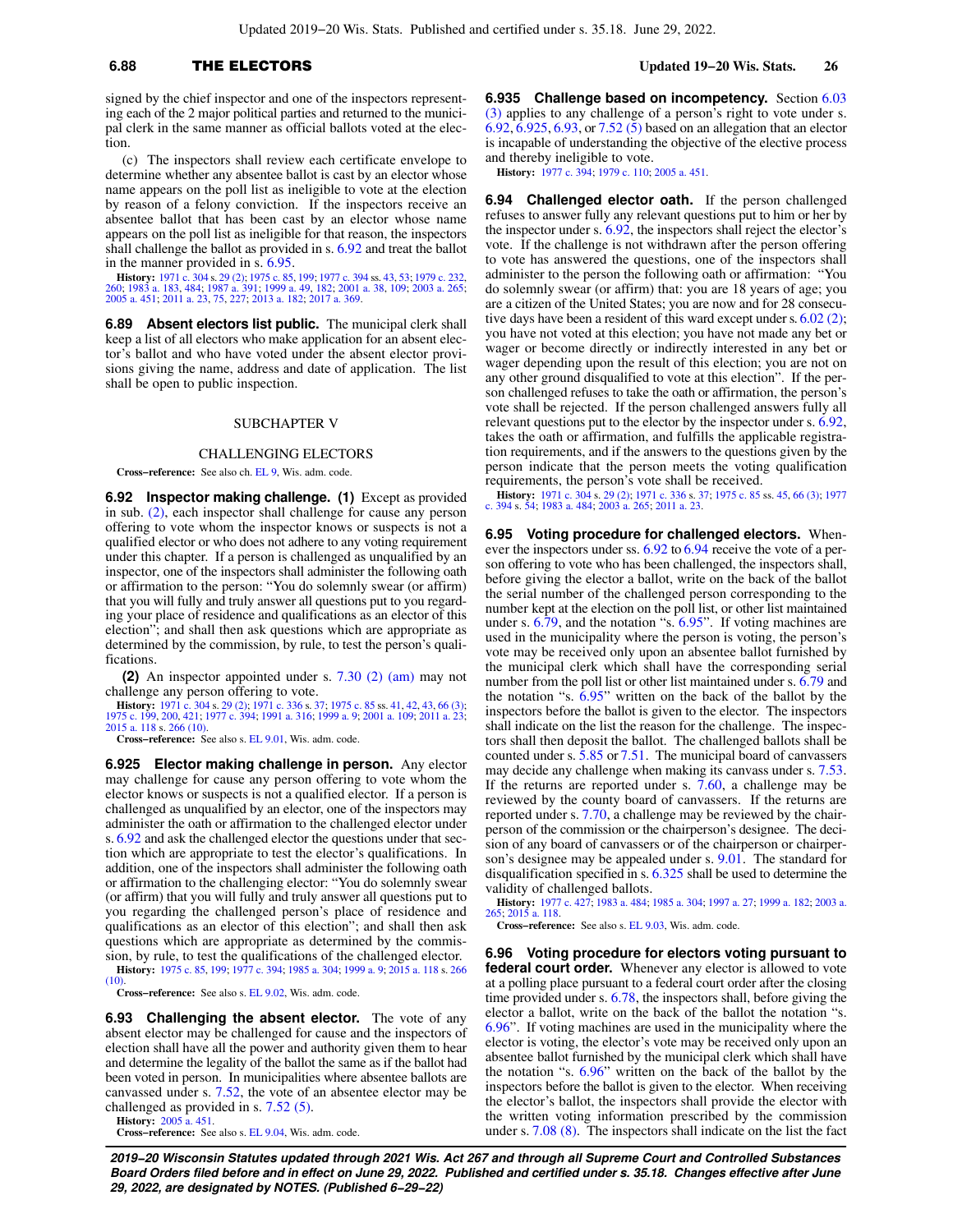## **6.88** THE ELECTORS **Updated 19−20 Wis. Stats. 26**

signed by the chief inspector and one of the inspectors representing each of the 2 major political parties and returned to the municipal clerk in the same manner as official ballots voted at the election.

(c) The inspectors shall review each certificate envelope to determine whether any absentee ballot is cast by an elector whose name appears on the poll list as ineligible to vote at the election by reason of a felony conviction. If the inspectors receive an absentee ballot that has been cast by an elector whose name appears on the poll list as ineligible for that reason, the inspectors shall challenge the ballot as provided in s. [6.92](https://docs.legis.wisconsin.gov/document/statutes/6.92) and treat the ballot in the manner provided in s. [6.95](https://docs.legis.wisconsin.gov/document/statutes/6.95).

**History:** [1971 c. 304](https://docs.legis.wisconsin.gov/document/acts/1971/304) s. [29 \(2\)](https://docs.legis.wisconsin.gov/document/acts/1971/304,%20s.%2029); [1975 c. 85,](https://docs.legis.wisconsin.gov/document/acts/1975/85) [199;](https://docs.legis.wisconsin.gov/document/acts/1975/199) [1977 c. 394](https://docs.legis.wisconsin.gov/document/acts/1977/394) ss. [43](https://docs.legis.wisconsin.gov/document/acts/1977/394,%20s.%2043), [53](https://docs.legis.wisconsin.gov/document/acts/1977/394,%20s.%2053); [1979 c. 232](https://docs.legis.wisconsin.gov/document/acts/1979/232), [260](https://docs.legis.wisconsin.gov/document/acts/1979/260); [1983 a. 183](https://docs.legis.wisconsin.gov/document/acts/1983/183), [484](https://docs.legis.wisconsin.gov/document/acts/1983/484); 1987 a. 301; 1999 a. 49, 1820; 1983 a. 265;<br>260; 1983 a. 183, 484; [1987 a. 391](https://docs.legis.wisconsin.gov/document/acts/1987/391); [1999 a. 49](https://docs.legis.wisconsin.gov/document/acts/1999/49), [182;](https://docs.legis.wisconsin.gov/document/acts/1999/182) 2001 a. 369.<br>2

**6.89 Absent electors list public.** The municipal clerk shall keep a list of all electors who make application for an absent elector's ballot and who have voted under the absent elector provisions giving the name, address and date of application. The list shall be open to public inspection.

### SUBCHAPTER V

### CHALLENGING ELECTORS

**Cross−reference:** See also ch. [EL 9,](https://docs.legis.wisconsin.gov/document/administrativecode/ch.%20EL%209) Wis. adm. code.

**6.92 Inspector making challenge. (1)** Except as provided in sub. [\(2\),](https://docs.legis.wisconsin.gov/document/statutes/6.92(2)) each inspector shall challenge for cause any person offering to vote whom the inspector knows or suspects is not a qualified elector or who does not adhere to any voting requirement under this chapter. If a person is challenged as unqualified by an inspector, one of the inspectors shall administer the following oath or affirmation to the person: "You do solemnly swear (or affirm) that you will fully and truly answer all questions put to you regarding your place of residence and qualifications as an elector of this election"; and shall then ask questions which are appropriate as determined by the commission, by rule, to test the person's qualifications.

**(2)** An inspector appointed under s. [7.30 \(2\) \(am\)](https://docs.legis.wisconsin.gov/document/statutes/7.30(2)(am)) may not challenge any person offering to vote.

**History:** [1971 c. 304](https://docs.legis.wisconsin.gov/document/acts/1971/304) s. [29 \(2\);](https://docs.legis.wisconsin.gov/document/acts/1971/304,%20s.%2029) [1971 c. 336](https://docs.legis.wisconsin.gov/document/acts/1971/336) s. [37;](https://docs.legis.wisconsin.gov/document/acts/1971/336,%20s.%2037) [1975 c. 85](https://docs.legis.wisconsin.gov/document/acts/1975/85) ss. [41](https://docs.legis.wisconsin.gov/document/acts/1975/85,%20s.%2041), [42](https://docs.legis.wisconsin.gov/document/acts/1975/85,%20s.%2042), [43](https://docs.legis.wisconsin.gov/document/acts/1975/85,%20s.%2043), [66 \(3\)](https://docs.legis.wisconsin.gov/document/acts/1975/85,%20s.%2066);<br>[1975 c. 199](https://docs.legis.wisconsin.gov/document/acts/1975/199), [200](https://docs.legis.wisconsin.gov/document/acts/1975/200), [421](https://docs.legis.wisconsin.gov/document/acts/1975/421); [1977 c. 394](https://docs.legis.wisconsin.gov/document/acts/1977/394); [1991 a. 316;](https://docs.legis.wisconsin.gov/document/acts/1991/316) [1999 a. 9;](https://docs.legis.wisconsin.gov/document/acts/1999/9) [2001 a. 109;](https://docs.legis.wisconsin.gov/document/acts/2001/109) [2011 a. 23](https://docs.legis.wisconsin.gov/document/acts/2011/23);<br>[2015 a. 118](https://docs.legis.wisconsin.gov/document/acts/2015/118) s. [266 \(10\)](https://docs.legis.wisconsin.gov/document/acts/2015/118,%20s.%20266).

**Cross−reference:** See also s. [EL 9.01,](https://docs.legis.wisconsin.gov/document/administrativecode/EL%209.01) Wis. adm. code.

**6.925 Elector making challenge in person.** Any elector may challenge for cause any person offering to vote whom the elector knows or suspects is not a qualified elector. If a person is challenged as unqualified by an elector, one of the inspectors may administer the oath or affirmation to the challenged elector under s. [6.92](https://docs.legis.wisconsin.gov/document/statutes/6.92) and ask the challenged elector the questions under that section which are appropriate to test the elector's qualifications. In addition, one of the inspectors shall administer the following oath or affirmation to the challenging elector: "You do solemnly swear (or affirm) that you will fully and truly answer all questions put to you regarding the challenged person's place of residence and qualifications as an elector of this election"; and shall then ask questions which are appropriate as determined by the commission, by rule, to test the qualifications of the challenged elector.

**History:** [1975 c. 85,](https://docs.legis.wisconsin.gov/document/acts/1975/85) [199;](https://docs.legis.wisconsin.gov/document/acts/1975/199) [1977 c. 394;](https://docs.legis.wisconsin.gov/document/acts/1977/394) [1985 a. 304](https://docs.legis.wisconsin.gov/document/acts/1985/304); [1999 a. 9](https://docs.legis.wisconsin.gov/document/acts/1999/9); [2015 a. 118](https://docs.legis.wisconsin.gov/document/acts/2015/118) s. [266](https://docs.legis.wisconsin.gov/document/acts/2015/118,%20s.%20266)  $(10)$ 

**Cross−reference:** See also s. [EL 9.02,](https://docs.legis.wisconsin.gov/document/administrativecode/EL%209.02) Wis. adm. code.

**6.93 Challenging the absent elector.** The vote of any absent elector may be challenged for cause and the inspectors of election shall have all the power and authority given them to hear and determine the legality of the ballot the same as if the ballot had been voted in person. In municipalities where absentee ballots are canvassed under s. [7.52](https://docs.legis.wisconsin.gov/document/statutes/7.52), the vote of an absentee elector may be challenged as provided in s. [7.52 \(5\).](https://docs.legis.wisconsin.gov/document/statutes/7.52(5))

**History:** [2005 a. 451](https://docs.legis.wisconsin.gov/document/acts/2005/451). **Cross−reference:** See also s. [EL 9.04,](https://docs.legis.wisconsin.gov/document/administrativecode/EL%209.04) Wis. adm. code. **6.935 Challenge based on incompetency.** Section [6.03](https://docs.legis.wisconsin.gov/document/statutes/6.03(3)) [\(3\)](https://docs.legis.wisconsin.gov/document/statutes/6.03(3)) applies to any challenge of a person's right to vote under s. [6.92,](https://docs.legis.wisconsin.gov/document/statutes/6.92) [6.925](https://docs.legis.wisconsin.gov/document/statutes/6.925), [6.93,](https://docs.legis.wisconsin.gov/document/statutes/6.93) or [7.52 \(5\)](https://docs.legis.wisconsin.gov/document/statutes/7.52(5)) based on an allegation that an elector is incapable of understanding the objective of the elective process and thereby ineligible to vote.

**History:** [1977 c. 394;](https://docs.legis.wisconsin.gov/document/acts/1977/394) [1979 c. 110;](https://docs.legis.wisconsin.gov/document/acts/1979/110) [2005 a. 451.](https://docs.legis.wisconsin.gov/document/acts/2005/451)

**6.94 Challenged elector oath.** If the person challenged refuses to answer fully any relevant questions put to him or her by the inspector under s. [6.92](https://docs.legis.wisconsin.gov/document/statutes/6.92), the inspectors shall reject the elector's vote. If the challenge is not withdrawn after the person offering to vote has answered the questions, one of the inspectors shall administer to the person the following oath or affirmation: "You do solemnly swear (or affirm) that: you are 18 years of age; you are a citizen of the United States; you are now and for 28 consecutive days have been a resident of this ward except under s. [6.02 \(2\);](https://docs.legis.wisconsin.gov/document/statutes/6.02(2)) you have not voted at this election; you have not made any bet or wager or become directly or indirectly interested in any bet or wager depending upon the result of this election; you are not on any other ground disqualified to vote at this election". If the person challenged refuses to take the oath or affirmation, the person's vote shall be rejected. If the person challenged answers fully all relevant questions put to the elector by the inspector under s. [6.92,](https://docs.legis.wisconsin.gov/document/statutes/6.92) takes the oath or affirmation, and fulfills the applicable registration requirements, and if the answers to the questions given by the person indicate that the person meets the voting qualification requirements, the person's vote shall be received.

**History:** [1971 c. 304](https://docs.legis.wisconsin.gov/document/acts/1971/304) s. [29 \(2\);](https://docs.legis.wisconsin.gov/document/acts/1971/304,%20s.%2029) [1971 c. 336](https://docs.legis.wisconsin.gov/document/acts/1971/336) s. [37;](https://docs.legis.wisconsin.gov/document/acts/1971/336,%20s.%2037) [1975 c. 85](https://docs.legis.wisconsin.gov/document/acts/1975/85) ss. [45](https://docs.legis.wisconsin.gov/document/acts/1975/85,%20s.%2045), [66 \(3\);](https://docs.legis.wisconsin.gov/document/acts/1975/85,%20s.%2066) [1977](https://docs.legis.wisconsin.gov/document/acts/1977/394) [c. 394](https://docs.legis.wisconsin.gov/document/acts/1977/394) s. [54](https://docs.legis.wisconsin.gov/document/acts/1977/394,%20s.%2054); [1983 a. 484;](https://docs.legis.wisconsin.gov/document/acts/1983/484) [2003 a. 265;](https://docs.legis.wisconsin.gov/document/acts/2003/265) [2011 a. 23](https://docs.legis.wisconsin.gov/document/acts/2011/23).

**6.95 Voting procedure for challenged electors.** Whenever the inspectors under ss. [6.92](https://docs.legis.wisconsin.gov/document/statutes/6.92) to [6.94](https://docs.legis.wisconsin.gov/document/statutes/6.94) receive the vote of a person offering to vote who has been challenged, the inspectors shall, before giving the elector a ballot, write on the back of the ballot the serial number of the challenged person corresponding to the number kept at the election on the poll list, or other list maintained under s. [6.79,](https://docs.legis.wisconsin.gov/document/statutes/6.79) and the notation "s. [6.95](https://docs.legis.wisconsin.gov/document/statutes/6.95)". If voting machines are used in the municipality where the person is voting, the person's vote may be received only upon an absentee ballot furnished by the municipal clerk which shall have the corresponding serial number from the poll list or other list maintained under s. [6.79](https://docs.legis.wisconsin.gov/document/statutes/6.79) and the notation "s. [6.95](https://docs.legis.wisconsin.gov/document/statutes/6.95)" written on the back of the ballot by the inspectors before the ballot is given to the elector. The inspectors shall indicate on the list the reason for the challenge. The inspectors shall then deposit the ballot. The challenged ballots shall be counted under s. [5.85](https://docs.legis.wisconsin.gov/document/statutes/5.85) or [7.51.](https://docs.legis.wisconsin.gov/document/statutes/7.51) The municipal board of canvassers may decide any challenge when making its canvass under s. [7.53.](https://docs.legis.wisconsin.gov/document/statutes/7.53) If the returns are reported under s. [7.60](https://docs.legis.wisconsin.gov/document/statutes/7.60), a challenge may be reviewed by the county board of canvassers. If the returns are reported under s. [7.70,](https://docs.legis.wisconsin.gov/document/statutes/7.70) a challenge may be reviewed by the chairperson of the commission or the chairperson's designee. The decision of any board of canvassers or of the chairperson or chairperson's designee may be appealed under s. [9.01](https://docs.legis.wisconsin.gov/document/statutes/9.01). The standard for disqualification specified in s. [6.325](https://docs.legis.wisconsin.gov/document/statutes/6.325) shall be used to determine the validity of challenged ballots.

**History:** [1977 c. 427;](https://docs.legis.wisconsin.gov/document/acts/1977/427) [1983 a. 484;](https://docs.legis.wisconsin.gov/document/acts/1983/484) [1985 a. 304;](https://docs.legis.wisconsin.gov/document/acts/1985/304) [1997 a. 27](https://docs.legis.wisconsin.gov/document/acts/1997/27); [1999 a. 182](https://docs.legis.wisconsin.gov/document/acts/1999/182); [2003 a.](https://docs.legis.wisconsin.gov/document/acts/2003/265) [265;](https://docs.legis.wisconsin.gov/document/acts/2003/265) [2015 a. 118.](https://docs.legis.wisconsin.gov/document/acts/2015/118)

**Cross−reference:** See also s. [EL 9.03](https://docs.legis.wisconsin.gov/document/administrativecode/EL%209.03), Wis. adm. code.

**6.96 Voting procedure for electors voting pursuant to federal court order.** Whenever any elector is allowed to vote at a polling place pursuant to a federal court order after the closing time provided under s. [6.78,](https://docs.legis.wisconsin.gov/document/statutes/6.78) the inspectors shall, before giving the elector a ballot, write on the back of the ballot the notation "s. [6.96"](https://docs.legis.wisconsin.gov/document/statutes/6.96). If voting machines are used in the municipality where the elector is voting, the elector's vote may be received only upon an absentee ballot furnished by the municipal clerk which shall have the notation "s. [6.96](https://docs.legis.wisconsin.gov/document/statutes/6.96)" written on the back of the ballot by the inspectors before the ballot is given to the elector. When receiving the elector's ballot, the inspectors shall provide the elector with the written voting information prescribed by the commission under s. [7.08 \(8\).](https://docs.legis.wisconsin.gov/document/statutes/7.08(8)) The inspectors shall indicate on the list the fact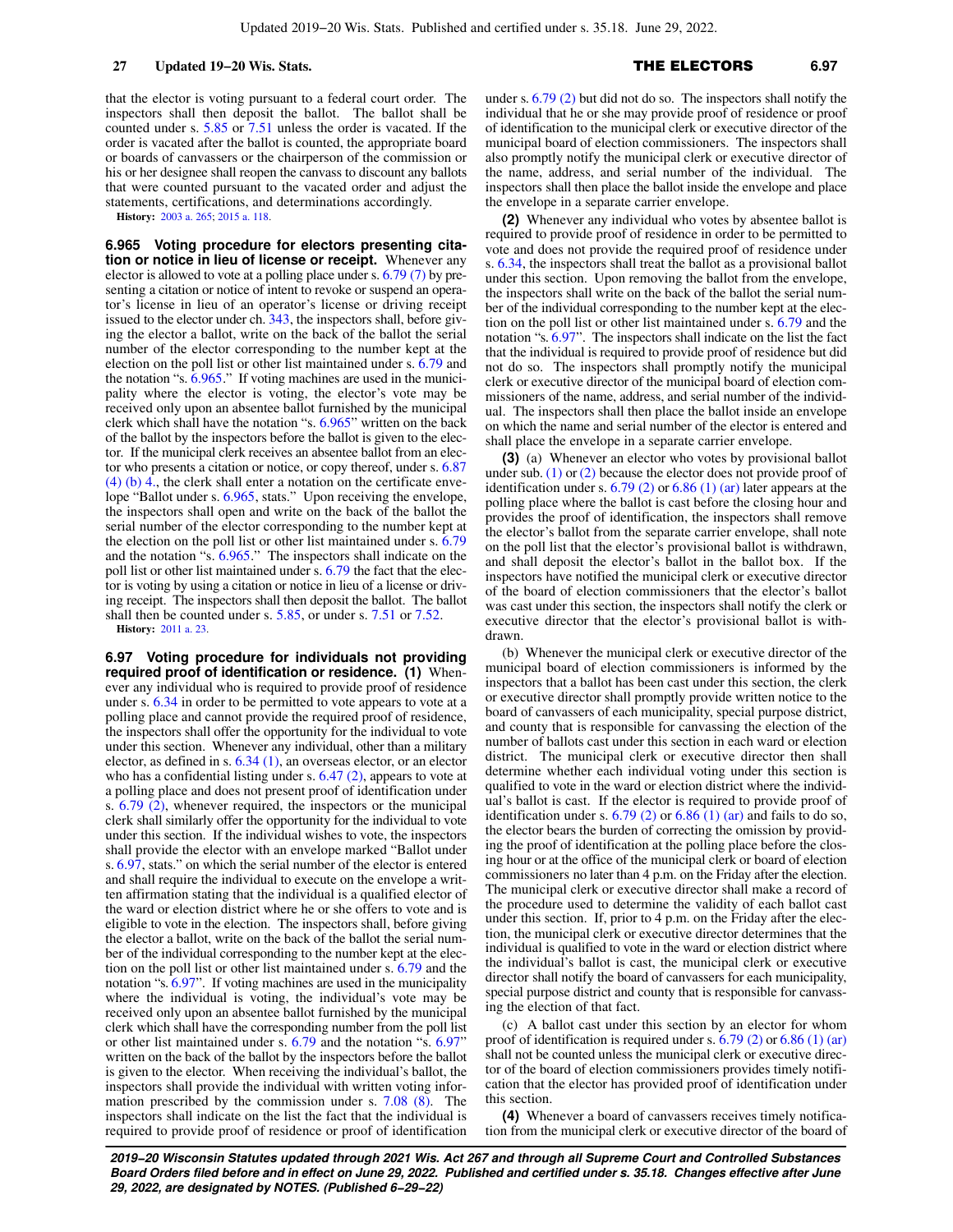that the elector is voting pursuant to a federal court order. The inspectors shall then deposit the ballot. The ballot shall be counted under s. [5.85](https://docs.legis.wisconsin.gov/document/statutes/5.85) or [7.51](https://docs.legis.wisconsin.gov/document/statutes/7.51) unless the order is vacated. If the order is vacated after the ballot is counted, the appropriate board or boards of canvassers or the chairperson of the commission or his or her designee shall reopen the canvass to discount any ballots that were counted pursuant to the vacated order and adjust the statements, certifications, and determinations accordingly.

**History:** [2003 a. 265](https://docs.legis.wisconsin.gov/document/acts/2003/265); [2015 a. 118.](https://docs.legis.wisconsin.gov/document/acts/2015/118)

**6.965 Voting procedure for electors presenting citation or notice in lieu of license or receipt.** Whenever any elector is allowed to vote at a polling place under s. [6.79 \(7\)](https://docs.legis.wisconsin.gov/document/statutes/6.79(7)) by presenting a citation or notice of intent to revoke or suspend an operator's license in lieu of an operator's license or driving receipt issued to the elector under ch. [343](https://docs.legis.wisconsin.gov/document/statutes/ch.%20343), the inspectors shall, before giving the elector a ballot, write on the back of the ballot the serial number of the elector corresponding to the number kept at the election on the poll list or other list maintained under s. [6.79](https://docs.legis.wisconsin.gov/document/statutes/6.79) and the notation "s. [6.965](https://docs.legis.wisconsin.gov/document/statutes/6.965)." If voting machines are used in the municipality where the elector is voting, the elector's vote may be received only upon an absentee ballot furnished by the municipal clerk which shall have the notation "s. [6.965"](https://docs.legis.wisconsin.gov/document/statutes/6.965) written on the back of the ballot by the inspectors before the ballot is given to the elector. If the municipal clerk receives an absentee ballot from an elector who presents a citation or notice, or copy thereof, under s. [6.87](https://docs.legis.wisconsin.gov/document/statutes/6.87(4)(b)4.) [\(4\) \(b\) 4.](https://docs.legis.wisconsin.gov/document/statutes/6.87(4)(b)4.), the clerk shall enter a notation on the certificate envelope "Ballot under s. [6.965,](https://docs.legis.wisconsin.gov/document/statutes/6.965) stats." Upon receiving the envelope, the inspectors shall open and write on the back of the ballot the serial number of the elector corresponding to the number kept at the election on the poll list or other list maintained under s. [6.79](https://docs.legis.wisconsin.gov/document/statutes/6.79) and the notation "s. [6.965](https://docs.legis.wisconsin.gov/document/statutes/6.965)." The inspectors shall indicate on the poll list or other list maintained under s. [6.79](https://docs.legis.wisconsin.gov/document/statutes/6.79) the fact that the elector is voting by using a citation or notice in lieu of a license or driving receipt. The inspectors shall then deposit the ballot. The ballot shall then be counted under s. [5.85,](https://docs.legis.wisconsin.gov/document/statutes/5.85) or under s. [7.51](https://docs.legis.wisconsin.gov/document/statutes/7.51) or [7.52.](https://docs.legis.wisconsin.gov/document/statutes/7.52) **History:** [2011 a. 23.](https://docs.legis.wisconsin.gov/document/acts/2011/23)

**6.97 Voting procedure for individuals not providing required proof of identification or residence. (1)** Whenever any individual who is required to provide proof of residence under s. [6.34](https://docs.legis.wisconsin.gov/document/statutes/6.34) in order to be permitted to vote appears to vote at a polling place and cannot provide the required proof of residence, the inspectors shall offer the opportunity for the individual to vote under this section. Whenever any individual, other than a military elector, as defined in s. [6.34 \(1\)](https://docs.legis.wisconsin.gov/document/statutes/6.34(1)), an overseas elector, or an elector who has a confidential listing under s. [6.47 \(2\)](https://docs.legis.wisconsin.gov/document/statutes/6.47(2)), appears to vote at a polling place and does not present proof of identification under s.  $6.79$   $(2)$ , whenever required, the inspectors or the municipal clerk shall similarly offer the opportunity for the individual to vote under this section. If the individual wishes to vote, the inspectors shall provide the elector with an envelope marked "Ballot under s. [6.97](https://docs.legis.wisconsin.gov/document/statutes/6.97), stats." on which the serial number of the elector is entered and shall require the individual to execute on the envelope a written affirmation stating that the individual is a qualified elector of the ward or election district where he or she offers to vote and is eligible to vote in the election. The inspectors shall, before giving the elector a ballot, write on the back of the ballot the serial number of the individual corresponding to the number kept at the election on the poll list or other list maintained under s. [6.79](https://docs.legis.wisconsin.gov/document/statutes/6.79) and the notation "s. [6.97"](https://docs.legis.wisconsin.gov/document/statutes/6.97). If voting machines are used in the municipality where the individual is voting, the individual's vote may be received only upon an absentee ballot furnished by the municipal clerk which shall have the corresponding number from the poll list or other list maintained under s. [6.79](https://docs.legis.wisconsin.gov/document/statutes/6.79) and the notation "s. [6.97"](https://docs.legis.wisconsin.gov/document/statutes/6.97) written on the back of the ballot by the inspectors before the ballot is given to the elector. When receiving the individual's ballot, the inspectors shall provide the individual with written voting information prescribed by the commission under s. [7.08 \(8\)](https://docs.legis.wisconsin.gov/document/statutes/7.08(8)). The inspectors shall indicate on the list the fact that the individual is required to provide proof of residence or proof of identification

under s. [6.79 \(2\)](https://docs.legis.wisconsin.gov/document/statutes/6.79(2)) but did not do so. The inspectors shall notify the individual that he or she may provide proof of residence or proof of identification to the municipal clerk or executive director of the municipal board of election commissioners. The inspectors shall also promptly notify the municipal clerk or executive director of the name, address, and serial number of the individual. The inspectors shall then place the ballot inside the envelope and place the envelope in a separate carrier envelope.

**(2)** Whenever any individual who votes by absentee ballot is required to provide proof of residence in order to be permitted to vote and does not provide the required proof of residence under s. [6.34,](https://docs.legis.wisconsin.gov/document/statutes/6.34) the inspectors shall treat the ballot as a provisional ballot under this section. Upon removing the ballot from the envelope, the inspectors shall write on the back of the ballot the serial number of the individual corresponding to the number kept at the election on the poll list or other list maintained under s. [6.79](https://docs.legis.wisconsin.gov/document/statutes/6.79) and the notation "s. [6.97](https://docs.legis.wisconsin.gov/document/statutes/6.97)". The inspectors shall indicate on the list the fact that the individual is required to provide proof of residence but did not do so. The inspectors shall promptly notify the municipal clerk or executive director of the municipal board of election commissioners of the name, address, and serial number of the individual. The inspectors shall then place the ballot inside an envelope on which the name and serial number of the elector is entered and shall place the envelope in a separate carrier envelope.

**(3)** (a) Whenever an elector who votes by provisional ballot under sub.  $(1)$  or  $(2)$  because the elector does not provide proof of identification under s.  $6.79$  (2) or  $6.86$  (1) (ar) later appears at the polling place where the ballot is cast before the closing hour and provides the proof of identification, the inspectors shall remove the elector's ballot from the separate carrier envelope, shall note on the poll list that the elector's provisional ballot is withdrawn, and shall deposit the elector's ballot in the ballot box. If the inspectors have notified the municipal clerk or executive director of the board of election commissioners that the elector's ballot was cast under this section, the inspectors shall notify the clerk or executive director that the elector's provisional ballot is withdrawn.

(b) Whenever the municipal clerk or executive director of the municipal board of election commissioners is informed by the inspectors that a ballot has been cast under this section, the clerk or executive director shall promptly provide written notice to the board of canvassers of each municipality, special purpose district, and county that is responsible for canvassing the election of the number of ballots cast under this section in each ward or election district. The municipal clerk or executive director then shall determine whether each individual voting under this section is qualified to vote in the ward or election district where the individual's ballot is cast. If the elector is required to provide proof of identification under s.  $6.79$  (2) or  $6.86$  (1) (ar) and fails to do so, the elector bears the burden of correcting the omission by providing the proof of identification at the polling place before the closing hour or at the office of the municipal clerk or board of election commissioners no later than 4 p.m. on the Friday after the election. The municipal clerk or executive director shall make a record of the procedure used to determine the validity of each ballot cast under this section. If, prior to 4 p.m. on the Friday after the election, the municipal clerk or executive director determines that the individual is qualified to vote in the ward or election district where the individual's ballot is cast, the municipal clerk or executive director shall notify the board of canvassers for each municipality, special purpose district and county that is responsible for canvassing the election of that fact.

(c) A ballot cast under this section by an elector for whom proof of identification is required under s.  $6.79$  (2) or  $6.86$  (1) (ar) shall not be counted unless the municipal clerk or executive director of the board of election commissioners provides timely notification that the elector has provided proof of identification under this section.

**(4)** Whenever a board of canvassers receives timely notification from the municipal clerk or executive director of the board of